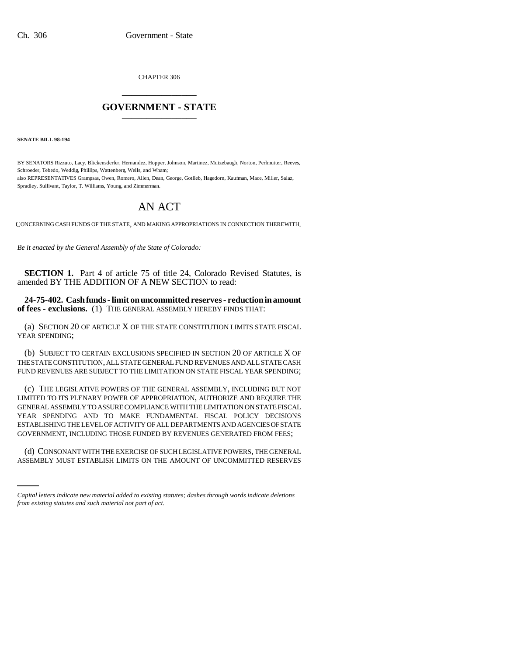CHAPTER 306 \_\_\_\_\_\_\_\_\_\_\_\_\_\_\_

## **GOVERNMENT - STATE** \_\_\_\_\_\_\_\_\_\_\_\_\_\_\_

**SENATE BILL 98-194**

BY SENATORS Rizzuto, Lacy, Blickensderfer, Hernandez, Hopper, Johnson, Martinez, Mutzebaugh, Norton, Perlmutter, Reeves, Schroeder, Tebedo, Weddig, Phillips, Wattenberg, Wells, and Wham; also REPRESENTATIVES Grampsas, Owen, Romero, Allen, Dean, George, Gotlieb, Hagedorn, Kaufman, Mace, Miller, Salaz, Spradley, Sullivant, Taylor, T. Williams, Young, and Zimmerman.

# AN ACT

CONCERNING CASH FUNDS OF THE STATE, AND MAKING APPROPRIATIONS IN CONNECTION THEREWITH.

*Be it enacted by the General Assembly of the State of Colorado:*

**SECTION 1.** Part 4 of article 75 of title 24, Colorado Revised Statutes, is amended BY THE ADDITION OF A NEW SECTION to read:

**24-75-402. Cash funds - limit on uncommitted reserves - reduction in amount of fees - exclusions.** (1) THE GENERAL ASSEMBLY HEREBY FINDS THAT:

(a) SECTION 20 OF ARTICLE X OF THE STATE CONSTITUTION LIMITS STATE FISCAL YEAR SPENDING;

(b) SUBJECT TO CERTAIN EXCLUSIONS SPECIFIED IN SECTION 20 OF ARTICLE X OF THE STATE CONSTITUTION, ALL STATE GENERAL FUND REVENUES AND ALL STATE CASH FUND REVENUES ARE SUBJECT TO THE LIMITATION ON STATE FISCAL YEAR SPENDING;

(c) THE LEGISLATIVE POWERS OF THE GENERAL ASSEMBLY, INCLUDING BUT NOT LIMITED TO ITS PLENARY POWER OF APPROPRIATION, AUTHORIZE AND REQUIRE THE GENERAL ASSEMBLY TO ASSURE COMPLIANCE WITH THE LIMITATION ON STATE FISCAL YEAR SPENDING AND TO MAKE FUNDAMENTAL FISCAL POLICY DECISIONS ESTABLISHING THE LEVEL OF ACTIVITY OF ALL DEPARTMENTS AND AGENCIES OF STATE GOVERNMENT, INCLUDING THOSE FUNDED BY REVENUES GENERATED FROM FEES;

 (d) CONSONANT WITH THE EXERCISE OF SUCH LEGISLATIVE POWERS, THE GENERAL ASSEMBLY MUST ESTABLISH LIMITS ON THE AMOUNT OF UNCOMMITTED RESERVES

*Capital letters indicate new material added to existing statutes; dashes through words indicate deletions from existing statutes and such material not part of act.*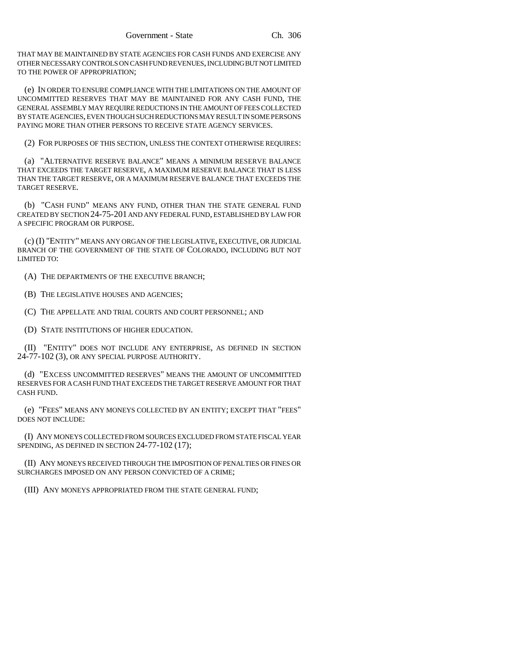THAT MAY BE MAINTAINED BY STATE AGENCIES FOR CASH FUNDS AND EXERCISE ANY OTHER NECESSARY CONTROLS ON CASH FUND REVENUES, INCLUDING BUT NOT LIMITED TO THE POWER OF APPROPRIATION;

(e) IN ORDER TO ENSURE COMPLIANCE WITH THE LIMITATIONS ON THE AMOUNT OF UNCOMMITTED RESERVES THAT MAY BE MAINTAINED FOR ANY CASH FUND, THE GENERAL ASSEMBLY MAY REQUIRE REDUCTIONS IN THE AMOUNT OF FEES COLLECTED BY STATE AGENCIES, EVEN THOUGH SUCH REDUCTIONS MAY RESULT IN SOME PERSONS PAYING MORE THAN OTHER PERSONS TO RECEIVE STATE AGENCY SERVICES.

(2) FOR PURPOSES OF THIS SECTION, UNLESS THE CONTEXT OTHERWISE REQUIRES:

(a) "ALTERNATIVE RESERVE BALANCE" MEANS A MINIMUM RESERVE BALANCE THAT EXCEEDS THE TARGET RESERVE, A MAXIMUM RESERVE BALANCE THAT IS LESS THAN THE TARGET RESERVE, OR A MAXIMUM RESERVE BALANCE THAT EXCEEDS THE TARGET RESERVE.

(b) "CASH FUND" MEANS ANY FUND, OTHER THAN THE STATE GENERAL FUND CREATED BY SECTION 24-75-201 AND ANY FEDERAL FUND, ESTABLISHED BY LAW FOR A SPECIFIC PROGRAM OR PURPOSE.

(c) (I) "ENTITY" MEANS ANY ORGAN OF THE LEGISLATIVE, EXECUTIVE, OR JUDICIAL BRANCH OF THE GOVERNMENT OF THE STATE OF COLORADO, INCLUDING BUT NOT LIMITED TO:

(A) THE DEPARTMENTS OF THE EXECUTIVE BRANCH;

(B) THE LEGISLATIVE HOUSES AND AGENCIES;

(C) THE APPELLATE AND TRIAL COURTS AND COURT PERSONNEL; AND

(D) STATE INSTITUTIONS OF HIGHER EDUCATION.

(II) "ENTITY" DOES NOT INCLUDE ANY ENTERPRISE, AS DEFINED IN SECTION 24-77-102 (3), OR ANY SPECIAL PURPOSE AUTHORITY.

(d) "EXCESS UNCOMMITTED RESERVES" MEANS THE AMOUNT OF UNCOMMITTED RESERVES FOR A CASH FUND THAT EXCEEDS THE TARGET RESERVE AMOUNT FOR THAT CASH FUND.

(e) "FEES" MEANS ANY MONEYS COLLECTED BY AN ENTITY; EXCEPT THAT "FEES" DOES NOT INCLUDE:

(I) ANY MONEYS COLLECTED FROM SOURCES EXCLUDED FROM STATE FISCAL YEAR SPENDING, AS DEFINED IN SECTION 24-77-102 (17);

(II) ANY MONEYS RECEIVED THROUGH THE IMPOSITION OF PENALTIES OR FINES OR SURCHARGES IMPOSED ON ANY PERSON CONVICTED OF A CRIME;

(III) ANY MONEYS APPROPRIATED FROM THE STATE GENERAL FUND;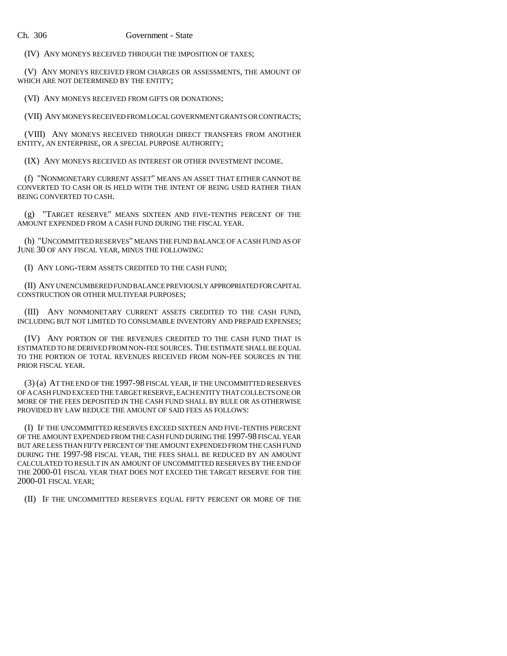#### Ch. 306 Government - State

(IV) ANY MONEYS RECEIVED THROUGH THE IMPOSITION OF TAXES;

(V) ANY MONEYS RECEIVED FROM CHARGES OR ASSESSMENTS, THE AMOUNT OF WHICH ARE NOT DETERMINED BY THE ENTITY;

(VI) ANY MONEYS RECEIVED FROM GIFTS OR DONATIONS;

(VII) ANY MONEYS RECEIVED FROM LOCAL GOVERNMENT GRANTS OR CONTRACTS;

(VIII) ANY MONEYS RECEIVED THROUGH DIRECT TRANSFERS FROM ANOTHER ENTITY, AN ENTERPRISE, OR A SPECIAL PURPOSE AUTHORITY;

(IX) ANY MONEYS RECEIVED AS INTEREST OR OTHER INVESTMENT INCOME.

(f) "NONMONETARY CURRENT ASSET" MEANS AN ASSET THAT EITHER CANNOT BE CONVERTED TO CASH OR IS HELD WITH THE INTENT OF BEING USED RATHER THAN BEING CONVERTED TO CASH.

(g) "TARGET RESERVE" MEANS SIXTEEN AND FIVE-TENTHS PERCENT OF THE AMOUNT EXPENDED FROM A CASH FUND DURING THE FISCAL YEAR.

(h) "UNCOMMITTED RESERVES" MEANS THE FUND BALANCE OF A CASH FUND AS OF JUNE 30 OF ANY FISCAL YEAR, MINUS THE FOLLOWING:

(I) ANY LONG-TERM ASSETS CREDITED TO THE CASH FUND;

(II) ANY UNENCUMBERED FUND BALANCE PREVIOUSLY APPROPRIATED FOR CAPITAL CONSTRUCTION OR OTHER MULTIYEAR PURPOSES;

(III) ANY NONMONETARY CURRENT ASSETS CREDITED TO THE CASH FUND, INCLUDING BUT NOT LIMITED TO CONSUMABLE INVENTORY AND PREPAID EXPENSES;

(IV) ANY PORTION OF THE REVENUES CREDITED TO THE CASH FUND THAT IS ESTIMATED TO BE DERIVED FROM NON-FEE SOURCES. THE ESTIMATE SHALL BE EQUAL TO THE PORTION OF TOTAL REVENUES RECEIVED FROM NON-FEE SOURCES IN THE PRIOR FISCAL YEAR.

(3) (a) AT THE END OF THE 1997-98 FISCAL YEAR, IF THE UNCOMMITTED RESERVES OF A CASH FUND EXCEED THE TARGET RESERVE, EACH ENTITY THAT COLLECTS ONE OR MORE OF THE FEES DEPOSITED IN THE CASH FUND SHALL BY RULE OR AS OTHERWISE PROVIDED BY LAW REDUCE THE AMOUNT OF SAID FEES AS FOLLOWS:

(I) IF THE UNCOMMITTED RESERVES EXCEED SIXTEEN AND FIVE-TENTHS PERCENT OF THE AMOUNT EXPENDED FROM THE CASH FUND DURING THE 1997-98 FISCAL YEAR BUT ARE LESS THAN FIFTY PERCENT OF THE AMOUNT EXPENDED FROM THE CASH FUND DURING THE 1997-98 FISCAL YEAR, THE FEES SHALL BE REDUCED BY AN AMOUNT CALCULATED TO RESULT IN AN AMOUNT OF UNCOMMITTED RESERVES BY THE END OF THE 2000-01 FISCAL YEAR THAT DOES NOT EXCEED THE TARGET RESERVE FOR THE 2000-01 FISCAL YEAR;

(II) IF THE UNCOMMITTED RESERVES EQUAL FIFTY PERCENT OR MORE OF THE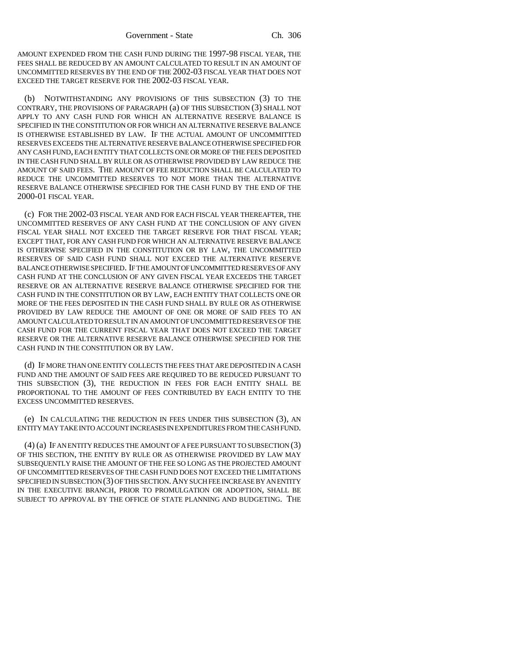AMOUNT EXPENDED FROM THE CASH FUND DURING THE 1997-98 FISCAL YEAR, THE FEES SHALL BE REDUCED BY AN AMOUNT CALCULATED TO RESULT IN AN AMOUNT OF UNCOMMITTED RESERVES BY THE END OF THE 2002-03 FISCAL YEAR THAT DOES NOT EXCEED THE TARGET RESERVE FOR THE 2002-03 FISCAL YEAR.

(b) NOTWITHSTANDING ANY PROVISIONS OF THIS SUBSECTION (3) TO THE CONTRARY, THE PROVISIONS OF PARAGRAPH (a) OF THIS SUBSECTION (3) SHALL NOT APPLY TO ANY CASH FUND FOR WHICH AN ALTERNATIVE RESERVE BALANCE IS SPECIFIED IN THE CONSTITUTION OR FOR WHICH AN ALTERNATIVE RESERVE BALANCE IS OTHERWISE ESTABLISHED BY LAW. IF THE ACTUAL AMOUNT OF UNCOMMITTED RESERVES EXCEEDS THE ALTERNATIVE RESERVE BALANCE OTHERWISE SPECIFIED FOR ANY CASH FUND, EACH ENTITY THAT COLLECTS ONE OR MORE OF THE FEES DEPOSITED IN THE CASH FUND SHALL BY RULE OR AS OTHERWISE PROVIDED BY LAW REDUCE THE AMOUNT OF SAID FEES. THE AMOUNT OF FEE REDUCTION SHALL BE CALCULATED TO REDUCE THE UNCOMMITTED RESERVES TO NOT MORE THAN THE ALTERNATIVE RESERVE BALANCE OTHERWISE SPECIFIED FOR THE CASH FUND BY THE END OF THE 2000-01 FISCAL YEAR.

(c) FOR THE 2002-03 FISCAL YEAR AND FOR EACH FISCAL YEAR THEREAFTER, THE UNCOMMITTED RESERVES OF ANY CASH FUND AT THE CONCLUSION OF ANY GIVEN FISCAL YEAR SHALL NOT EXCEED THE TARGET RESERVE FOR THAT FISCAL YEAR; EXCEPT THAT, FOR ANY CASH FUND FOR WHICH AN ALTERNATIVE RESERVE BALANCE IS OTHERWISE SPECIFIED IN THE CONSTITUTION OR BY LAW, THE UNCOMMITTED RESERVES OF SAID CASH FUND SHALL NOT EXCEED THE ALTERNATIVE RESERVE BALANCE OTHERWISE SPECIFIED. IF THE AMOUNT OF UNCOMMITTED RESERVES OF ANY CASH FUND AT THE CONCLUSION OF ANY GIVEN FISCAL YEAR EXCEEDS THE TARGET RESERVE OR AN ALTERNATIVE RESERVE BALANCE OTHERWISE SPECIFIED FOR THE CASH FUND IN THE CONSTITUTION OR BY LAW, EACH ENTITY THAT COLLECTS ONE OR MORE OF THE FEES DEPOSITED IN THE CASH FUND SHALL BY RULE OR AS OTHERWISE PROVIDED BY LAW REDUCE THE AMOUNT OF ONE OR MORE OF SAID FEES TO AN AMOUNT CALCULATED TO RESULT IN AN AMOUNT OF UNCOMMITTED RESERVES OF THE CASH FUND FOR THE CURRENT FISCAL YEAR THAT DOES NOT EXCEED THE TARGET RESERVE OR THE ALTERNATIVE RESERVE BALANCE OTHERWISE SPECIFIED FOR THE CASH FUND IN THE CONSTITUTION OR BY LAW.

(d) IF MORE THAN ONE ENTITY COLLECTS THE FEES THAT ARE DEPOSITED IN A CASH FUND AND THE AMOUNT OF SAID FEES ARE REQUIRED TO BE REDUCED PURSUANT TO THIS SUBSECTION (3), THE REDUCTION IN FEES FOR EACH ENTITY SHALL BE PROPORTIONAL TO THE AMOUNT OF FEES CONTRIBUTED BY EACH ENTITY TO THE EXCESS UNCOMMITTED RESERVES.

(e) IN CALCULATING THE REDUCTION IN FEES UNDER THIS SUBSECTION (3), AN ENTITY MAY TAKE INTO ACCOUNT INCREASES IN EXPENDITURES FROM THE CASH FUND.

(4) (a) IF AN ENTITY REDUCES THE AMOUNT OF A FEE PURSUANT TO SUBSECTION (3) OF THIS SECTION, THE ENTITY BY RULE OR AS OTHERWISE PROVIDED BY LAW MAY SUBSEQUENTLY RAISE THE AMOUNT OF THE FEE SO LONG AS THE PROJECTED AMOUNT OF UNCOMMITTED RESERVES OF THE CASH FUND DOES NOT EXCEED THE LIMITATIONS SPECIFIED IN SUBSECTION (3) OF THIS SECTION.ANY SUCH FEE INCREASE BY AN ENTITY IN THE EXECUTIVE BRANCH, PRIOR TO PROMULGATION OR ADOPTION, SHALL BE SUBJECT TO APPROVAL BY THE OFFICE OF STATE PLANNING AND BUDGETING. THE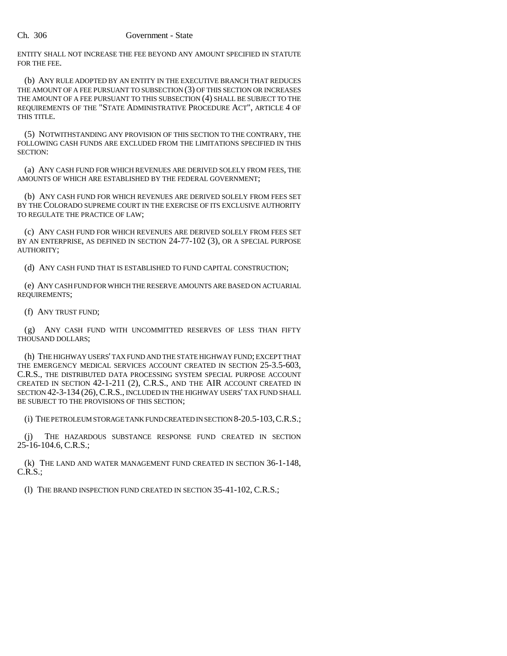ENTITY SHALL NOT INCREASE THE FEE BEYOND ANY AMOUNT SPECIFIED IN STATUTE FOR THE FEE.

(b) ANY RULE ADOPTED BY AN ENTITY IN THE EXECUTIVE BRANCH THAT REDUCES THE AMOUNT OF A FEE PURSUANT TO SUBSECTION (3) OF THIS SECTION OR INCREASES THE AMOUNT OF A FEE PURSUANT TO THIS SUBSECTION (4) SHALL BE SUBJECT TO THE REQUIREMENTS OF THE "STATE ADMINISTRATIVE PROCEDURE ACT", ARTICLE 4 OF THIS TITLE.

(5) NOTWITHSTANDING ANY PROVISION OF THIS SECTION TO THE CONTRARY, THE FOLLOWING CASH FUNDS ARE EXCLUDED FROM THE LIMITATIONS SPECIFIED IN THIS SECTION:

(a) ANY CASH FUND FOR WHICH REVENUES ARE DERIVED SOLELY FROM FEES, THE AMOUNTS OF WHICH ARE ESTABLISHED BY THE FEDERAL GOVERNMENT;

(b) ANY CASH FUND FOR WHICH REVENUES ARE DERIVED SOLELY FROM FEES SET BY THE COLORADO SUPREME COURT IN THE EXERCISE OF ITS EXCLUSIVE AUTHORITY TO REGULATE THE PRACTICE OF LAW;

(c) ANY CASH FUND FOR WHICH REVENUES ARE DERIVED SOLELY FROM FEES SET BY AN ENTERPRISE, AS DEFINED IN SECTION 24-77-102 (3), OR A SPECIAL PURPOSE AUTHORITY;

(d) ANY CASH FUND THAT IS ESTABLISHED TO FUND CAPITAL CONSTRUCTION;

(e) ANY CASH FUND FOR WHICH THE RESERVE AMOUNTS ARE BASED ON ACTUARIAL REQUIREMENTS;

(f) ANY TRUST FUND;

(g) ANY CASH FUND WITH UNCOMMITTED RESERVES OF LESS THAN FIFTY THOUSAND DOLLARS;

(h) THE HIGHWAY USERS' TAX FUND AND THE STATE HIGHWAY FUND; EXCEPT THAT THE EMERGENCY MEDICAL SERVICES ACCOUNT CREATED IN SECTION 25-3.5-603, C.R.S., THE DISTRIBUTED DATA PROCESSING SYSTEM SPECIAL PURPOSE ACCOUNT CREATED IN SECTION 42-1-211 (2), C.R.S., AND THE AIR ACCOUNT CREATED IN SECTION 42-3-134 (26), C.R.S., INCLUDED IN THE HIGHWAY USERS' TAX FUND SHALL BE SUBJECT TO THE PROVISIONS OF THIS SECTION;

(i) THE PETROLEUM STORAGE TANK FUND CREATED IN SECTION 8-20.5-103,C.R.S.;

(j) THE HAZARDOUS SUBSTANCE RESPONSE FUND CREATED IN SECTION 25-16-104.6, C.R.S.;

(k) THE LAND AND WATER MANAGEMENT FUND CREATED IN SECTION 36-1-148, C.R.S.;

(l) THE BRAND INSPECTION FUND CREATED IN SECTION 35-41-102, C.R.S.;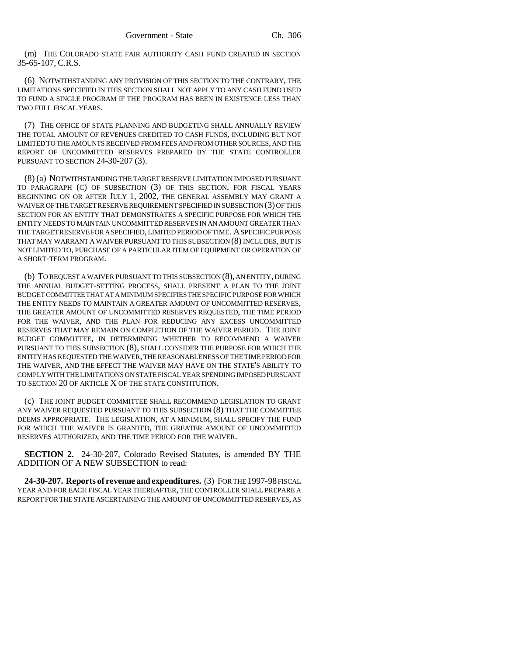(m) THE COLORADO STATE FAIR AUTHORITY CASH FUND CREATED IN SECTION 35-65-107, C.R.S.

(6) NOTWITHSTANDING ANY PROVISION OF THIS SECTION TO THE CONTRARY, THE LIMITATIONS SPECIFIED IN THIS SECTION SHALL NOT APPLY TO ANY CASH FUND USED TO FUND A SINGLE PROGRAM IF THE PROGRAM HAS BEEN IN EXISTENCE LESS THAN TWO FULL FISCAL YEARS.

(7) THE OFFICE OF STATE PLANNING AND BUDGETING SHALL ANNUALLY REVIEW THE TOTAL AMOUNT OF REVENUES CREDITED TO CASH FUNDS, INCLUDING BUT NOT LIMITED TO THE AMOUNTS RECEIVED FROM FEES AND FROM OTHER SOURCES, AND THE REPORT OF UNCOMMITTED RESERVES PREPARED BY THE STATE CONTROLLER PURSUANT TO SECTION 24-30-207 (3).

(8) (a) NOTWITHSTANDING THE TARGET RESERVE LIMITATION IMPOSED PURSUANT TO PARAGRAPH (C) OF SUBSECTION (3) OF THIS SECTION, FOR FISCAL YEARS BEGINNING ON OR AFTER JULY 1, 2002, THE GENERAL ASSEMBLY MAY GRANT A WAIVER OF THE TARGET RESERVE REQUIREMENT SPECIFIED IN SUBSECTION (3) OF THIS SECTION FOR AN ENTITY THAT DEMONSTRATES A SPECIFIC PURPOSE FOR WHICH THE ENTITY NEEDS TO MAINTAIN UNCOMMITTED RESERVES IN AN AMOUNT GREATER THAN THE TARGET RESERVE FOR A SPECIFIED, LIMITED PERIOD OF TIME. A SPECIFIC PURPOSE THAT MAY WARRANT A WAIVER PURSUANT TO THIS SUBSECTION (8) INCLUDES, BUT IS NOT LIMITED TO, PURCHASE OF A PARTICULAR ITEM OF EQUIPMENT OR OPERATION OF A SHORT-TERM PROGRAM.

(b) TO REQUEST A WAIVER PURSUANT TO THIS SUBSECTION (8), AN ENTITY, DURING THE ANNUAL BUDGET-SETTING PROCESS, SHALL PRESENT A PLAN TO THE JOINT BUDGET COMMITTEE THAT AT A MINIMUM SPECIFIES THE SPECIFIC PURPOSE FOR WHICH THE ENTITY NEEDS TO MAINTAIN A GREATER AMOUNT OF UNCOMMITTED RESERVES, THE GREATER AMOUNT OF UNCOMMITTED RESERVES REQUESTED, THE TIME PERIOD FOR THE WAIVER, AND THE PLAN FOR REDUCING ANY EXCESS UNCOMMITTED RESERVES THAT MAY REMAIN ON COMPLETION OF THE WAIVER PERIOD. THE JOINT BUDGET COMMITTEE, IN DETERMINING WHETHER TO RECOMMEND A WAIVER PURSUANT TO THIS SUBSECTION (8), SHALL CONSIDER THE PURPOSE FOR WHICH THE ENTITY HAS REQUESTED THE WAIVER, THE REASONABLENESS OF THE TIME PERIOD FOR THE WAIVER, AND THE EFFECT THE WAIVER MAY HAVE ON THE STATE'S ABILITY TO COMPLY WITH THE LIMITATIONS ON STATE FISCAL YEAR SPENDING IMPOSED PURSUANT TO SECTION 20 OF ARTICLE X OF THE STATE CONSTITUTION.

(c) THE JOINT BUDGET COMMITTEE SHALL RECOMMEND LEGISLATION TO GRANT ANY WAIVER REQUESTED PURSUANT TO THIS SUBSECTION (8) THAT THE COMMITTEE DEEMS APPROPRIATE. THE LEGISLATION, AT A MINIMUM, SHALL SPECIFY THE FUND FOR WHICH THE WAIVER IS GRANTED, THE GREATER AMOUNT OF UNCOMMITTED RESERVES AUTHORIZED, AND THE TIME PERIOD FOR THE WAIVER.

**SECTION 2.** 24-30-207, Colorado Revised Statutes, is amended BY THE ADDITION OF A NEW SUBSECTION to read:

**24-30-207. Reports of revenue and expenditures.** (3) FOR THE 1997-98 FISCAL YEAR AND FOR EACH FISCAL YEAR THEREAFTER, THE CONTROLLER SHALL PREPARE A REPORT FOR THE STATE ASCERTAINING THE AMOUNT OF UNCOMMITTED RESERVES, AS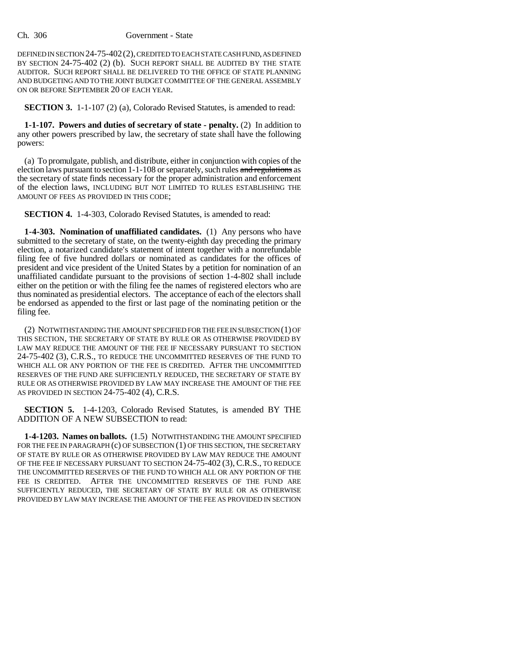DEFINED IN SECTION 24-75-402(2), CREDITED TO EACH STATE CASH FUND, AS DEFINED BY SECTION 24-75-402 (2) (b). SUCH REPORT SHALL BE AUDITED BY THE STATE AUDITOR. SUCH REPORT SHALL BE DELIVERED TO THE OFFICE OF STATE PLANNING AND BUDGETING AND TO THE JOINT BUDGET COMMITTEE OF THE GENERAL ASSEMBLY ON OR BEFORE SEPTEMBER 20 OF EACH YEAR.

**SECTION 3.** 1-1-107 (2) (a), Colorado Revised Statutes, is amended to read:

**1-1-107. Powers and duties of secretary of state - penalty.** (2) In addition to any other powers prescribed by law, the secretary of state shall have the following powers:

(a) To promulgate, publish, and distribute, either in conjunction with copies of the election laws pursuant to section 1-1-108 or separately, such rules and regulations as the secretary of state finds necessary for the proper administration and enforcement of the election laws, INCLUDING BUT NOT LIMITED TO RULES ESTABLISHING THE AMOUNT OF FEES AS PROVIDED IN THIS CODE;

**SECTION 4.** 1-4-303, Colorado Revised Statutes, is amended to read:

**1-4-303. Nomination of unaffiliated candidates.** (1) Any persons who have submitted to the secretary of state, on the twenty-eighth day preceding the primary election, a notarized candidate's statement of intent together with a nonrefundable filing fee of five hundred dollars or nominated as candidates for the offices of president and vice president of the United States by a petition for nomination of an unaffiliated candidate pursuant to the provisions of section 1-4-802 shall include either on the petition or with the filing fee the names of registered electors who are thus nominated as presidential electors. The acceptance of each of the electors shall be endorsed as appended to the first or last page of the nominating petition or the filing fee.

(2) NOTWITHSTANDING THE AMOUNT SPECIFIED FOR THE FEE IN SUBSECTION (1) OF THIS SECTION, THE SECRETARY OF STATE BY RULE OR AS OTHERWISE PROVIDED BY LAW MAY REDUCE THE AMOUNT OF THE FEE IF NECESSARY PURSUANT TO SECTION 24-75-402 (3), C.R.S., TO REDUCE THE UNCOMMITTED RESERVES OF THE FUND TO WHICH ALL OR ANY PORTION OF THE FEE IS CREDITED. AFTER THE UNCOMMITTED RESERVES OF THE FUND ARE SUFFICIENTLY REDUCED, THE SECRETARY OF STATE BY RULE OR AS OTHERWISE PROVIDED BY LAW MAY INCREASE THE AMOUNT OF THE FEE AS PROVIDED IN SECTION 24-75-402 (4), C.R.S.

**SECTION 5.** 1-4-1203, Colorado Revised Statutes, is amended BY THE ADDITION OF A NEW SUBSECTION to read:

**1-4-1203. Names on ballots.** (1.5) NOTWITHSTANDING THE AMOUNT SPECIFIED FOR THE FEE IN PARAGRAPH (c) OF SUBSECTION (1) OF THIS SECTION, THE SECRETARY OF STATE BY RULE OR AS OTHERWISE PROVIDED BY LAW MAY REDUCE THE AMOUNT OF THE FEE IF NECESSARY PURSUANT TO SECTION 24-75-402 (3), C.R.S., TO REDUCE THE UNCOMMITTED RESERVES OF THE FUND TO WHICH ALL OR ANY PORTION OF THE FEE IS CREDITED. AFTER THE UNCOMMITTED RESERVES OF THE FUND ARE SUFFICIENTLY REDUCED, THE SECRETARY OF STATE BY RULE OR AS OTHERWISE PROVIDED BY LAW MAY INCREASE THE AMOUNT OF THE FEE AS PROVIDED IN SECTION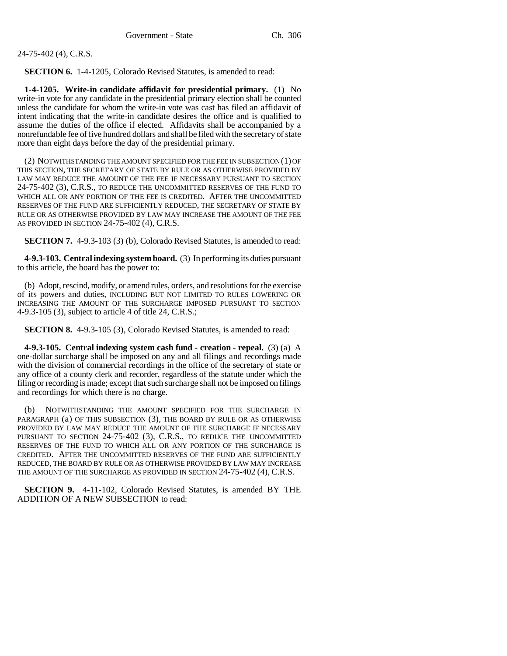24-75-402 (4), C.R.S.

**SECTION 6.** 1-4-1205, Colorado Revised Statutes, is amended to read:

**1-4-1205. Write-in candidate affidavit for presidential primary.** (1) No write-in vote for any candidate in the presidential primary election shall be counted unless the candidate for whom the write-in vote was cast has filed an affidavit of intent indicating that the write-in candidate desires the office and is qualified to assume the duties of the office if elected. Affidavits shall be accompanied by a nonrefundable fee of five hundred dollars and shall be filed with the secretary of state more than eight days before the day of the presidential primary.

(2) NOTWITHSTANDING THE AMOUNT SPECIFIED FOR THE FEE IN SUBSECTION (1) OF THIS SECTION, THE SECRETARY OF STATE BY RULE OR AS OTHERWISE PROVIDED BY LAW MAY REDUCE THE AMOUNT OF THE FEE IF NECESSARY PURSUANT TO SECTION 24-75-402 (3), C.R.S., TO REDUCE THE UNCOMMITTED RESERVES OF THE FUND TO WHICH ALL OR ANY PORTION OF THE FEE IS CREDITED. AFTER THE UNCOMMITTED RESERVES OF THE FUND ARE SUFFICIENTLY REDUCED, THE SECRETARY OF STATE BY RULE OR AS OTHERWISE PROVIDED BY LAW MAY INCREASE THE AMOUNT OF THE FEE AS PROVIDED IN SECTION 24-75-402 (4), C.R.S.

**SECTION 7.** 4-9.3-103 (3) (b), Colorado Revised Statutes, is amended to read:

**4-9.3-103. Central indexing system board.** (3) In performing its duties pursuant to this article, the board has the power to:

(b) Adopt, rescind, modify, or amend rules, orders, and resolutions for the exercise of its powers and duties, INCLUDING BUT NOT LIMITED TO RULES LOWERING OR INCREASING THE AMOUNT OF THE SURCHARGE IMPOSED PURSUANT TO SECTION 4-9.3-105 (3), subject to article 4 of title 24, C.R.S.;

**SECTION 8.** 4-9.3-105 (3), Colorado Revised Statutes, is amended to read:

**4-9.3-105. Central indexing system cash fund - creation - repeal.** (3) (a) A one-dollar surcharge shall be imposed on any and all filings and recordings made with the division of commercial recordings in the office of the secretary of state or any office of a county clerk and recorder, regardless of the statute under which the filing or recording is made; except that such surcharge shall not be imposed on filings and recordings for which there is no charge.

(b) NOTWITHSTANDING THE AMOUNT SPECIFIED FOR THE SURCHARGE IN PARAGRAPH (a) OF THIS SUBSECTION (3), THE BOARD BY RULE OR AS OTHERWISE PROVIDED BY LAW MAY REDUCE THE AMOUNT OF THE SURCHARGE IF NECESSARY PURSUANT TO SECTION 24-75-402 (3), C.R.S., TO REDUCE THE UNCOMMITTED RESERVES OF THE FUND TO WHICH ALL OR ANY PORTION OF THE SURCHARGE IS CREDITED. AFTER THE UNCOMMITTED RESERVES OF THE FUND ARE SUFFICIENTLY REDUCED, THE BOARD BY RULE OR AS OTHERWISE PROVIDED BY LAW MAY INCREASE THE AMOUNT OF THE SURCHARGE AS PROVIDED IN SECTION 24-75-402 (4), C.R.S.

**SECTION 9.** 4-11-102, Colorado Revised Statutes, is amended BY THE ADDITION OF A NEW SUBSECTION to read: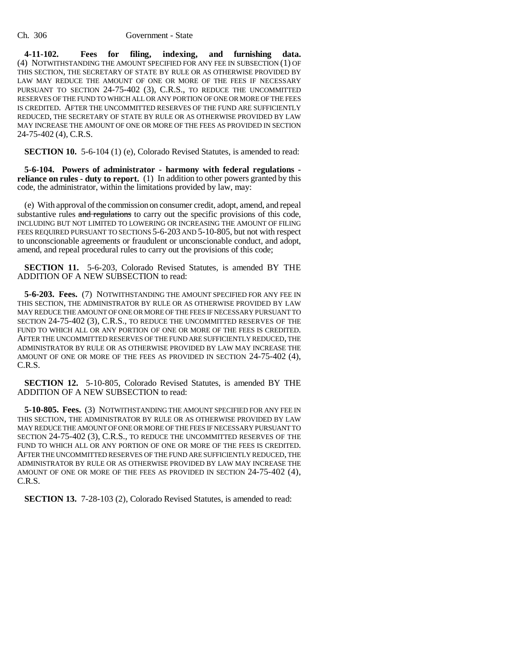**4-11-102. Fees for filing, indexing, and furnishing data.** (4) NOTWITHSTANDING THE AMOUNT SPECIFIED FOR ANY FEE IN SUBSECTION (1) OF THIS SECTION, THE SECRETARY OF STATE BY RULE OR AS OTHERWISE PROVIDED BY LAW MAY REDUCE THE AMOUNT OF ONE OR MORE OF THE FEES IF NECESSARY PURSUANT TO SECTION 24-75-402 (3), C.R.S., TO REDUCE THE UNCOMMITTED RESERVES OF THE FUND TO WHICH ALL OR ANY PORTION OF ONE OR MORE OF THE FEES IS CREDITED. AFTER THE UNCOMMITTED RESERVES OF THE FUND ARE SUFFICIENTLY REDUCED, THE SECRETARY OF STATE BY RULE OR AS OTHERWISE PROVIDED BY LAW MAY INCREASE THE AMOUNT OF ONE OR MORE OF THE FEES AS PROVIDED IN SECTION 24-75-402 (4), C.R.S.

**SECTION 10.** 5-6-104 (1) (e), Colorado Revised Statutes, is amended to read:

**5-6-104. Powers of administrator - harmony with federal regulations reliance on rules - duty to report.** (1) In addition to other powers granted by this code, the administrator, within the limitations provided by law, may:

(e) With approval of the commission on consumer credit, adopt, amend, and repeal substantive rules and regulations to carry out the specific provisions of this code, INCLUDING BUT NOT LIMITED TO LOWERING OR INCREASING THE AMOUNT OF FILING FEES REQUIRED PURSUANT TO SECTIONS 5-6-203 AND 5-10-805, but not with respect to unconscionable agreements or fraudulent or unconscionable conduct, and adopt, amend, and repeal procedural rules to carry out the provisions of this code;

**SECTION 11.** 5-6-203, Colorado Revised Statutes, is amended BY THE ADDITION OF A NEW SUBSECTION to read:

**5-6-203. Fees.** (7) NOTWITHSTANDING THE AMOUNT SPECIFIED FOR ANY FEE IN THIS SECTION, THE ADMINISTRATOR BY RULE OR AS OTHERWISE PROVIDED BY LAW MAY REDUCE THE AMOUNT OF ONE OR MORE OF THE FEES IF NECESSARY PURSUANT TO SECTION 24-75-402 (3), C.R.S., TO REDUCE THE UNCOMMITTED RESERVES OF THE FUND TO WHICH ALL OR ANY PORTION OF ONE OR MORE OF THE FEES IS CREDITED. AFTER THE UNCOMMITTED RESERVES OF THE FUND ARE SUFFICIENTLY REDUCED, THE ADMINISTRATOR BY RULE OR AS OTHERWISE PROVIDED BY LAW MAY INCREASE THE AMOUNT OF ONE OR MORE OF THE FEES AS PROVIDED IN SECTION 24-75-402 (4), C.R.S.

**SECTION 12.** 5-10-805, Colorado Revised Statutes, is amended BY THE ADDITION OF A NEW SUBSECTION to read:

**5-10-805. Fees.** (3) NOTWITHSTANDING THE AMOUNT SPECIFIED FOR ANY FEE IN THIS SECTION, THE ADMINISTRATOR BY RULE OR AS OTHERWISE PROVIDED BY LAW MAY REDUCE THE AMOUNT OF ONE OR MORE OF THE FEES IF NECESSARY PURSUANT TO SECTION 24-75-402 (3), C.R.S., TO REDUCE THE UNCOMMITTED RESERVES OF THE FUND TO WHICH ALL OR ANY PORTION OF ONE OR MORE OF THE FEES IS CREDITED. AFTER THE UNCOMMITTED RESERVES OF THE FUND ARE SUFFICIENTLY REDUCED, THE ADMINISTRATOR BY RULE OR AS OTHERWISE PROVIDED BY LAW MAY INCREASE THE AMOUNT OF ONE OR MORE OF THE FEES AS PROVIDED IN SECTION 24-75-402 (4), C.R.S.

**SECTION 13.** 7-28-103 (2), Colorado Revised Statutes, is amended to read: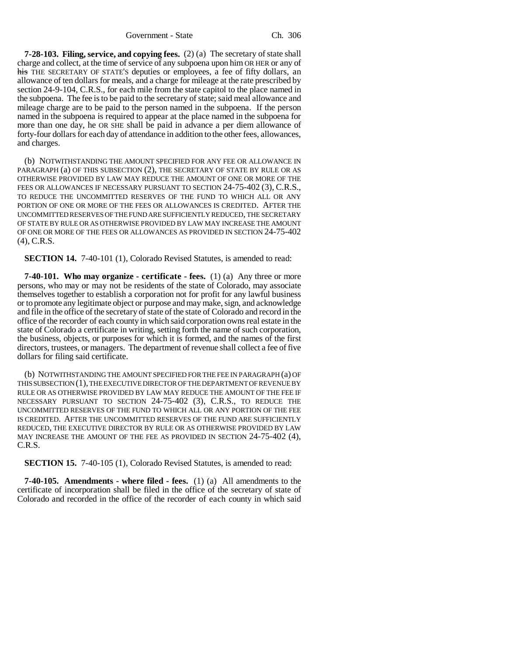**7-28-103. Filing, service, and copying fees.** (2) (a) The secretary of state shall charge and collect, at the time of service of any subpoena upon him OR HER or any of his THE SECRETARY OF STATE'S deputies or employees, a fee of fifty dollars, an allowance of ten dollars for meals, and a charge for mileage at the rate prescribed by section 24-9-104, C.R.S., for each mile from the state capitol to the place named in the subpoena. The fee is to be paid to the secretary of state; said meal allowance and mileage charge are to be paid to the person named in the subpoena. If the person named in the subpoena is required to appear at the place named in the subpoena for more than one day, he OR SHE shall be paid in advance a per diem allowance of forty-four dollars for each day of attendance in addition to the other fees, allowances, and charges.

(b) NOTWITHSTANDING THE AMOUNT SPECIFIED FOR ANY FEE OR ALLOWANCE IN PARAGRAPH (a) OF THIS SUBSECTION (2), THE SECRETARY OF STATE BY RULE OR AS OTHERWISE PROVIDED BY LAW MAY REDUCE THE AMOUNT OF ONE OR MORE OF THE FEES OR ALLOWANCES IF NECESSARY PURSUANT TO SECTION 24-75-402 (3), C.R.S., TO REDUCE THE UNCOMMITTED RESERVES OF THE FUND TO WHICH ALL OR ANY PORTION OF ONE OR MORE OF THE FEES OR ALLOWANCES IS CREDITED. AFTER THE UNCOMMITTED RESERVES OF THE FUND ARE SUFFICIENTLY REDUCED, THE SECRETARY OF STATE BY RULE OR AS OTHERWISE PROVIDED BY LAW MAY INCREASE THE AMOUNT OF ONE OR MORE OF THE FEES OR ALLOWANCES AS PROVIDED IN SECTION 24-75-402 (4), C.R.S.

**SECTION 14.** 7-40-101 (1), Colorado Revised Statutes, is amended to read:

**7-40-101. Who may organize - certificate - fees.** (1) (a) Any three or more persons, who may or may not be residents of the state of Colorado, may associate themselves together to establish a corporation not for profit for any lawful business or to promote any legitimate object or purpose and may make, sign, and acknowledge and file in the office of the secretary of state of the state of Colorado and record in the office of the recorder of each county in which said corporation owns real estate in the state of Colorado a certificate in writing, setting forth the name of such corporation, the business, objects, or purposes for which it is formed, and the names of the first directors, trustees, or managers. The department of revenue shall collect a fee of five dollars for filing said certificate.

(b) NOTWITHSTANDING THE AMOUNT SPECIFIED FOR THE FEE IN PARAGRAPH (a) OF THIS SUBSECTION (1), THE EXECUTIVE DIRECTOR OF THE DEPARTMENT OF REVENUE BY RULE OR AS OTHERWISE PROVIDED BY LAW MAY REDUCE THE AMOUNT OF THE FEE IF NECESSARY PURSUANT TO SECTION 24-75-402 (3), C.R.S., TO REDUCE THE UNCOMMITTED RESERVES OF THE FUND TO WHICH ALL OR ANY PORTION OF THE FEE IS CREDITED. AFTER THE UNCOMMITTED RESERVES OF THE FUND ARE SUFFICIENTLY REDUCED, THE EXECUTIVE DIRECTOR BY RULE OR AS OTHERWISE PROVIDED BY LAW MAY INCREASE THE AMOUNT OF THE FEE AS PROVIDED IN SECTION 24-75-402 (4), C.R.S.

**SECTION 15.** 7-40-105 (1), Colorado Revised Statutes, is amended to read:

**7-40-105. Amendments - where filed - fees.** (1) (a) All amendments to the certificate of incorporation shall be filed in the office of the secretary of state of Colorado and recorded in the office of the recorder of each county in which said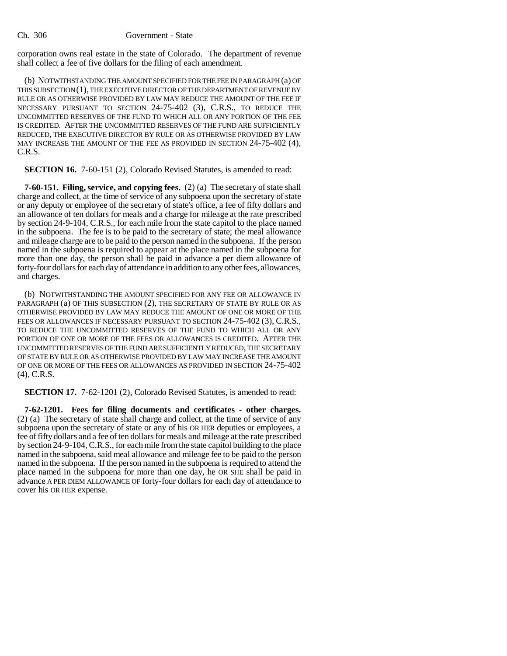corporation owns real estate in the state of Colorado. The department of revenue shall collect a fee of five dollars for the filing of each amendment.

(b) NOTWITHSTANDING THE AMOUNT SPECIFIED FOR THE FEE IN PARAGRAPH (a) OF THIS SUBSECTION (1), THE EXECUTIVE DIRECTOR OF THE DEPARTMENT OF REVENUE BY RULE OR AS OTHERWISE PROVIDED BY LAW MAY REDUCE THE AMOUNT OF THE FEE IF NECESSARY PURSUANT TO SECTION 24-75-402 (3), C.R.S., TO REDUCE THE UNCOMMITTED RESERVES OF THE FUND TO WHICH ALL OR ANY PORTION OF THE FEE IS CREDITED. AFTER THE UNCOMMITTED RESERVES OF THE FUND ARE SUFFICIENTLY REDUCED, THE EXECUTIVE DIRECTOR BY RULE OR AS OTHERWISE PROVIDED BY LAW MAY INCREASE THE AMOUNT OF THE FEE AS PROVIDED IN SECTION 24-75-402 (4), C.R.S.

**SECTION 16.** 7-60-151 (2), Colorado Revised Statutes, is amended to read:

**7-60-151. Filing, service, and copying fees.** (2) (a) The secretary of state shall charge and collect, at the time of service of any subpoena upon the secretary of state or any deputy or employee of the secretary of state's office, a fee of fifty dollars and an allowance of ten dollars for meals and a charge for mileage at the rate prescribed by section 24-9-104, C.R.S., for each mile from the state capitol to the place named in the subpoena. The fee is to be paid to the secretary of state; the meal allowance and mileage charge are to be paid to the person named in the subpoena. If the person named in the subpoena is required to appear at the place named in the subpoena for more than one day, the person shall be paid in advance a per diem allowance of forty-four dollars for each day of attendance in addition to any other fees, allowances, and charges.

(b) NOTWITHSTANDING THE AMOUNT SPECIFIED FOR ANY FEE OR ALLOWANCE IN PARAGRAPH (a) OF THIS SUBSECTION (2), THE SECRETARY OF STATE BY RULE OR AS OTHERWISE PROVIDED BY LAW MAY REDUCE THE AMOUNT OF ONE OR MORE OF THE FEES OR ALLOWANCES IF NECESSARY PURSUANT TO SECTION 24-75-402 (3), C.R.S., TO REDUCE THE UNCOMMITTED RESERVES OF THE FUND TO WHICH ALL OR ANY PORTION OF ONE OR MORE OF THE FEES OR ALLOWANCES IS CREDITED. AFTER THE UNCOMMITTED RESERVES OF THE FUND ARE SUFFICIENTLY REDUCED, THE SECRETARY OF STATE BY RULE OR AS OTHERWISE PROVIDED BY LAW MAY INCREASE THE AMOUNT OF ONE OR MORE OF THE FEES OR ALLOWANCES AS PROVIDED IN SECTION 24-75-402 (4), C.R.S.

**SECTION 17.** 7-62-1201 (2), Colorado Revised Statutes, is amended to read:

**7-62-1201. Fees for filing documents and certificates - other charges.** (2) (a) The secretary of state shall charge and collect, at the time of service of any subpoena upon the secretary of state or any of his OR HER deputies or employees, a fee of fifty dollars and a fee of ten dollars for meals and mileage at the rate prescribed by section 24-9-104, C.R.S., for each mile from the state capitol building to the place named in the subpoena, said meal allowance and mileage fee to be paid to the person named in the subpoena. If the person named in the subpoena is required to attend the place named in the subpoena for more than one day, he OR SHE shall be paid in advance A PER DIEM ALLOWANCE OF forty-four dollars for each day of attendance to cover his OR HER expense.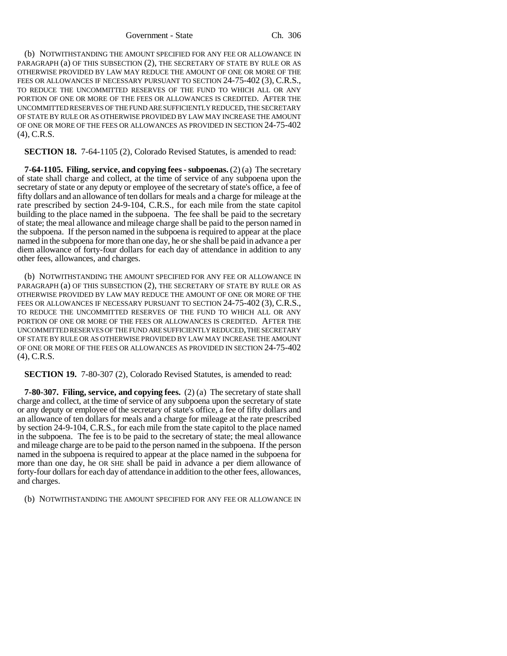(b) NOTWITHSTANDING THE AMOUNT SPECIFIED FOR ANY FEE OR ALLOWANCE IN PARAGRAPH (a) OF THIS SUBSECTION (2), THE SECRETARY OF STATE BY RULE OR AS OTHERWISE PROVIDED BY LAW MAY REDUCE THE AMOUNT OF ONE OR MORE OF THE FEES OR ALLOWANCES IF NECESSARY PURSUANT TO SECTION 24-75-402 (3), C.R.S., TO REDUCE THE UNCOMMITTED RESERVES OF THE FUND TO WHICH ALL OR ANY PORTION OF ONE OR MORE OF THE FEES OR ALLOWANCES IS CREDITED. AFTER THE UNCOMMITTED RESERVES OF THE FUND ARE SUFFICIENTLY REDUCED, THE SECRETARY OF STATE BY RULE OR AS OTHERWISE PROVIDED BY LAW MAY INCREASE THE AMOUNT OF ONE OR MORE OF THE FEES OR ALLOWANCES AS PROVIDED IN SECTION 24-75-402 (4), C.R.S.

**SECTION 18.** 7-64-1105 (2), Colorado Revised Statutes, is amended to read:

**7-64-1105. Filing, service, and copying fees - subpoenas.** (2) (a) The secretary of state shall charge and collect, at the time of service of any subpoena upon the secretary of state or any deputy or employee of the secretary of state's office, a fee of fifty dollars and an allowance of ten dollars for meals and a charge for mileage at the rate prescribed by section 24-9-104, C.R.S., for each mile from the state capitol building to the place named in the subpoena. The fee shall be paid to the secretary of state; the meal allowance and mileage charge shall be paid to the person named in the subpoena. If the person named in the subpoena is required to appear at the place named in the subpoena for more than one day, he or she shall be paid in advance a per diem allowance of forty-four dollars for each day of attendance in addition to any other fees, allowances, and charges.

(b) NOTWITHSTANDING THE AMOUNT SPECIFIED FOR ANY FEE OR ALLOWANCE IN PARAGRAPH (a) OF THIS SUBSECTION (2), THE SECRETARY OF STATE BY RULE OR AS OTHERWISE PROVIDED BY LAW MAY REDUCE THE AMOUNT OF ONE OR MORE OF THE FEES OR ALLOWANCES IF NECESSARY PURSUANT TO SECTION 24-75-402 (3), C.R.S., TO REDUCE THE UNCOMMITTED RESERVES OF THE FUND TO WHICH ALL OR ANY PORTION OF ONE OR MORE OF THE FEES OR ALLOWANCES IS CREDITED. AFTER THE UNCOMMITTED RESERVES OF THE FUND ARE SUFFICIENTLY REDUCED, THE SECRETARY OF STATE BY RULE OR AS OTHERWISE PROVIDED BY LAW MAY INCREASE THE AMOUNT OF ONE OR MORE OF THE FEES OR ALLOWANCES AS PROVIDED IN SECTION 24-75-402 (4), C.R.S.

**SECTION 19.** 7-80-307 (2), Colorado Revised Statutes, is amended to read:

**7-80-307. Filing, service, and copying fees.** (2) (a) The secretary of state shall charge and collect, at the time of service of any subpoena upon the secretary of state or any deputy or employee of the secretary of state's office, a fee of fifty dollars and an allowance of ten dollars for meals and a charge for mileage at the rate prescribed by section 24-9-104, C.R.S., for each mile from the state capitol to the place named in the subpoena. The fee is to be paid to the secretary of state; the meal allowance and mileage charge are to be paid to the person named in the subpoena. If the person named in the subpoena is required to appear at the place named in the subpoena for more than one day, he OR SHE shall be paid in advance a per diem allowance of forty-four dollars for each day of attendance in addition to the other fees, allowances, and charges.

(b) NOTWITHSTANDING THE AMOUNT SPECIFIED FOR ANY FEE OR ALLOWANCE IN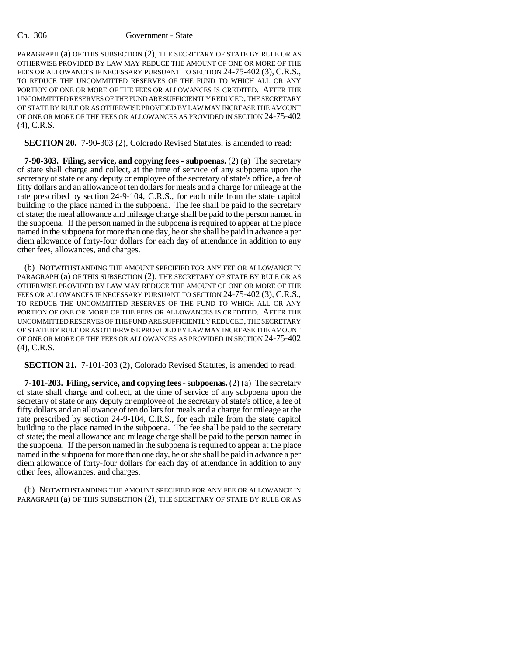#### Ch. 306 Government - State

PARAGRAPH (a) OF THIS SUBSECTION (2), THE SECRETARY OF STATE BY RULE OR AS OTHERWISE PROVIDED BY LAW MAY REDUCE THE AMOUNT OF ONE OR MORE OF THE FEES OR ALLOWANCES IF NECESSARY PURSUANT TO SECTION 24-75-402 (3), C.R.S., TO REDUCE THE UNCOMMITTED RESERVES OF THE FUND TO WHICH ALL OR ANY PORTION OF ONE OR MORE OF THE FEES OR ALLOWANCES IS CREDITED. AFTER THE UNCOMMITTED RESERVES OF THE FUND ARE SUFFICIENTLY REDUCED, THE SECRETARY OF STATE BY RULE OR AS OTHERWISE PROVIDED BY LAW MAY INCREASE THE AMOUNT OF ONE OR MORE OF THE FEES OR ALLOWANCES AS PROVIDED IN SECTION 24-75-402 (4), C.R.S.

**SECTION 20.** 7-90-303 (2), Colorado Revised Statutes, is amended to read:

**7-90-303. Filing, service, and copying fees - subpoenas.** (2) (a) The secretary of state shall charge and collect, at the time of service of any subpoena upon the secretary of state or any deputy or employee of the secretary of state's office, a fee of fifty dollars and an allowance of ten dollars for meals and a charge for mileage at the rate prescribed by section 24-9-104, C.R.S., for each mile from the state capitol building to the place named in the subpoena. The fee shall be paid to the secretary of state; the meal allowance and mileage charge shall be paid to the person named in the subpoena. If the person named in the subpoena is required to appear at the place named in the subpoena for more than one day, he or she shall be paid in advance a per diem allowance of forty-four dollars for each day of attendance in addition to any other fees, allowances, and charges.

(b) NOTWITHSTANDING THE AMOUNT SPECIFIED FOR ANY FEE OR ALLOWANCE IN PARAGRAPH (a) OF THIS SUBSECTION (2), THE SECRETARY OF STATE BY RULE OR AS OTHERWISE PROVIDED BY LAW MAY REDUCE THE AMOUNT OF ONE OR MORE OF THE FEES OR ALLOWANCES IF NECESSARY PURSUANT TO SECTION 24-75-402 (3), C.R.S., TO REDUCE THE UNCOMMITTED RESERVES OF THE FUND TO WHICH ALL OR ANY PORTION OF ONE OR MORE OF THE FEES OR ALLOWANCES IS CREDITED. AFTER THE UNCOMMITTED RESERVES OF THE FUND ARE SUFFICIENTLY REDUCED, THE SECRETARY OF STATE BY RULE OR AS OTHERWISE PROVIDED BY LAW MAY INCREASE THE AMOUNT OF ONE OR MORE OF THE FEES OR ALLOWANCES AS PROVIDED IN SECTION 24-75-402 (4), C.R.S.

**SECTION 21.** 7-101-203 (2), Colorado Revised Statutes, is amended to read:

**7-101-203. Filing, service, and copying fees - subpoenas.** (2) (a) The secretary of state shall charge and collect, at the time of service of any subpoena upon the secretary of state or any deputy or employee of the secretary of state's office, a fee of fifty dollars and an allowance of ten dollars for meals and a charge for mileage at the rate prescribed by section 24-9-104, C.R.S., for each mile from the state capitol building to the place named in the subpoena. The fee shall be paid to the secretary of state; the meal allowance and mileage charge shall be paid to the person named in the subpoena. If the person named in the subpoena is required to appear at the place named in the subpoena for more than one day, he or she shall be paid in advance a per diem allowance of forty-four dollars for each day of attendance in addition to any other fees, allowances, and charges.

(b) NOTWITHSTANDING THE AMOUNT SPECIFIED FOR ANY FEE OR ALLOWANCE IN PARAGRAPH (a) OF THIS SUBSECTION (2), THE SECRETARY OF STATE BY RULE OR AS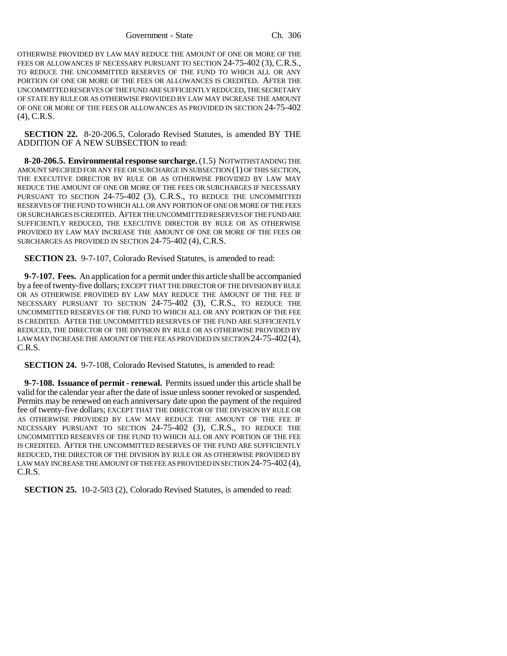OTHERWISE PROVIDED BY LAW MAY REDUCE THE AMOUNT OF ONE OR MORE OF THE FEES OR ALLOWANCES IF NECESSARY PURSUANT TO SECTION 24-75-402 (3), C.R.S., TO REDUCE THE UNCOMMITTED RESERVES OF THE FUND TO WHICH ALL OR ANY PORTION OF ONE OR MORE OF THE FEES OR ALLOWANCES IS CREDITED. AFTER THE UNCOMMITTED RESERVES OF THE FUND ARE SUFFICIENTLY REDUCED, THE SECRETARY OF STATE BY RULE OR AS OTHERWISE PROVIDED BY LAW MAY INCREASE THE AMOUNT OF ONE OR MORE OF THE FEES OR ALLOWANCES AS PROVIDED IN SECTION 24-75-402 (4), C.R.S.

**SECTION 22.** 8-20-206.5, Colorado Revised Statutes, is amended BY THE ADDITION OF A NEW SUBSECTION to read:

**8-20-206.5. Environmental response surcharge.** (1.5) NOTWITHSTANDING THE AMOUNT SPECIFIED FOR ANY FEE OR SURCHARGE IN SUBSECTION (1) OF THIS SECTION, THE EXECUTIVE DIRECTOR BY RULE OR AS OTHERWISE PROVIDED BY LAW MAY REDUCE THE AMOUNT OF ONE OR MORE OF THE FEES OR SURCHARGES IF NECESSARY PURSUANT TO SECTION 24-75-402 (3), C.R.S., TO REDUCE THE UNCOMMITTED RESERVES OF THE FUND TO WHICH ALL OR ANY PORTION OF ONE OR MORE OF THE FEES OR SURCHARGES IS CREDITED. AFTER THE UNCOMMITTED RESERVES OF THE FUND ARE SUFFICIENTLY REDUCED, THE EXECUTIVE DIRECTOR BY RULE OR AS OTHERWISE PROVIDED BY LAW MAY INCREASE THE AMOUNT OF ONE OR MORE OF THE FEES OR SURCHARGES AS PROVIDED IN SECTION 24-75-402 (4), C.R.S.

**SECTION 23.** 9-7-107, Colorado Revised Statutes, is amended to read:

**9-7-107. Fees.** An application for a permit under this article shall be accompanied by a fee of twenty-five dollars; EXCEPT THAT THE DIRECTOR OF THE DIVISION BY RULE OR AS OTHERWISE PROVIDED BY LAW MAY REDUCE THE AMOUNT OF THE FEE IF NECESSARY PURSUANT TO SECTION 24-75-402 (3), C.R.S., TO REDUCE THE UNCOMMITTED RESERVES OF THE FUND TO WHICH ALL OR ANY PORTION OF THE FEE IS CREDITED. AFTER THE UNCOMMITTED RESERVES OF THE FUND ARE SUFFICIENTLY REDUCED, THE DIRECTOR OF THE DIVISION BY RULE OR AS OTHERWISE PROVIDED BY LAW MAY INCREASE THE AMOUNT OF THE FEE AS PROVIDED IN SECTION 24-75-402 (4), C.R.S.

**SECTION 24.** 9-7-108, Colorado Revised Statutes, is amended to read:

**9-7-108. Issuance of permit - renewal.** Permits issued under this article shall be valid for the calendar year after the date of issue unless sooner revoked or suspended. Permits may be renewed on each anniversary date upon the payment of the required fee of twenty-five dollars; EXCEPT THAT THE DIRECTOR OF THE DIVISION BY RULE OR AS OTHERWISE PROVIDED BY LAW MAY REDUCE THE AMOUNT OF THE FEE IF NECESSARY PURSUANT TO SECTION 24-75-402 (3), C.R.S., TO REDUCE THE UNCOMMITTED RESERVES OF THE FUND TO WHICH ALL OR ANY PORTION OF THE FEE IS CREDITED. AFTER THE UNCOMMITTED RESERVES OF THE FUND ARE SUFFICIENTLY REDUCED, THE DIRECTOR OF THE DIVISION BY RULE OR AS OTHERWISE PROVIDED BY LAW MAY INCREASE THE AMOUNT OF THE FEE AS PROVIDED IN SECTION 24-75-402 (4), C.R.S.

**SECTION 25.** 10-2-503 (2), Colorado Revised Statutes, is amended to read: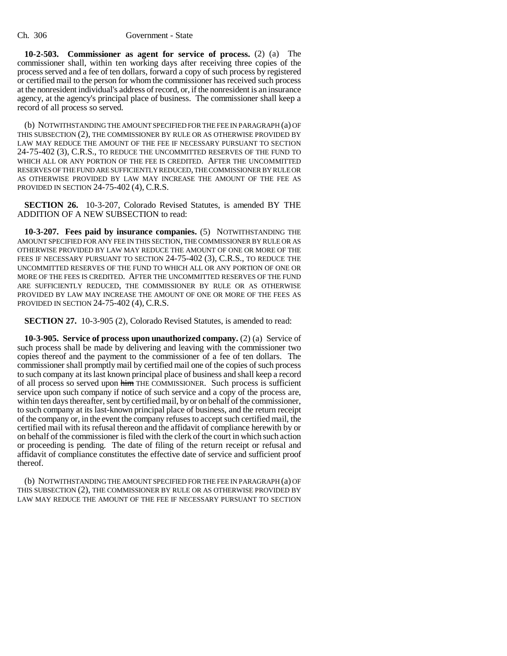**10-2-503. Commissioner as agent for service of process.** (2) (a) The commissioner shall, within ten working days after receiving three copies of the process served and a fee of ten dollars, forward a copy of such process by registered or certified mail to the person for whom the commissioner has received such process at the nonresident individual's address of record, or, if the nonresident is an insurance agency, at the agency's principal place of business. The commissioner shall keep a record of all process so served.

(b) NOTWITHSTANDING THE AMOUNT SPECIFIED FOR THE FEE IN PARAGRAPH (a) OF THIS SUBSECTION (2), THE COMMISSIONER BY RULE OR AS OTHERWISE PROVIDED BY LAW MAY REDUCE THE AMOUNT OF THE FEE IF NECESSARY PURSUANT TO SECTION 24-75-402 (3), C.R.S., TO REDUCE THE UNCOMMITTED RESERVES OF THE FUND TO WHICH ALL OR ANY PORTION OF THE FEE IS CREDITED. AFTER THE UNCOMMITTED RESERVES OF THE FUND ARE SUFFICIENTLY REDUCED, THE COMMISSIONER BY RULE OR AS OTHERWISE PROVIDED BY LAW MAY INCREASE THE AMOUNT OF THE FEE AS PROVIDED IN SECTION 24-75-402 (4), C.R.S.

**SECTION 26.** 10-3-207, Colorado Revised Statutes, is amended BY THE ADDITION OF A NEW SUBSECTION to read:

**10-3-207. Fees paid by insurance companies.** (5) NOTWITHSTANDING THE AMOUNT SPECIFIED FOR ANY FEE IN THIS SECTION, THE COMMISSIONER BY RULE OR AS OTHERWISE PROVIDED BY LAW MAY REDUCE THE AMOUNT OF ONE OR MORE OF THE FEES IF NECESSARY PURSUANT TO SECTION 24-75-402 (3), C.R.S., TO REDUCE THE UNCOMMITTED RESERVES OF THE FUND TO WHICH ALL OR ANY PORTION OF ONE OR MORE OF THE FEES IS CREDITED. AFTER THE UNCOMMITTED RESERVES OF THE FUND ARE SUFFICIENTLY REDUCED, THE COMMISSIONER BY RULE OR AS OTHERWISE PROVIDED BY LAW MAY INCREASE THE AMOUNT OF ONE OR MORE OF THE FEES AS PROVIDED IN SECTION 24-75-402 (4), C.R.S.

**SECTION 27.** 10-3-905 (2), Colorado Revised Statutes, is amended to read:

**10-3-905. Service of process upon unauthorized company.** (2) (a) Service of such process shall be made by delivering and leaving with the commissioner two copies thereof and the payment to the commissioner of a fee of ten dollars. The commissioner shall promptly mail by certified mail one of the copies of such process to such company at its last known principal place of business and shall keep a record of all process so served upon him THE COMMISSIONER. Such process is sufficient service upon such company if notice of such service and a copy of the process are, within ten days thereafter, sent by certified mail, by or on behalf of the commissioner, to such company at its last-known principal place of business, and the return receipt of the company or, in the event the company refuses to accept such certified mail, the certified mail with its refusal thereon and the affidavit of compliance herewith by or on behalf of the commissioner is filed with the clerk of the court in which such action or proceeding is pending. The date of filing of the return receipt or refusal and affidavit of compliance constitutes the effective date of service and sufficient proof thereof.

(b) NOTWITHSTANDING THE AMOUNT SPECIFIED FOR THE FEE IN PARAGRAPH (a) OF THIS SUBSECTION (2), THE COMMISSIONER BY RULE OR AS OTHERWISE PROVIDED BY LAW MAY REDUCE THE AMOUNT OF THE FEE IF NECESSARY PURSUANT TO SECTION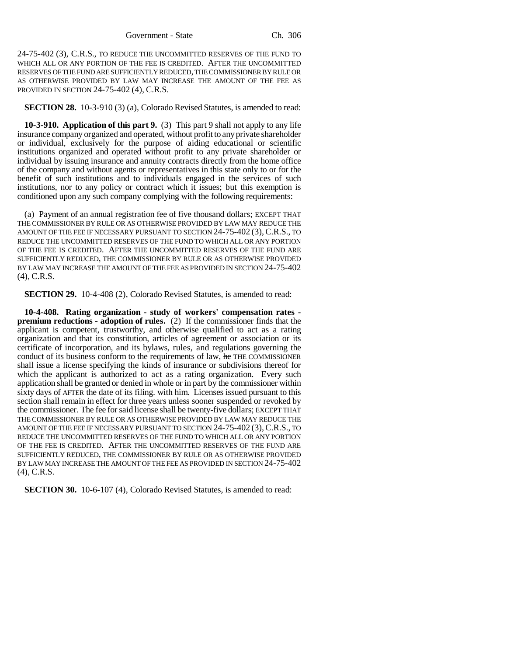24-75-402 (3), C.R.S., TO REDUCE THE UNCOMMITTED RESERVES OF THE FUND TO WHICH ALL OR ANY PORTION OF THE FEE IS CREDITED. AFTER THE UNCOMMITTED RESERVES OF THE FUND ARE SUFFICIENTLY REDUCED, THE COMMISSIONER BY RULE OR AS OTHERWISE PROVIDED BY LAW MAY INCREASE THE AMOUNT OF THE FEE AS PROVIDED IN SECTION 24-75-402 (4), C.R.S.

#### **SECTION 28.** 10-3-910 (3) (a), Colorado Revised Statutes, is amended to read:

**10-3-910. Application of this part 9.** (3) This part 9 shall not apply to any life insurance company organized and operated, without profit to any private shareholder or individual, exclusively for the purpose of aiding educational or scientific institutions organized and operated without profit to any private shareholder or individual by issuing insurance and annuity contracts directly from the home office of the company and without agents or representatives in this state only to or for the benefit of such institutions and to individuals engaged in the services of such institutions, nor to any policy or contract which it issues; but this exemption is conditioned upon any such company complying with the following requirements:

(a) Payment of an annual registration fee of five thousand dollars; EXCEPT THAT THE COMMISSIONER BY RULE OR AS OTHERWISE PROVIDED BY LAW MAY REDUCE THE AMOUNT OF THE FEE IF NECESSARY PURSUANT TO SECTION 24-75-402 (3), C.R.S., TO REDUCE THE UNCOMMITTED RESERVES OF THE FUND TO WHICH ALL OR ANY PORTION OF THE FEE IS CREDITED. AFTER THE UNCOMMITTED RESERVES OF THE FUND ARE SUFFICIENTLY REDUCED, THE COMMISSIONER BY RULE OR AS OTHERWISE PROVIDED BY LAW MAY INCREASE THE AMOUNT OF THE FEE AS PROVIDED IN SECTION 24-75-402 (4), C.R.S.

**SECTION 29.** 10-4-408 (2), Colorado Revised Statutes, is amended to read:

**10-4-408. Rating organization - study of workers' compensation rates premium reductions - adoption of rules.** (2) If the commissioner finds that the applicant is competent, trustworthy, and otherwise qualified to act as a rating organization and that its constitution, articles of agreement or association or its certificate of incorporation, and its bylaws, rules, and regulations governing the conduct of its business conform to the requirements of law, he THE COMMISSIONER shall issue a license specifying the kinds of insurance or subdivisions thereof for which the applicant is authorized to act as a rating organization. Every such application shall be granted or denied in whole or in part by the commissioner within sixty days of AFTER the date of its filing. with him. Licenses issued pursuant to this section shall remain in effect for three years unless sooner suspended or revoked by the commissioner. The fee for said license shall be twenty-five dollars; EXCEPT THAT THE COMMISSIONER BY RULE OR AS OTHERWISE PROVIDED BY LAW MAY REDUCE THE AMOUNT OF THE FEE IF NECESSARY PURSUANT TO SECTION 24-75-402 (3), C.R.S., TO REDUCE THE UNCOMMITTED RESERVES OF THE FUND TO WHICH ALL OR ANY PORTION OF THE FEE IS CREDITED. AFTER THE UNCOMMITTED RESERVES OF THE FUND ARE SUFFICIENTLY REDUCED, THE COMMISSIONER BY RULE OR AS OTHERWISE PROVIDED BY LAW MAY INCREASE THE AMOUNT OF THE FEE AS PROVIDED IN SECTION 24-75-402 (4), C.R.S.

**SECTION 30.** 10-6-107 (4), Colorado Revised Statutes, is amended to read: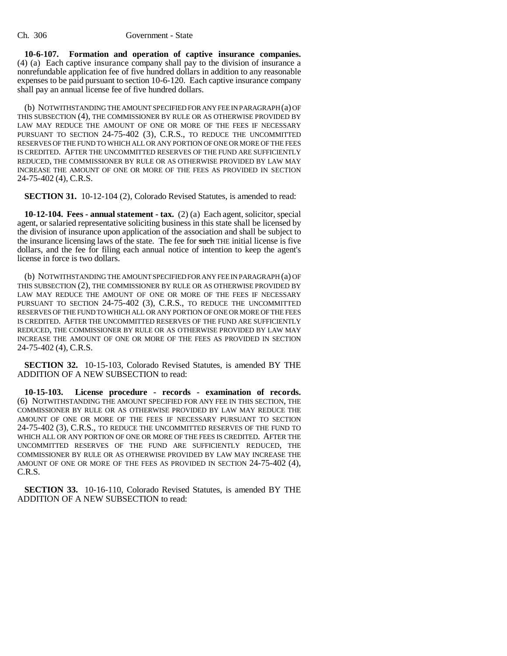**10-6-107. Formation and operation of captive insurance companies.** (4) (a) Each captive insurance company shall pay to the division of insurance a nonrefundable application fee of five hundred dollars in addition to any reasonable expenses to be paid pursuant to section 10-6-120. Each captive insurance company shall pay an annual license fee of five hundred dollars.

(b) NOTWITHSTANDING THE AMOUNT SPECIFIED FOR ANY FEE IN PARAGRAPH (a) OF THIS SUBSECTION (4), THE COMMISSIONER BY RULE OR AS OTHERWISE PROVIDED BY LAW MAY REDUCE THE AMOUNT OF ONE OR MORE OF THE FEES IF NECESSARY PURSUANT TO SECTION 24-75-402 (3), C.R.S., TO REDUCE THE UNCOMMITTED RESERVES OF THE FUND TO WHICH ALL OR ANY PORTION OF ONE OR MORE OF THE FEES IS CREDITED. AFTER THE UNCOMMITTED RESERVES OF THE FUND ARE SUFFICIENTLY REDUCED, THE COMMISSIONER BY RULE OR AS OTHERWISE PROVIDED BY LAW MAY INCREASE THE AMOUNT OF ONE OR MORE OF THE FEES AS PROVIDED IN SECTION 24-75-402 (4), C.R.S.

**SECTION 31.** 10-12-104 (2), Colorado Revised Statutes, is amended to read:

**10-12-104. Fees - annual statement - tax.** (2) (a) Each agent, solicitor, special agent, or salaried representative soliciting business in this state shall be licensed by the division of insurance upon application of the association and shall be subject to the insurance licensing laws of the state. The fee for such THE initial license is five dollars, and the fee for filing each annual notice of intention to keep the agent's license in force is two dollars.

(b) NOTWITHSTANDING THE AMOUNT SPECIFIED FOR ANY FEE IN PARAGRAPH (a) OF THIS SUBSECTION (2), THE COMMISSIONER BY RULE OR AS OTHERWISE PROVIDED BY LAW MAY REDUCE THE AMOUNT OF ONE OR MORE OF THE FEES IF NECESSARY PURSUANT TO SECTION 24-75-402 (3), C.R.S., TO REDUCE THE UNCOMMITTED RESERVES OF THE FUND TO WHICH ALL OR ANY PORTION OF ONE OR MORE OF THE FEES IS CREDITED. AFTER THE UNCOMMITTED RESERVES OF THE FUND ARE SUFFICIENTLY REDUCED, THE COMMISSIONER BY RULE OR AS OTHERWISE PROVIDED BY LAW MAY INCREASE THE AMOUNT OF ONE OR MORE OF THE FEES AS PROVIDED IN SECTION 24-75-402 (4), C.R.S.

**SECTION 32.** 10-15-103, Colorado Revised Statutes, is amended BY THE ADDITION OF A NEW SUBSECTION to read:

**10-15-103. License procedure - records - examination of records.** (6) NOTWITHSTANDING THE AMOUNT SPECIFIED FOR ANY FEE IN THIS SECTION, THE COMMISSIONER BY RULE OR AS OTHERWISE PROVIDED BY LAW MAY REDUCE THE AMOUNT OF ONE OR MORE OF THE FEES IF NECESSARY PURSUANT TO SECTION 24-75-402 (3), C.R.S., TO REDUCE THE UNCOMMITTED RESERVES OF THE FUND TO WHICH ALL OR ANY PORTION OF ONE OR MORE OF THE FEES IS CREDITED. AFTER THE UNCOMMITTED RESERVES OF THE FUND ARE SUFFICIENTLY REDUCED, THE COMMISSIONER BY RULE OR AS OTHERWISE PROVIDED BY LAW MAY INCREASE THE AMOUNT OF ONE OR MORE OF THE FEES AS PROVIDED IN SECTION 24-75-402 (4), C.R.S.

**SECTION 33.** 10-16-110, Colorado Revised Statutes, is amended BY THE ADDITION OF A NEW SUBSECTION to read: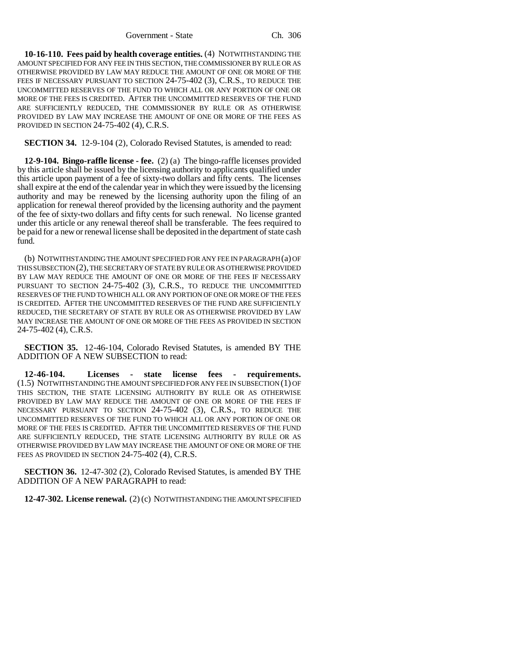**10-16-110. Fees paid by health coverage entities.** (4) NOTWITHSTANDING THE AMOUNT SPECIFIED FOR ANY FEE IN THIS SECTION, THE COMMISSIONER BY RULE OR AS OTHERWISE PROVIDED BY LAW MAY REDUCE THE AMOUNT OF ONE OR MORE OF THE FEES IF NECESSARY PURSUANT TO SECTION 24-75-402 (3), C.R.S., TO REDUCE THE UNCOMMITTED RESERVES OF THE FUND TO WHICH ALL OR ANY PORTION OF ONE OR MORE OF THE FEES IS CREDITED. AFTER THE UNCOMMITTED RESERVES OF THE FUND ARE SUFFICIENTLY REDUCED, THE COMMISSIONER BY RULE OR AS OTHERWISE PROVIDED BY LAW MAY INCREASE THE AMOUNT OF ONE OR MORE OF THE FEES AS PROVIDED IN SECTION 24-75-402 (4), C.R.S.

**SECTION 34.** 12-9-104 (2), Colorado Revised Statutes, is amended to read:

**12-9-104. Bingo-raffle license - fee.** (2) (a) The bingo-raffle licenses provided by this article shall be issued by the licensing authority to applicants qualified under this article upon payment of a fee of sixty-two dollars and fifty cents. The licenses shall expire at the end of the calendar year in which they were issued by the licensing authority and may be renewed by the licensing authority upon the filing of an application for renewal thereof provided by the licensing authority and the payment of the fee of sixty-two dollars and fifty cents for such renewal. No license granted under this article or any renewal thereof shall be transferable. The fees required to be paid for a new or renewal license shall be deposited in the department of state cash fund.

(b) NOTWITHSTANDING THE AMOUNT SPECIFIED FOR ANY FEE IN PARAGRAPH (a) OF THIS SUBSECTION (2), THE SECRETARY OF STATE BY RULE OR AS OTHERWISE PROVIDED BY LAW MAY REDUCE THE AMOUNT OF ONE OR MORE OF THE FEES IF NECESSARY PURSUANT TO SECTION 24-75-402 (3), C.R.S., TO REDUCE THE UNCOMMITTED RESERVES OF THE FUND TO WHICH ALL OR ANY PORTION OF ONE OR MORE OF THE FEES IS CREDITED. AFTER THE UNCOMMITTED RESERVES OF THE FUND ARE SUFFICIENTLY REDUCED, THE SECRETARY OF STATE BY RULE OR AS OTHERWISE PROVIDED BY LAW MAY INCREASE THE AMOUNT OF ONE OR MORE OF THE FEES AS PROVIDED IN SECTION 24-75-402 (4), C.R.S.

**SECTION 35.** 12-46-104, Colorado Revised Statutes, is amended BY THE ADDITION OF A NEW SUBSECTION to read:

**12-46-104. Licenses - state license fees - requirements.** (1.5) NOTWITHSTANDING THE AMOUNT SPECIFIED FOR ANY FEE IN SUBSECTION (1) OF THIS SECTION, THE STATE LICENSING AUTHORITY BY RULE OR AS OTHERWISE PROVIDED BY LAW MAY REDUCE THE AMOUNT OF ONE OR MORE OF THE FEES IF NECESSARY PURSUANT TO SECTION 24-75-402 (3), C.R.S., TO REDUCE THE UNCOMMITTED RESERVES OF THE FUND TO WHICH ALL OR ANY PORTION OF ONE OR MORE OF THE FEES IS CREDITED. AFTER THE UNCOMMITTED RESERVES OF THE FUND ARE SUFFICIENTLY REDUCED, THE STATE LICENSING AUTHORITY BY RULE OR AS OTHERWISE PROVIDED BY LAW MAY INCREASE THE AMOUNT OF ONE OR MORE OF THE FEES AS PROVIDED IN SECTION 24-75-402 (4), C.R.S.

**SECTION 36.** 12-47-302 (2), Colorado Revised Statutes, is amended BY THE ADDITION OF A NEW PARAGRAPH to read:

**12-47-302. License renewal.** (2) (c) NOTWITHSTANDING THE AMOUNT SPECIFIED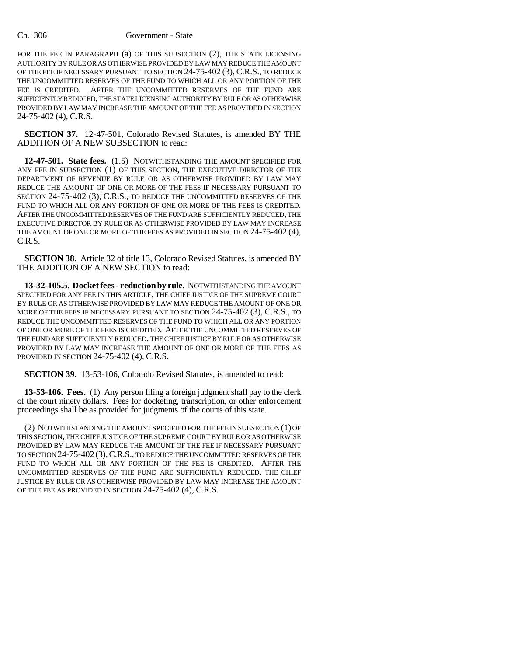#### Ch. 306 Government - State

FOR THE FEE IN PARAGRAPH (a) OF THIS SUBSECTION (2), THE STATE LICENSING AUTHORITY BY RULE OR AS OTHERWISE PROVIDED BY LAW MAY REDUCE THE AMOUNT OF THE FEE IF NECESSARY PURSUANT TO SECTION 24-75-402 (3), C.R.S., TO REDUCE THE UNCOMMITTED RESERVES OF THE FUND TO WHICH ALL OR ANY PORTION OF THE FEE IS CREDITED. AFTER THE UNCOMMITTED RESERVES OF THE FUND ARE SUFFICIENTLY REDUCED, THE STATE LICENSING AUTHORITY BY RULE OR AS OTHERWISE PROVIDED BY LAW MAY INCREASE THE AMOUNT OF THE FEE AS PROVIDED IN SECTION 24-75-402 (4), C.R.S.

**SECTION 37.** 12-47-501, Colorado Revised Statutes, is amended BY THE ADDITION OF A NEW SUBSECTION to read:

**12-47-501. State fees.** (1.5) NOTWITHSTANDING THE AMOUNT SPECIFIED FOR ANY FEE IN SUBSECTION (1) OF THIS SECTION, THE EXECUTIVE DIRECTOR OF THE DEPARTMENT OF REVENUE BY RULE OR AS OTHERWISE PROVIDED BY LAW MAY REDUCE THE AMOUNT OF ONE OR MORE OF THE FEES IF NECESSARY PURSUANT TO SECTION 24-75-402 (3), C.R.S., TO REDUCE THE UNCOMMITTED RESERVES OF THE FUND TO WHICH ALL OR ANY PORTION OF ONE OR MORE OF THE FEES IS CREDITED. AFTER THE UNCOMMITTED RESERVES OF THE FUND ARE SUFFICIENTLY REDUCED, THE EXECUTIVE DIRECTOR BY RULE OR AS OTHERWISE PROVIDED BY LAW MAY INCREASE THE AMOUNT OF ONE OR MORE OF THE FEES AS PROVIDED IN SECTION 24-75-402 (4), C.R.S.

**SECTION 38.** Article 32 of title 13, Colorado Revised Statutes, is amended BY THE ADDITION OF A NEW SECTION to read:

**13-32-105.5. Docket fees - reduction by rule.** NOTWITHSTANDING THE AMOUNT SPECIFIED FOR ANY FEE IN THIS ARTICLE, THE CHIEF JUSTICE OF THE SUPREME COURT BY RULE OR AS OTHERWISE PROVIDED BY LAW MAY REDUCE THE AMOUNT OF ONE OR MORE OF THE FEES IF NECESSARY PURSUANT TO SECTION 24-75-402 (3), C.R.S., TO REDUCE THE UNCOMMITTED RESERVES OF THE FUND TO WHICH ALL OR ANY PORTION OF ONE OR MORE OF THE FEES IS CREDITED. AFTER THE UNCOMMITTED RESERVES OF THE FUND ARE SUFFICIENTLY REDUCED, THE CHIEF JUSTICE BY RULE OR AS OTHERWISE PROVIDED BY LAW MAY INCREASE THE AMOUNT OF ONE OR MORE OF THE FEES AS PROVIDED IN SECTION 24-75-402 (4), C.R.S.

**SECTION 39.** 13-53-106, Colorado Revised Statutes, is amended to read:

**13-53-106. Fees.** (1) Any person filing a foreign judgment shall pay to the clerk of the court ninety dollars. Fees for docketing, transcription, or other enforcement proceedings shall be as provided for judgments of the courts of this state.

(2) NOTWITHSTANDING THE AMOUNT SPECIFIED FOR THE FEE IN SUBSECTION (1) OF THIS SECTION, THE CHIEF JUSTICE OF THE SUPREME COURT BY RULE OR AS OTHERWISE PROVIDED BY LAW MAY REDUCE THE AMOUNT OF THE FEE IF NECESSARY PURSUANT TO SECTION 24-75-402 (3),C.R.S., TO REDUCE THE UNCOMMITTED RESERVES OF THE FUND TO WHICH ALL OR ANY PORTION OF THE FEE IS CREDITED. AFTER THE UNCOMMITTED RESERVES OF THE FUND ARE SUFFICIENTLY REDUCED, THE CHIEF JUSTICE BY RULE OR AS OTHERWISE PROVIDED BY LAW MAY INCREASE THE AMOUNT OF THE FEE AS PROVIDED IN SECTION 24-75-402 (4), C.R.S.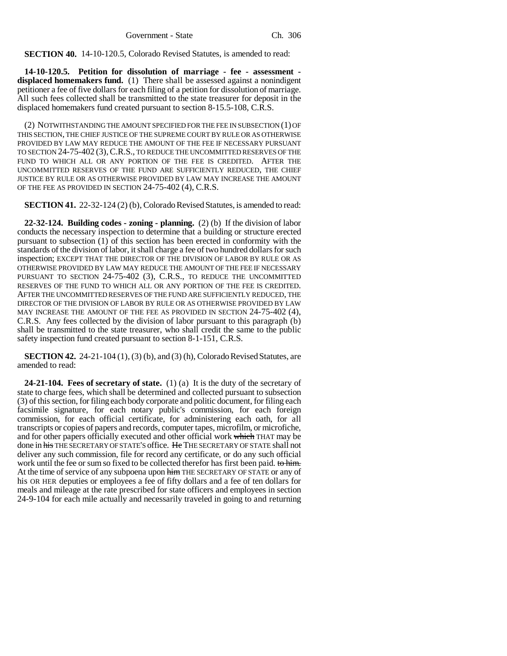**SECTION 40.** 14-10-120.5, Colorado Revised Statutes, is amended to read:

**14-10-120.5. Petition for dissolution of marriage - fee - assessment displaced homemakers fund.** (1) There shall be assessed against a nonindigent petitioner a fee of five dollars for each filing of a petition for dissolution of marriage. All such fees collected shall be transmitted to the state treasurer for deposit in the displaced homemakers fund created pursuant to section 8-15.5-108, C.R.S.

(2) NOTWITHSTANDING THE AMOUNT SPECIFIED FOR THE FEE IN SUBSECTION (1) OF THIS SECTION, THE CHIEF JUSTICE OF THE SUPREME COURT BY RULE OR AS OTHERWISE PROVIDED BY LAW MAY REDUCE THE AMOUNT OF THE FEE IF NECESSARY PURSUANT TO SECTION 24-75-402 (3),C.R.S., TO REDUCE THE UNCOMMITTED RESERVES OF THE FUND TO WHICH ALL OR ANY PORTION OF THE FEE IS CREDITED. AFTER THE UNCOMMITTED RESERVES OF THE FUND ARE SUFFICIENTLY REDUCED, THE CHIEF JUSTICE BY RULE OR AS OTHERWISE PROVIDED BY LAW MAY INCREASE THE AMOUNT OF THE FEE AS PROVIDED IN SECTION 24-75-402 (4), C.R.S.

**SECTION 41.** 22-32-124 (2) (b), Colorado Revised Statutes, is amended to read:

**22-32-124. Building codes - zoning - planning.** (2) (b) If the division of labor conducts the necessary inspection to determine that a building or structure erected pursuant to subsection (1) of this section has been erected in conformity with the standards of the division of labor, it shall charge a fee of two hundred dollars for such inspection; EXCEPT THAT THE DIRECTOR OF THE DIVISION OF LABOR BY RULE OR AS OTHERWISE PROVIDED BY LAW MAY REDUCE THE AMOUNT OF THE FEE IF NECESSARY PURSUANT TO SECTION 24-75-402 (3), C.R.S., TO REDUCE THE UNCOMMITTED RESERVES OF THE FUND TO WHICH ALL OR ANY PORTION OF THE FEE IS CREDITED. AFTER THE UNCOMMITTED RESERVES OF THE FUND ARE SUFFICIENTLY REDUCED, THE DIRECTOR OF THE DIVISION OF LABOR BY RULE OR AS OTHERWISE PROVIDED BY LAW MAY INCREASE THE AMOUNT OF THE FEE AS PROVIDED IN SECTION 24-75-402 (4), C.R.S. Any fees collected by the division of labor pursuant to this paragraph (b) shall be transmitted to the state treasurer, who shall credit the same to the public safety inspection fund created pursuant to section 8-1-151, C.R.S.

**SECTION 42.** 24-21-104 (1), (3) (b), and (3) (h), Colorado Revised Statutes, are amended to read:

**24-21-104. Fees of secretary of state.** (1) (a) It is the duty of the secretary of state to charge fees, which shall be determined and collected pursuant to subsection (3) of this section, for filing each body corporate and politic document, for filing each facsimile signature, for each notary public's commission, for each foreign commission, for each official certificate, for administering each oath, for all transcripts or copies of papers and records, computer tapes, microfilm, or microfiche, and for other papers officially executed and other official work which THAT may be done in his THE SECRETARY OF STATE'S office. He THE SECRETARY OF STATE shall not deliver any such commission, file for record any certificate, or do any such official work until the fee or sum so fixed to be collected therefor has first been paid. to him. At the time of service of any subpoena upon him THE SECRETARY OF STATE or any of his OR HER deputies or employees a fee of fifty dollars and a fee of ten dollars for meals and mileage at the rate prescribed for state officers and employees in section 24-9-104 for each mile actually and necessarily traveled in going to and returning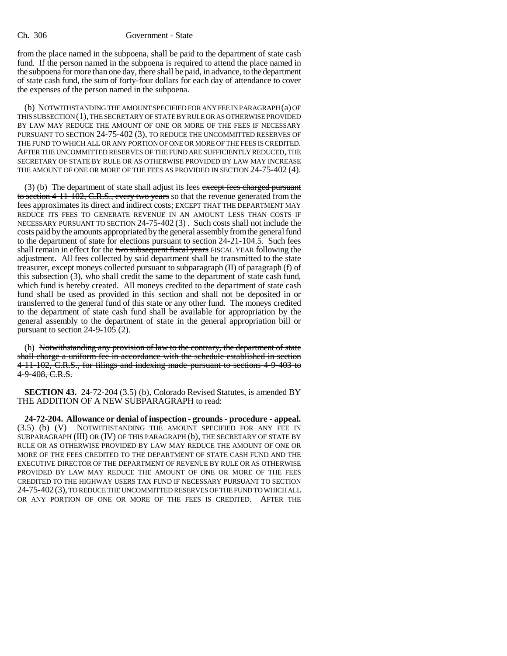from the place named in the subpoena, shall be paid to the department of state cash fund. If the person named in the subpoena is required to attend the place named in the subpoena for more than one day, there shall be paid, in advance, to the department of state cash fund, the sum of forty-four dollars for each day of attendance to cover the expenses of the person named in the subpoena.

(b) NOTWITHSTANDING THE AMOUNT SPECIFIED FOR ANY FEE IN PARAGRAPH (a) OF THIS SUBSECTION (1), THE SECRETARY OF STATE BY RULE OR AS OTHERWISE PROVIDED BY LAW MAY REDUCE THE AMOUNT OF ONE OR MORE OF THE FEES IF NECESSARY PURSUANT TO SECTION 24-75-402 (3), TO REDUCE THE UNCOMMITTED RESERVES OF THE FUND TO WHICH ALL OR ANY PORTION OF ONE OR MORE OF THE FEES IS CREDITED. AFTER THE UNCOMMITTED RESERVES OF THE FUND ARE SUFFICIENTLY REDUCED, THE SECRETARY OF STATE BY RULE OR AS OTHERWISE PROVIDED BY LAW MAY INCREASE THE AMOUNT OF ONE OR MORE OF THE FEES AS PROVIDED IN SECTION 24-75-402 (4).

(3) (b) The department of state shall adjust its fees except fees charged pursuant to section 4-11-102, C.R.S., every two years so that the revenue generated from the fees approximates its direct and indirect costs; EXCEPT THAT THE DEPARTMENT MAY REDUCE ITS FEES TO GENERATE REVENUE IN AN AMOUNT LESS THAN COSTS IF NECESSARY PURSUANT TO SECTION 24-75-402 (3) . Such costs shall not include the costs paid by the amounts appropriated by the general assembly from the general fund to the department of state for elections pursuant to section 24-21-104.5. Such fees shall remain in effect for the two subsequent fiscal years FISCAL YEAR following the adjustment. All fees collected by said department shall be transmitted to the state treasurer, except moneys collected pursuant to subparagraph (II) of paragraph (f) of this subsection (3), who shall credit the same to the department of state cash fund, which fund is hereby created. All moneys credited to the department of state cash fund shall be used as provided in this section and shall not be deposited in or transferred to the general fund of this state or any other fund. The moneys credited to the department of state cash fund shall be available for appropriation by the general assembly to the department of state in the general appropriation bill or pursuant to section 24-9-105 (2).

(h) Notwithstanding any provision of law to the contrary, the department of state shall charge a uniform fee in accordance with the schedule established in section 4-11-102, C.R.S., for filings and indexing made pursuant to sections 4-9-403 to 4-9-408, C.R.S.

**SECTION 43.** 24-72-204 (3.5) (b), Colorado Revised Statutes, is amended BY THE ADDITION OF A NEW SUBPARAGRAPH to read:

**24-72-204. Allowance or denial of inspection - grounds - procedure - appeal.** (3.5) (b) (V) NOTWITHSTANDING THE AMOUNT SPECIFIED FOR ANY FEE IN SUBPARAGRAPH (III) OR (IV) OF THIS PARAGRAPH (b), THE SECRETARY OF STATE BY RULE OR AS OTHERWISE PROVIDED BY LAW MAY REDUCE THE AMOUNT OF ONE OR MORE OF THE FEES CREDITED TO THE DEPARTMENT OF STATE CASH FUND AND THE EXECUTIVE DIRECTOR OF THE DEPARTMENT OF REVENUE BY RULE OR AS OTHERWISE PROVIDED BY LAW MAY REDUCE THE AMOUNT OF ONE OR MORE OF THE FEES CREDITED TO THE HIGHWAY USERS TAX FUND IF NECESSARY PURSUANT TO SECTION 24-75-402(3), TO REDUCE THE UNCOMMITTED RESERVES OF THE FUND TO WHICH ALL OR ANY PORTION OF ONE OR MORE OF THE FEES IS CREDITED. AFTER THE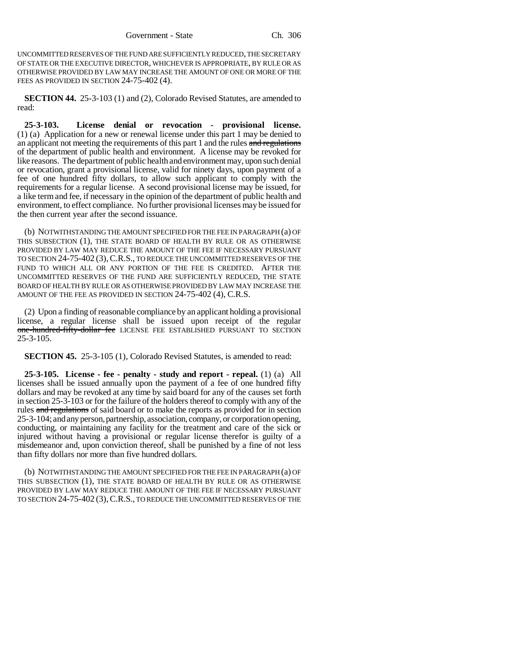UNCOMMITTED RESERVES OF THE FUND ARE SUFFICIENTLY REDUCED, THE SECRETARY OF STATE OR THE EXECUTIVE DIRECTOR, WHICHEVER IS APPROPRIATE, BY RULE OR AS OTHERWISE PROVIDED BY LAW MAY INCREASE THE AMOUNT OF ONE OR MORE OF THE FEES AS PROVIDED IN SECTION 24-75-402 (4).

**SECTION 44.** 25-3-103 (1) and (2), Colorado Revised Statutes, are amended to read:

**25-3-103. License denial or revocation - provisional license.** (1) (a) Application for a new or renewal license under this part 1 may be denied to an applicant not meeting the requirements of this part 1 and the rules and regulations of the department of public health and environment. A license may be revoked for like reasons. The department of public health and environment may, upon such denial or revocation, grant a provisional license, valid for ninety days, upon payment of a fee of one hundred fifty dollars, to allow such applicant to comply with the requirements for a regular license. A second provisional license may be issued, for a like term and fee, if necessary in the opinion of the department of public health and environment, to effect compliance. No further provisional licenses may be issued for the then current year after the second issuance.

(b) NOTWITHSTANDING THE AMOUNT SPECIFIED FOR THE FEE IN PARAGRAPH (a) OF THIS SUBSECTION (1), THE STATE BOARD OF HEALTH BY RULE OR AS OTHERWISE PROVIDED BY LAW MAY REDUCE THE AMOUNT OF THE FEE IF NECESSARY PURSUANT TO SECTION 24-75-402 (3),C.R.S., TO REDUCE THE UNCOMMITTED RESERVES OF THE FUND TO WHICH ALL OR ANY PORTION OF THE FEE IS CREDITED. AFTER THE UNCOMMITTED RESERVES OF THE FUND ARE SUFFICIENTLY REDUCED, THE STATE BOARD OF HEALTH BY RULE OR AS OTHERWISE PROVIDED BY LAW MAY INCREASE THE AMOUNT OF THE FEE AS PROVIDED IN SECTION 24-75-402 (4), C.R.S.

(2) Upon a finding of reasonable compliance by an applicant holding a provisional license, a regular license shall be issued upon receipt of the regular one-hundred-fifty-dollar fee LICENSE FEE ESTABLISHED PURSUANT TO SECTION 25-3-105.

**SECTION 45.** 25-3-105 (1), Colorado Revised Statutes, is amended to read:

**25-3-105. License - fee - penalty - study and report - repeal.** (1) (a) All licenses shall be issued annually upon the payment of a fee of one hundred fifty dollars and may be revoked at any time by said board for any of the causes set forth in section 25-3-103 or for the failure of the holders thereof to comply with any of the rules and regulations of said board or to make the reports as provided for in section 25-3-104; and any person, partnership, association, company, or corporation opening, conducting, or maintaining any facility for the treatment and care of the sick or injured without having a provisional or regular license therefor is guilty of a misdemeanor and, upon conviction thereof, shall be punished by a fine of not less than fifty dollars nor more than five hundred dollars.

(b) NOTWITHSTANDING THE AMOUNT SPECIFIED FOR THE FEE IN PARAGRAPH (a) OF THIS SUBSECTION (1), THE STATE BOARD OF HEALTH BY RULE OR AS OTHERWISE PROVIDED BY LAW MAY REDUCE THE AMOUNT OF THE FEE IF NECESSARY PURSUANT TO SECTION 24-75-402 (3),C.R.S., TO REDUCE THE UNCOMMITTED RESERVES OF THE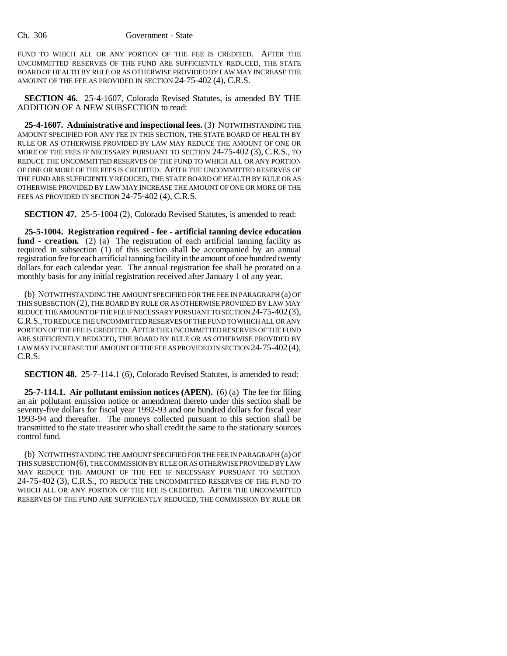FUND TO WHICH ALL OR ANY PORTION OF THE FEE IS CREDITED. AFTER THE UNCOMMITTED RESERVES OF THE FUND ARE SUFFICIENTLY REDUCED, THE STATE BOARD OF HEALTH BY RULE OR AS OTHERWISE PROVIDED BY LAW MAY INCREASE THE AMOUNT OF THE FEE AS PROVIDED IN SECTION 24-75-402 (4), C.R.S.

**SECTION 46.** 25-4-1607, Colorado Revised Statutes, is amended BY THE ADDITION OF A NEW SUBSECTION to read:

**25-4-1607. Administrative and inspectional fees.** (3) NOTWITHSTANDING THE AMOUNT SPECIFIED FOR ANY FEE IN THIS SECTION, THE STATE BOARD OF HEALTH BY RULE OR AS OTHERWISE PROVIDED BY LAW MAY REDUCE THE AMOUNT OF ONE OR MORE OF THE FEES IF NECESSARY PURSUANT TO SECTION 24-75-402 (3), C.R.S., TO REDUCE THE UNCOMMITTED RESERVES OF THE FUND TO WHICH ALL OR ANY PORTION OF ONE OR MORE OF THE FEES IS CREDITED. AFTER THE UNCOMMITTED RESERVES OF THE FUND ARE SUFFICIENTLY REDUCED, THE STATE BOARD OF HEALTH BY RULE OR AS OTHERWISE PROVIDED BY LAW MAY INCREASE THE AMOUNT OF ONE OR MORE OF THE FEES AS PROVIDED IN SECTION 24-75-402 (4), C.R.S.

**SECTION 47.** 25-5-1004 (2), Colorado Revised Statutes, is amended to read:

**25-5-1004. Registration required - fee - artificial tanning device education** fund - creation. (2) (a) The registration of each artificial tanning facility as required in subsection (1) of this section shall be accompanied by an annual registration fee for each artificial tanning facility in the amount of one hundred twenty dollars for each calendar year. The annual registration fee shall be prorated on a monthly basis for any initial registration received after January 1 of any year.

(b) NOTWITHSTANDING THE AMOUNT SPECIFIED FOR THE FEE IN PARAGRAPH (a) OF THIS SUBSECTION (2), THE BOARD BY RULE OR AS OTHERWISE PROVIDED BY LAW MAY REDUCE THE AMOUNT OF THE FEE IF NECESSARY PURSUANT TO SECTION 24-75-402(3), C.R.S., TO REDUCE THE UNCOMMITTED RESERVES OF THE FUND TO WHICH ALL OR ANY PORTION OF THE FEE IS CREDITED. AFTER THE UNCOMMITTED RESERVES OF THE FUND ARE SUFFICIENTLY REDUCED, THE BOARD BY RULE OR AS OTHERWISE PROVIDED BY LAW MAY INCREASE THE AMOUNT OF THE FEE AS PROVIDED IN SECTION 24-75-402 (4), C.R.S.

**SECTION 48.** 25-7-114.1 (6), Colorado Revised Statutes, is amended to read:

**25-7-114.1. Air pollutant emission notices (APEN).** (6) (a) The fee for filing an air pollutant emission notice or amendment thereto under this section shall be seventy-five dollars for fiscal year 1992-93 and one hundred dollars for fiscal year 1993-94 and thereafter. The moneys collected pursuant to this section shall be transmitted to the state treasurer who shall credit the same to the stationary sources control fund.

(b) NOTWITHSTANDING THE AMOUNT SPECIFIED FOR THE FEE IN PARAGRAPH (a) OF THIS SUBSECTION (6), THE COMMISSION BY RULE OR AS OTHERWISE PROVIDED BY LAW MAY REDUCE THE AMOUNT OF THE FEE IF NECESSARY PURSUANT TO SECTION 24-75-402 (3), C.R.S., TO REDUCE THE UNCOMMITTED RESERVES OF THE FUND TO WHICH ALL OR ANY PORTION OF THE FEE IS CREDITED. AFTER THE UNCOMMITTED RESERVES OF THE FUND ARE SUFFICIENTLY REDUCED, THE COMMISSION BY RULE OR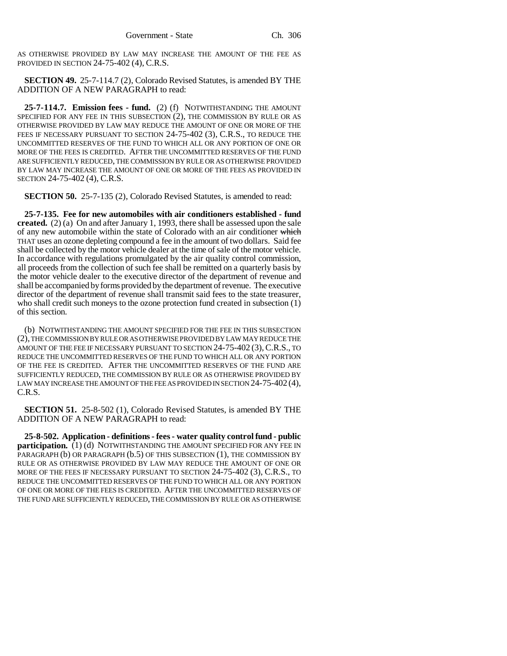AS OTHERWISE PROVIDED BY LAW MAY INCREASE THE AMOUNT OF THE FEE AS PROVIDED IN SECTION 24-75-402 (4), C.R.S.

**SECTION 49.** 25-7-114.7 (2), Colorado Revised Statutes, is amended BY THE ADDITION OF A NEW PARAGRAPH to read:

**25-7-114.7. Emission fees - fund.** (2) (f) NOTWITHSTANDING THE AMOUNT SPECIFIED FOR ANY FEE IN THIS SUBSECTION (2), THE COMMISSION BY RULE OR AS OTHERWISE PROVIDED BY LAW MAY REDUCE THE AMOUNT OF ONE OR MORE OF THE FEES IF NECESSARY PURSUANT TO SECTION 24-75-402 (3), C.R.S., TO REDUCE THE UNCOMMITTED RESERVES OF THE FUND TO WHICH ALL OR ANY PORTION OF ONE OR MORE OF THE FEES IS CREDITED. AFTER THE UNCOMMITTED RESERVES OF THE FUND ARE SUFFICIENTLY REDUCED, THE COMMISSION BY RULE OR AS OTHERWISE PROVIDED BY LAW MAY INCREASE THE AMOUNT OF ONE OR MORE OF THE FEES AS PROVIDED IN SECTION 24-75-402 (4), C.R.S.

**SECTION 50.** 25-7-135 (2), Colorado Revised Statutes, is amended to read:

**25-7-135. Fee for new automobiles with air conditioners established - fund created.** (2) (a) On and after January 1, 1993, there shall be assessed upon the sale of any new automobile within the state of Colorado with an air conditioner which THAT uses an ozone depleting compound a fee in the amount of two dollars. Said fee shall be collected by the motor vehicle dealer at the time of sale of the motor vehicle. In accordance with regulations promulgated by the air quality control commission, all proceeds from the collection of such fee shall be remitted on a quarterly basis by the motor vehicle dealer to the executive director of the department of revenue and shall be accompanied by forms provided by the department of revenue. The executive director of the department of revenue shall transmit said fees to the state treasurer, who shall credit such moneys to the ozone protection fund created in subsection (1) of this section.

(b) NOTWITHSTANDING THE AMOUNT SPECIFIED FOR THE FEE IN THIS SUBSECTION (2), THE COMMISSION BY RULE OR AS OTHERWISE PROVIDED BY LAW MAY REDUCE THE AMOUNT OF THE FEE IF NECESSARY PURSUANT TO SECTION 24-75-402 (3), C.R.S., TO REDUCE THE UNCOMMITTED RESERVES OF THE FUND TO WHICH ALL OR ANY PORTION OF THE FEE IS CREDITED. AFTER THE UNCOMMITTED RESERVES OF THE FUND ARE SUFFICIENTLY REDUCED, THE COMMISSION BY RULE OR AS OTHERWISE PROVIDED BY LAW MAY INCREASE THE AMOUNT OF THE FEE AS PROVIDED IN SECTION 24-75-402 (4), C.R.S.

**SECTION 51.** 25-8-502 (1), Colorado Revised Statutes, is amended BY THE ADDITION OF A NEW PARAGRAPH to read:

**25-8-502. Application - definitions - fees - water quality control fund - public participation.** (1) (d) NOTWITHSTANDING THE AMOUNT SPECIFIED FOR ANY FEE IN PARAGRAPH (b) OR PARAGRAPH (b.5) OF THIS SUBSECTION (1), THE COMMISSION BY RULE OR AS OTHERWISE PROVIDED BY LAW MAY REDUCE THE AMOUNT OF ONE OR MORE OF THE FEES IF NECESSARY PURSUANT TO SECTION 24-75-402 (3), C.R.S., TO REDUCE THE UNCOMMITTED RESERVES OF THE FUND TO WHICH ALL OR ANY PORTION OF ONE OR MORE OF THE FEES IS CREDITED. AFTER THE UNCOMMITTED RESERVES OF THE FUND ARE SUFFICIENTLY REDUCED, THE COMMISSION BY RULE OR AS OTHERWISE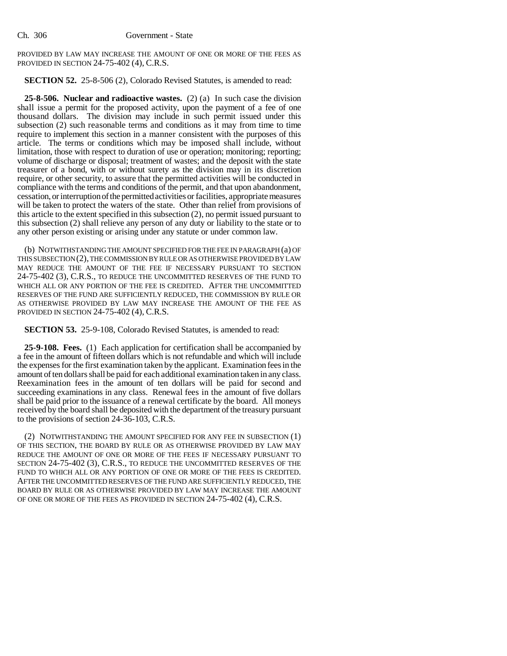PROVIDED BY LAW MAY INCREASE THE AMOUNT OF ONE OR MORE OF THE FEES AS PROVIDED IN SECTION 24-75-402 (4), C.R.S.

**SECTION 52.** 25-8-506 (2), Colorado Revised Statutes, is amended to read:

**25-8-506. Nuclear and radioactive wastes.** (2) (a) In such case the division shall issue a permit for the proposed activity, upon the payment of a fee of one thousand dollars. The division may include in such permit issued under this subsection (2) such reasonable terms and conditions as it may from time to time require to implement this section in a manner consistent with the purposes of this article. The terms or conditions which may be imposed shall include, without limitation, those with respect to duration of use or operation; monitoring; reporting; volume of discharge or disposal; treatment of wastes; and the deposit with the state treasurer of a bond, with or without surety as the division may in its discretion require, or other security, to assure that the permitted activities will be conducted in compliance with the terms and conditions of the permit, and that upon abandonment, cessation, or interruption of the permitted activities or facilities, appropriate measures will be taken to protect the waters of the state. Other than relief from provisions of this article to the extent specified in this subsection (2), no permit issued pursuant to this subsection (2) shall relieve any person of any duty or liability to the state or to any other person existing or arising under any statute or under common law.

(b) NOTWITHSTANDING THE AMOUNT SPECIFIED FOR THE FEE IN PARAGRAPH (a) OF THIS SUBSECTION (2), THE COMMISSION BY RULE OR AS OTHERWISE PROVIDED BY LAW MAY REDUCE THE AMOUNT OF THE FEE IF NECESSARY PURSUANT TO SECTION 24-75-402 (3), C.R.S., TO REDUCE THE UNCOMMITTED RESERVES OF THE FUND TO WHICH ALL OR ANY PORTION OF THE FEE IS CREDITED. AFTER THE UNCOMMITTED RESERVES OF THE FUND ARE SUFFICIENTLY REDUCED, THE COMMISSION BY RULE OR AS OTHERWISE PROVIDED BY LAW MAY INCREASE THE AMOUNT OF THE FEE AS PROVIDED IN SECTION 24-75-402 (4), C.R.S.

**SECTION 53.** 25-9-108, Colorado Revised Statutes, is amended to read:

**25-9-108. Fees.** (1) Each application for certification shall be accompanied by a fee in the amount of fifteen dollars which is not refundable and which will include the expenses for the first examination taken by the applicant. Examination fees in the amount of ten dollars shall be paid for each additional examination taken in any class. Reexamination fees in the amount of ten dollars will be paid for second and succeeding examinations in any class. Renewal fees in the amount of five dollars shall be paid prior to the issuance of a renewal certificate by the board. All moneys received by the board shall be deposited with the department of the treasury pursuant to the provisions of section 24-36-103, C.R.S.

(2) NOTWITHSTANDING THE AMOUNT SPECIFIED FOR ANY FEE IN SUBSECTION (1) OF THIS SECTION, THE BOARD BY RULE OR AS OTHERWISE PROVIDED BY LAW MAY REDUCE THE AMOUNT OF ONE OR MORE OF THE FEES IF NECESSARY PURSUANT TO SECTION 24-75-402 (3), C.R.S., TO REDUCE THE UNCOMMITTED RESERVES OF THE FUND TO WHICH ALL OR ANY PORTION OF ONE OR MORE OF THE FEES IS CREDITED. AFTER THE UNCOMMITTED RESERVES OF THE FUND ARE SUFFICIENTLY REDUCED, THE BOARD BY RULE OR AS OTHERWISE PROVIDED BY LAW MAY INCREASE THE AMOUNT OF ONE OR MORE OF THE FEES AS PROVIDED IN SECTION 24-75-402 (4), C.R.S.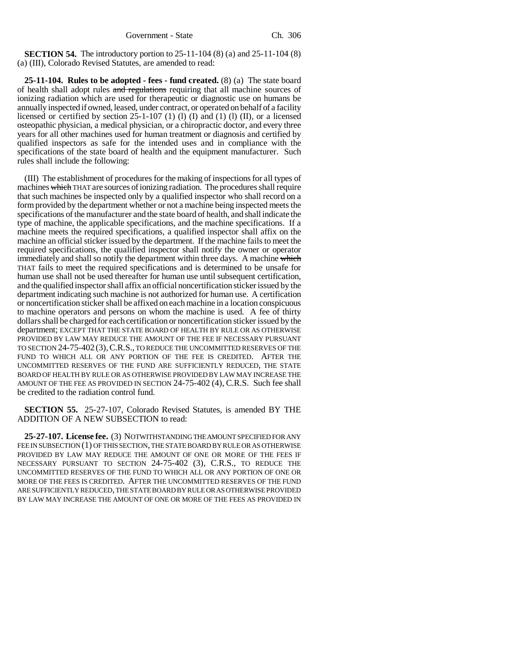**SECTION 54.** The introductory portion to 25-11-104 (8) (a) and 25-11-104 (8) (a) (III), Colorado Revised Statutes, are amended to read:

**25-11-104. Rules to be adopted - fees - fund created.** (8) (a) The state board of health shall adopt rules and regulations requiring that all machine sources of ionizing radiation which are used for therapeutic or diagnostic use on humans be annually inspected if owned, leased, under contract, or operated on behalf of a facility licensed or certified by section 25-1-107 (1) (l) (I) and (1) (l) (II), or a licensed osteopathic physician, a medical physician, or a chiropractic doctor, and every three years for all other machines used for human treatment or diagnosis and certified by qualified inspectors as safe for the intended uses and in compliance with the specifications of the state board of health and the equipment manufacturer. Such rules shall include the following:

(III) The establishment of procedures for the making of inspections for all types of machines which THAT are sources of ionizing radiation. The procedures shall require that such machines be inspected only by a qualified inspector who shall record on a form provided by the department whether or not a machine being inspected meets the specifications of the manufacturer and the state board of health, and shall indicate the type of machine, the applicable specifications, and the machine specifications. If a machine meets the required specifications, a qualified inspector shall affix on the machine an official sticker issued by the department. If the machine fails to meet the required specifications, the qualified inspector shall notify the owner or operator immediately and shall so notify the department within three days. A machine which THAT fails to meet the required specifications and is determined to be unsafe for human use shall not be used thereafter for human use until subsequent certification, and the qualified inspector shall affix an official noncertification sticker issued by the department indicating such machine is not authorized for human use. A certification or noncertification sticker shall be affixed on each machine in a location conspicuous to machine operators and persons on whom the machine is used. A fee of thirty dollars shall be charged for each certification or noncertification sticker issued by the department; EXCEPT THAT THE STATE BOARD OF HEALTH BY RULE OR AS OTHERWISE PROVIDED BY LAW MAY REDUCE THE AMOUNT OF THE FEE IF NECESSARY PURSUANT TO SECTION 24-75-402 (3),C.R.S., TO REDUCE THE UNCOMMITTED RESERVES OF THE FUND TO WHICH ALL OR ANY PORTION OF THE FEE IS CREDITED. AFTER THE UNCOMMITTED RESERVES OF THE FUND ARE SUFFICIENTLY REDUCED, THE STATE BOARD OF HEALTH BY RULE OR AS OTHERWISE PROVIDED BY LAW MAY INCREASE THE AMOUNT OF THE FEE AS PROVIDED IN SECTION 24-75-402 (4), C.R.S. Such fee shall be credited to the radiation control fund.

**SECTION 55.** 25-27-107, Colorado Revised Statutes, is amended BY THE ADDITION OF A NEW SUBSECTION to read:

**25-27-107. License fee.** (3) NOTWITHSTANDING THE AMOUNT SPECIFIED FOR ANY FEE IN SUBSECTION (1) OF THIS SECTION, THE STATE BOARD BY RULE OR AS OTHERWISE PROVIDED BY LAW MAY REDUCE THE AMOUNT OF ONE OR MORE OF THE FEES IF NECESSARY PURSUANT TO SECTION 24-75-402 (3), C.R.S., TO REDUCE THE UNCOMMITTED RESERVES OF THE FUND TO WHICH ALL OR ANY PORTION OF ONE OR MORE OF THE FEES IS CREDITED. AFTER THE UNCOMMITTED RESERVES OF THE FUND ARE SUFFICIENTLY REDUCED, THE STATE BOARD BY RULE OR AS OTHERWISE PROVIDED BY LAW MAY INCREASE THE AMOUNT OF ONE OR MORE OF THE FEES AS PROVIDED IN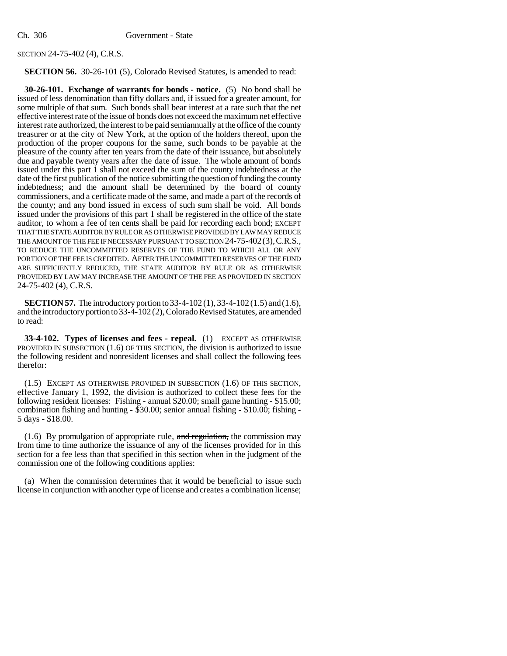#### SECTION 24-75-402 (4), C.R.S.

#### **SECTION 56.** 30-26-101 (5), Colorado Revised Statutes, is amended to read:

**30-26-101. Exchange of warrants for bonds - notice.** (5) No bond shall be issued of less denomination than fifty dollars and, if issued for a greater amount, for some multiple of that sum. Such bonds shall bear interest at a rate such that the net effective interest rate of the issue of bonds does not exceed the maximum net effective interest rate authorized, the interest to be paid semiannually at the office of the county treasurer or at the city of New York, at the option of the holders thereof, upon the production of the proper coupons for the same, such bonds to be payable at the pleasure of the county after ten years from the date of their issuance, but absolutely due and payable twenty years after the date of issue. The whole amount of bonds issued under this part 1 shall not exceed the sum of the county indebtedness at the date of the first publication of the notice submitting the question of funding the county indebtedness; and the amount shall be determined by the board of county commissioners, and a certificate made of the same, and made a part of the records of the county; and any bond issued in excess of such sum shall be void. All bonds issued under the provisions of this part 1 shall be registered in the office of the state auditor, to whom a fee of ten cents shall be paid for recording each bond; EXCEPT THAT THE STATE AUDITOR BY RULE OR AS OTHERWISE PROVIDED BY LAW MAY REDUCE THE AMOUNT OF THE FEE IF NECESSARY PURSUANT TO SECTION 24-75-402(3),C.R.S., TO REDUCE THE UNCOMMITTED RESERVES OF THE FUND TO WHICH ALL OR ANY PORTION OF THE FEE IS CREDITED. AFTER THE UNCOMMITTED RESERVES OF THE FUND ARE SUFFICIENTLY REDUCED, THE STATE AUDITOR BY RULE OR AS OTHERWISE PROVIDED BY LAW MAY INCREASE THE AMOUNT OF THE FEE AS PROVIDED IN SECTION 24-75-402 (4), C.R.S.

**SECTION 57.** The introductory portion to 33-4-102 (1), 33-4-102 (1.5) and (1.6), and the introductory portion to 33-4-102 (2), Colorado Revised Statutes, are amended to read:

**33-4-102. Types of licenses and fees - repeal.** (1) EXCEPT AS OTHERWISE PROVIDED IN SUBSECTION (1.6) OF THIS SECTION, the division is authorized to issue the following resident and nonresident licenses and shall collect the following fees therefor:

(1.5) EXCEPT AS OTHERWISE PROVIDED IN SUBSECTION (1.6) OF THIS SECTION, effective January 1, 1992, the division is authorized to collect these fees for the following resident licenses: Fishing - annual \$20.00; small game hunting - \$15.00; combination fishing and hunting - \$30.00; senior annual fishing - \$10.00; fishing - 5 days - \$18.00.

 $(1.6)$  By promulgation of appropriate rule, and regulation, the commission may from time to time authorize the issuance of any of the licenses provided for in this section for a fee less than that specified in this section when in the judgment of the commission one of the following conditions applies:

(a) When the commission determines that it would be beneficial to issue such license in conjunction with another type of license and creates a combination license;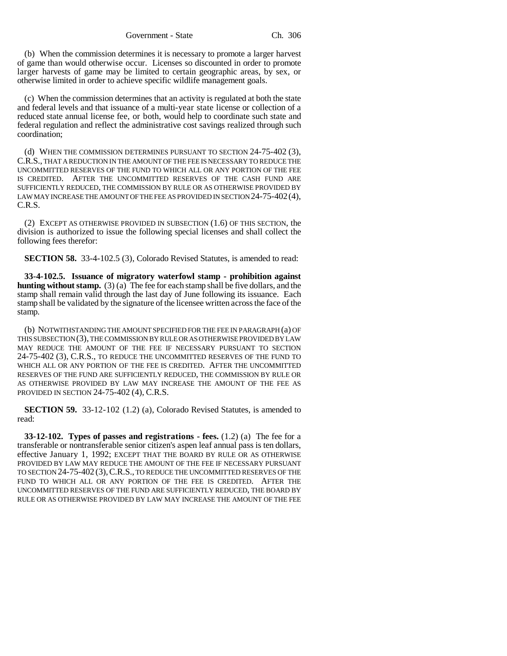(b) When the commission determines it is necessary to promote a larger harvest of game than would otherwise occur. Licenses so discounted in order to promote larger harvests of game may be limited to certain geographic areas, by sex, or otherwise limited in order to achieve specific wildlife management goals.

(c) When the commission determines that an activity is regulated at both the state and federal levels and that issuance of a multi-year state license or collection of a reduced state annual license fee, or both, would help to coordinate such state and federal regulation and reflect the administrative cost savings realized through such coordination;

(d) WHEN THE COMMISSION DETERMINES PURSUANT TO SECTION 24-75-402 (3), C.R.S., THAT A REDUCTION IN THE AMOUNT OF THE FEE IS NECESSARY TO REDUCE THE UNCOMMITTED RESERVES OF THE FUND TO WHICH ALL OR ANY PORTION OF THE FEE IS CREDITED. AFTER THE UNCOMMITTED RESERVES OF THE CASH FUND ARE SUFFICIENTLY REDUCED, THE COMMISSION BY RULE OR AS OTHERWISE PROVIDED BY LAW MAY INCREASE THE AMOUNT OF THE FEE AS PROVIDED IN SECTION 24-75-402 (4), C.R.S.

(2) EXCEPT AS OTHERWISE PROVIDED IN SUBSECTION (1.6) OF THIS SECTION, the division is authorized to issue the following special licenses and shall collect the following fees therefor:

**SECTION 58.** 33-4-102.5 (3), Colorado Revised Statutes, is amended to read:

**33-4-102.5. Issuance of migratory waterfowl stamp - prohibition against hunting without stamp.** (3) (a) The fee for each stamp shall be five dollars, and the stamp shall remain valid through the last day of June following its issuance. Each stamp shall be validated by the signature of the licensee written across the face of the stamp.

(b) NOTWITHSTANDING THE AMOUNT SPECIFIED FOR THE FEE IN PARAGRAPH (a) OF THIS SUBSECTION (3), THE COMMISSION BY RULE OR AS OTHERWISE PROVIDED BY LAW MAY REDUCE THE AMOUNT OF THE FEE IF NECESSARY PURSUANT TO SECTION 24-75-402 (3), C.R.S., TO REDUCE THE UNCOMMITTED RESERVES OF THE FUND TO WHICH ALL OR ANY PORTION OF THE FEE IS CREDITED. AFTER THE UNCOMMITTED RESERVES OF THE FUND ARE SUFFICIENTLY REDUCED, THE COMMISSION BY RULE OR AS OTHERWISE PROVIDED BY LAW MAY INCREASE THE AMOUNT OF THE FEE AS PROVIDED IN SECTION 24-75-402 (4), C.R.S.

**SECTION 59.** 33-12-102 (1.2) (a), Colorado Revised Statutes, is amended to read:

**33-12-102. Types of passes and registrations - fees.** (1.2) (a) The fee for a transferable or nontransferable senior citizen's aspen leaf annual pass is ten dollars, effective January 1, 1992; EXCEPT THAT THE BOARD BY RULE OR AS OTHERWISE PROVIDED BY LAW MAY REDUCE THE AMOUNT OF THE FEE IF NECESSARY PURSUANT TO SECTION 24-75-402 (3),C.R.S., TO REDUCE THE UNCOMMITTED RESERVES OF THE FUND TO WHICH ALL OR ANY PORTION OF THE FEE IS CREDITED. AFTER THE UNCOMMITTED RESERVES OF THE FUND ARE SUFFICIENTLY REDUCED, THE BOARD BY RULE OR AS OTHERWISE PROVIDED BY LAW MAY INCREASE THE AMOUNT OF THE FEE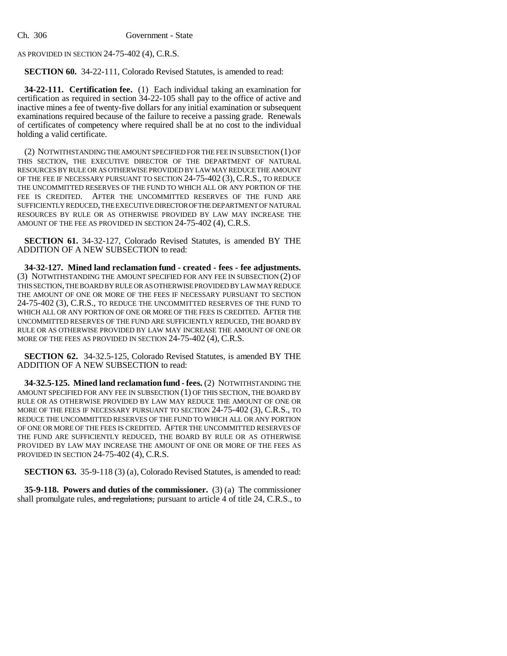AS PROVIDED IN SECTION 24-75-402 (4), C.R.S.

**SECTION 60.** 34-22-111, Colorado Revised Statutes, is amended to read:

**34-22-111. Certification fee.** (1) Each individual taking an examination for certification as required in section 34-22-105 shall pay to the office of active and inactive mines a fee of twenty-five dollars for any initial examination or subsequent examinations required because of the failure to receive a passing grade. Renewals of certificates of competency where required shall be at no cost to the individual holding a valid certificate.

(2) NOTWITHSTANDING THE AMOUNT SPECIFIED FOR THE FEE IN SUBSECTION (1) OF THIS SECTION, THE EXECUTIVE DIRECTOR OF THE DEPARTMENT OF NATURAL RESOURCES BY RULE OR AS OTHERWISE PROVIDED BY LAW MAY REDUCE THE AMOUNT OF THE FEE IF NECESSARY PURSUANT TO SECTION 24-75-402 (3), C.R.S., TO REDUCE THE UNCOMMITTED RESERVES OF THE FUND TO WHICH ALL OR ANY PORTION OF THE FEE IS CREDITED. AFTER THE UNCOMMITTED RESERVES OF THE FUND ARE SUFFICIENTLY REDUCED, THE EXECUTIVE DIRECTOR OF THE DEPARTMENT OF NATURAL RESOURCES BY RULE OR AS OTHERWISE PROVIDED BY LAW MAY INCREASE THE AMOUNT OF THE FEE AS PROVIDED IN SECTION 24-75-402 (4), C.R.S.

**SECTION 61.** 34-32-127, Colorado Revised Statutes, is amended BY THE ADDITION OF A NEW SUBSECTION to read:

**34-32-127. Mined land reclamation fund - created - fees - fee adjustments.** (3) NOTWITHSTANDING THE AMOUNT SPECIFIED FOR ANY FEE IN SUBSECTION (2) OF THIS SECTION, THE BOARD BY RULE OR AS OTHERWISE PROVIDED BY LAW MAY REDUCE THE AMOUNT OF ONE OR MORE OF THE FEES IF NECESSARY PURSUANT TO SECTION 24-75-402 (3), C.R.S., TO REDUCE THE UNCOMMITTED RESERVES OF THE FUND TO WHICH ALL OR ANY PORTION OF ONE OR MORE OF THE FEES IS CREDITED. AFTER THE UNCOMMITTED RESERVES OF THE FUND ARE SUFFICIENTLY REDUCED, THE BOARD BY RULE OR AS OTHERWISE PROVIDED BY LAW MAY INCREASE THE AMOUNT OF ONE OR MORE OF THE FEES AS PROVIDED IN SECTION 24-75-402 (4), C.R.S.

**SECTION 62.** 34-32.5-125, Colorado Revised Statutes, is amended BY THE ADDITION OF A NEW SUBSECTION to read:

**34-32.5-125. Mined land reclamation fund - fees.** (2) NOTWITHSTANDING THE AMOUNT SPECIFIED FOR ANY FEE IN SUBSECTION (1) OF THIS SECTION, THE BOARD BY RULE OR AS OTHERWISE PROVIDED BY LAW MAY REDUCE THE AMOUNT OF ONE OR MORE OF THE FEES IF NECESSARY PURSUANT TO SECTION 24-75-402 (3), C.R.S., TO REDUCE THE UNCOMMITTED RESERVES OF THE FUND TO WHICH ALL OR ANY PORTION OF ONE OR MORE OF THE FEES IS CREDITED. AFTER THE UNCOMMITTED RESERVES OF THE FUND ARE SUFFICIENTLY REDUCED, THE BOARD BY RULE OR AS OTHERWISE PROVIDED BY LAW MAY INCREASE THE AMOUNT OF ONE OR MORE OF THE FEES AS PROVIDED IN SECTION 24-75-402 (4), C.R.S.

**SECTION 63.** 35-9-118 (3) (a), Colorado Revised Statutes, is amended to read:

**35-9-118. Powers and duties of the commissioner.** (3) (a) The commissioner shall promulgate rules, and regulations, pursuant to article 4 of title 24, C.R.S., to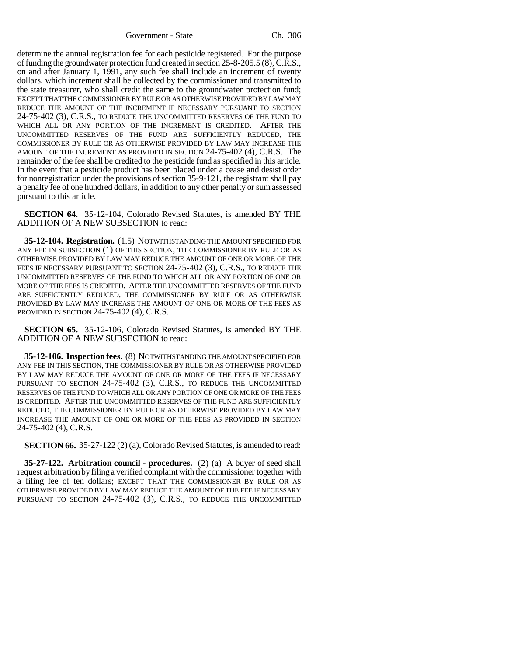determine the annual registration fee for each pesticide registered. For the purpose of funding the groundwater protection fund created in section 25-8-205.5 (8), C.R.S., on and after January 1, 1991, any such fee shall include an increment of twenty dollars, which increment shall be collected by the commissioner and transmitted to the state treasurer, who shall credit the same to the groundwater protection fund; EXCEPT THAT THE COMMISSIONER BY RULE OR AS OTHERWISE PROVIDED BY LAW MAY REDUCE THE AMOUNT OF THE INCREMENT IF NECESSARY PURSUANT TO SECTION 24-75-402 (3), C.R.S., TO REDUCE THE UNCOMMITTED RESERVES OF THE FUND TO WHICH ALL OR ANY PORTION OF THE INCREMENT IS CREDITED. AFTER THE UNCOMMITTED RESERVES OF THE FUND ARE SUFFICIENTLY REDUCED, THE COMMISSIONER BY RULE OR AS OTHERWISE PROVIDED BY LAW MAY INCREASE THE AMOUNT OF THE INCREMENT AS PROVIDED IN SECTION 24-75-402 (4), C.R.S. The remainder of the fee shall be credited to the pesticide fund as specified in this article. In the event that a pesticide product has been placed under a cease and desist order for nonregistration under the provisions of section 35-9-121, the registrant shall pay a penalty fee of one hundred dollars, in addition to any other penalty or sum assessed pursuant to this article.

**SECTION 64.** 35-12-104, Colorado Revised Statutes, is amended BY THE ADDITION OF A NEW SUBSECTION to read:

**35-12-104. Registration.** (1.5) NOTWITHSTANDING THE AMOUNT SPECIFIED FOR ANY FEE IN SUBSECTION (1) OF THIS SECTION, THE COMMISSIONER BY RULE OR AS OTHERWISE PROVIDED BY LAW MAY REDUCE THE AMOUNT OF ONE OR MORE OF THE FEES IF NECESSARY PURSUANT TO SECTION 24-75-402 (3), C.R.S., TO REDUCE THE UNCOMMITTED RESERVES OF THE FUND TO WHICH ALL OR ANY PORTION OF ONE OR MORE OF THE FEES IS CREDITED. AFTER THE UNCOMMITTED RESERVES OF THE FUND ARE SUFFICIENTLY REDUCED, THE COMMISSIONER BY RULE OR AS OTHERWISE PROVIDED BY LAW MAY INCREASE THE AMOUNT OF ONE OR MORE OF THE FEES AS PROVIDED IN SECTION 24-75-402 (4), C.R.S.

**SECTION 65.** 35-12-106, Colorado Revised Statutes, is amended BY THE ADDITION OF A NEW SUBSECTION to read:

**35-12-106. Inspection fees.** (8) NOTWITHSTANDING THE AMOUNT SPECIFIED FOR ANY FEE IN THIS SECTION, THE COMMISSIONER BY RULE OR AS OTHERWISE PROVIDED BY LAW MAY REDUCE THE AMOUNT OF ONE OR MORE OF THE FEES IF NECESSARY PURSUANT TO SECTION 24-75-402 (3), C.R.S., TO REDUCE THE UNCOMMITTED RESERVES OF THE FUND TO WHICH ALL OR ANY PORTION OF ONE OR MORE OF THE FEES IS CREDITED. AFTER THE UNCOMMITTED RESERVES OF THE FUND ARE SUFFICIENTLY REDUCED, THE COMMISSIONER BY RULE OR AS OTHERWISE PROVIDED BY LAW MAY INCREASE THE AMOUNT OF ONE OR MORE OF THE FEES AS PROVIDED IN SECTION 24-75-402 (4), C.R.S.

**SECTION 66.** 35-27-122 (2) (a), Colorado Revised Statutes, is amended to read:

**35-27-122. Arbitration council - procedures.** (2) (a) A buyer of seed shall request arbitration by filing a verified complaint with the commissioner together with a filing fee of ten dollars; EXCEPT THAT THE COMMISSIONER BY RULE OR AS OTHERWISE PROVIDED BY LAW MAY REDUCE THE AMOUNT OF THE FEE IF NECESSARY PURSUANT TO SECTION 24-75-402 (3), C.R.S., TO REDUCE THE UNCOMMITTED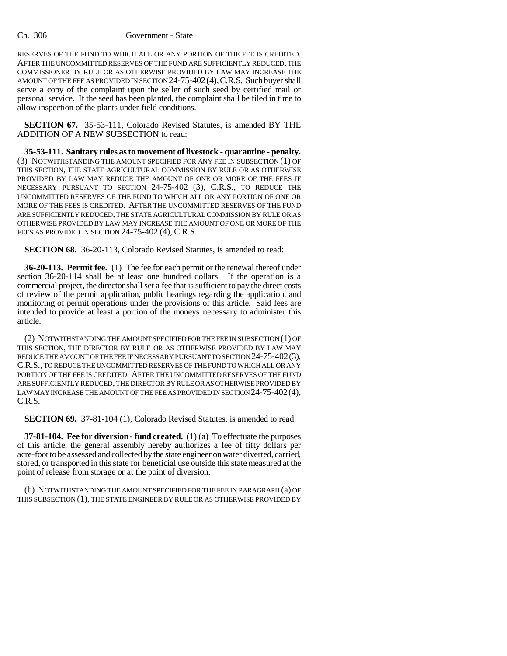RESERVES OF THE FUND TO WHICH ALL OR ANY PORTION OF THE FEE IS CREDITED. AFTER THE UNCOMMITTED RESERVES OF THE FUND ARE SUFFICIENTLY REDUCED, THE COMMISSIONER BY RULE OR AS OTHERWISE PROVIDED BY LAW MAY INCREASE THE AMOUNT OF THE FEE AS PROVIDED IN SECTION 24-75-402(4),C.R.S. Such buyer shall serve a copy of the complaint upon the seller of such seed by certified mail or personal service. If the seed has been planted, the complaint shall be filed in time to allow inspection of the plants under field conditions.

**SECTION 67.** 35-53-111, Colorado Revised Statutes, is amended BY THE ADDITION OF A NEW SUBSECTION to read:

**35-53-111. Sanitary rules as to movement of livestock - quarantine - penalty.** (3) NOTWITHSTANDING THE AMOUNT SPECIFIED FOR ANY FEE IN SUBSECTION (1) OF THIS SECTION, THE STATE AGRICULTURAL COMMISSION BY RULE OR AS OTHERWISE PROVIDED BY LAW MAY REDUCE THE AMOUNT OF ONE OR MORE OF THE FEES IF NECESSARY PURSUANT TO SECTION 24-75-402 (3), C.R.S., TO REDUCE THE UNCOMMITTED RESERVES OF THE FUND TO WHICH ALL OR ANY PORTION OF ONE OR MORE OF THE FEES IS CREDITED. AFTER THE UNCOMMITTED RESERVES OF THE FUND ARE SUFFICIENTLY REDUCED, THE STATE AGRICULTURAL COMMISSION BY RULE OR AS OTHERWISE PROVIDED BY LAW MAY INCREASE THE AMOUNT OF ONE OR MORE OF THE FEES AS PROVIDED IN SECTION 24-75-402 (4), C.R.S.

**SECTION 68.** 36-20-113, Colorado Revised Statutes, is amended to read:

**36-20-113. Permit fee.** (1) The fee for each permit or the renewal thereof under section 36-20-114 shall be at least one hundred dollars. If the operation is a commercial project, the director shall set a fee that is sufficient to pay the direct costs of review of the permit application, public hearings regarding the application, and monitoring of permit operations under the provisions of this article. Said fees are intended to provide at least a portion of the moneys necessary to administer this article.

(2) NOTWITHSTANDING THE AMOUNT SPECIFIED FOR THE FEE IN SUBSECTION (1) OF THIS SECTION, THE DIRECTOR BY RULE OR AS OTHERWISE PROVIDED BY LAW MAY REDUCE THE AMOUNT OF THE FEE IF NECESSARY PURSUANT TO SECTION 24-75-402(3), C.R.S., TO REDUCE THE UNCOMMITTED RESERVES OF THE FUND TO WHICH ALL OR ANY PORTION OF THE FEE IS CREDITED. AFTER THE UNCOMMITTED RESERVES OF THE FUND ARE SUFFICIENTLY REDUCED, THE DIRECTOR BY RULE OR AS OTHERWISE PROVIDED BY LAW MAY INCREASE THE AMOUNT OF THE FEE AS PROVIDED IN SECTION 24-75-402(4), C.R.S.

**SECTION 69.** 37-81-104 (1), Colorado Revised Statutes, is amended to read:

**37-81-104. Fee for diversion - fund created.** (1) (a) To effectuate the purposes of this article, the general assembly hereby authorizes a fee of fifty dollars per acre-foot to be assessed and collected by the state engineer on water diverted, carried, stored, or transported in this state for beneficial use outside this state measured at the point of release from storage or at the point of diversion.

(b) NOTWITHSTANDING THE AMOUNT SPECIFIED FOR THE FEE IN PARAGRAPH (a) OF THIS SUBSECTION (1), THE STATE ENGINEER BY RULE OR AS OTHERWISE PROVIDED BY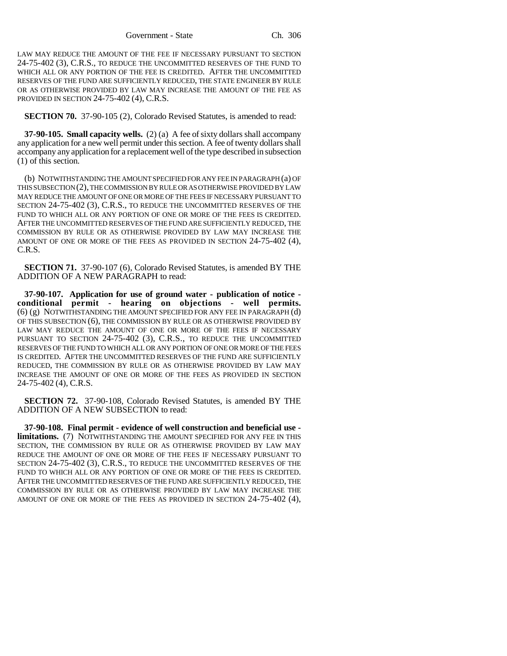LAW MAY REDUCE THE AMOUNT OF THE FEE IF NECESSARY PURSUANT TO SECTION 24-75-402 (3), C.R.S., TO REDUCE THE UNCOMMITTED RESERVES OF THE FUND TO WHICH ALL OR ANY PORTION OF THE FEE IS CREDITED. AFTER THE UNCOMMITTED RESERVES OF THE FUND ARE SUFFICIENTLY REDUCED, THE STATE ENGINEER BY RULE OR AS OTHERWISE PROVIDED BY LAW MAY INCREASE THE AMOUNT OF THE FEE AS PROVIDED IN SECTION 24-75-402 (4), C.R.S.

**SECTION 70.** 37-90-105 (2), Colorado Revised Statutes, is amended to read:

**37-90-105. Small capacity wells.** (2) (a) A fee of sixty dollars shall accompany any application for a new well permit under this section. A fee of twenty dollars shall accompany any application for a replacement well of the type described in subsection (1) of this section.

(b) NOTWITHSTANDING THE AMOUNT SPECIFIED FOR ANY FEE IN PARAGRAPH (a) OF THIS SUBSECTION (2), THE COMMISSION BY RULE OR AS OTHERWISE PROVIDED BY LAW MAY REDUCE THE AMOUNT OF ONE OR MORE OF THE FEES IF NECESSARY PURSUANT TO SECTION 24-75-402 (3), C.R.S., TO REDUCE THE UNCOMMITTED RESERVES OF THE FUND TO WHICH ALL OR ANY PORTION OF ONE OR MORE OF THE FEES IS CREDITED. AFTER THE UNCOMMITTED RESERVES OF THE FUND ARE SUFFICIENTLY REDUCED, THE COMMISSION BY RULE OR AS OTHERWISE PROVIDED BY LAW MAY INCREASE THE AMOUNT OF ONE OR MORE OF THE FEES AS PROVIDED IN SECTION 24-75-402 (4), C.R.S.

**SECTION 71.** 37-90-107 (6), Colorado Revised Statutes, is amended BY THE ADDITION OF A NEW PARAGRAPH to read:

**37-90-107. Application for use of ground water - publication of notice conditional permit - hearing on objections - well permits.** (6) (g) NOTWITHSTANDING THE AMOUNT SPECIFIED FOR ANY FEE IN PARAGRAPH (d) OF THIS SUBSECTION (6), THE COMMISSION BY RULE OR AS OTHERWISE PROVIDED BY LAW MAY REDUCE THE AMOUNT OF ONE OR MORE OF THE FEES IF NECESSARY PURSUANT TO SECTION 24-75-402 (3), C.R.S., TO REDUCE THE UNCOMMITTED RESERVES OF THE FUND TO WHICH ALL OR ANY PORTION OF ONE OR MORE OF THE FEES IS CREDITED. AFTER THE UNCOMMITTED RESERVES OF THE FUND ARE SUFFICIENTLY REDUCED, THE COMMISSION BY RULE OR AS OTHERWISE PROVIDED BY LAW MAY INCREASE THE AMOUNT OF ONE OR MORE OF THE FEES AS PROVIDED IN SECTION 24-75-402 (4), C.R.S.

**SECTION 72.** 37-90-108, Colorado Revised Statutes, is amended BY THE ADDITION OF A NEW SUBSECTION to read:

**37-90-108. Final permit - evidence of well construction and beneficial use limitations.** (7) NOTWITHSTANDING THE AMOUNT SPECIFIED FOR ANY FEE IN THIS SECTION, THE COMMISSION BY RULE OR AS OTHERWISE PROVIDED BY LAW MAY REDUCE THE AMOUNT OF ONE OR MORE OF THE FEES IF NECESSARY PURSUANT TO SECTION 24-75-402 (3), C.R.S., TO REDUCE THE UNCOMMITTED RESERVES OF THE FUND TO WHICH ALL OR ANY PORTION OF ONE OR MORE OF THE FEES IS CREDITED. AFTER THE UNCOMMITTED RESERVES OF THE FUND ARE SUFFICIENTLY REDUCED, THE COMMISSION BY RULE OR AS OTHERWISE PROVIDED BY LAW MAY INCREASE THE AMOUNT OF ONE OR MORE OF THE FEES AS PROVIDED IN SECTION 24-75-402 (4),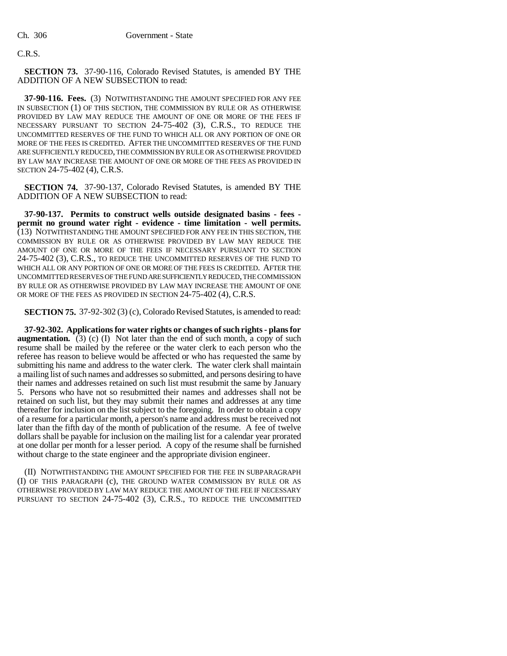### C.R.S.

**SECTION 73.** 37-90-116, Colorado Revised Statutes, is amended BY THE ADDITION OF A NEW SUBSECTION to read:

**37-90-116. Fees.** (3) NOTWITHSTANDING THE AMOUNT SPECIFIED FOR ANY FEE IN SUBSECTION (1) OF THIS SECTION, THE COMMISSION BY RULE OR AS OTHERWISE PROVIDED BY LAW MAY REDUCE THE AMOUNT OF ONE OR MORE OF THE FEES IF NECESSARY PURSUANT TO SECTION 24-75-402 (3), C.R.S., TO REDUCE THE UNCOMMITTED RESERVES OF THE FUND TO WHICH ALL OR ANY PORTION OF ONE OR MORE OF THE FEES IS CREDITED. AFTER THE UNCOMMITTED RESERVES OF THE FUND ARE SUFFICIENTLY REDUCED, THE COMMISSION BY RULE OR AS OTHERWISE PROVIDED BY LAW MAY INCREASE THE AMOUNT OF ONE OR MORE OF THE FEES AS PROVIDED IN SECTION 24-75-402 (4), C.R.S.

**SECTION 74.** 37-90-137, Colorado Revised Statutes, is amended BY THE ADDITION OF A NEW SUBSECTION to read:

**37-90-137. Permits to construct wells outside designated basins - fees permit no ground water right - evidence - time limitation - well permits.** (13) NOTWITHSTANDING THE AMOUNT SPECIFIED FOR ANY FEE IN THIS SECTION, THE COMMISSION BY RULE OR AS OTHERWISE PROVIDED BY LAW MAY REDUCE THE AMOUNT OF ONE OR MORE OF THE FEES IF NECESSARY PURSUANT TO SECTION 24-75-402 (3), C.R.S., TO REDUCE THE UNCOMMITTED RESERVES OF THE FUND TO WHICH ALL OR ANY PORTION OF ONE OR MORE OF THE FEES IS CREDITED. AFTER THE UNCOMMITTED RESERVES OF THE FUND ARE SUFFICIENTLY REDUCED, THE COMMISSION BY RULE OR AS OTHERWISE PROVIDED BY LAW MAY INCREASE THE AMOUNT OF ONE OR MORE OF THE FEES AS PROVIDED IN SECTION 24-75-402 (4), C.R.S.

**SECTION 75.** 37-92-302 (3) (c), Colorado Revised Statutes, is amended to read:

**37-92-302. Applications for water rights or changes of such rights - plans for augmentation.** (3) (c) (I) Not later than the end of such month, a copy of such resume shall be mailed by the referee or the water clerk to each person who the referee has reason to believe would be affected or who has requested the same by submitting his name and address to the water clerk. The water clerk shall maintain a mailing list of such names and addresses so submitted, and persons desiring to have their names and addresses retained on such list must resubmit the same by January 5. Persons who have not so resubmitted their names and addresses shall not be retained on such list, but they may submit their names and addresses at any time thereafter for inclusion on the list subject to the foregoing. In order to obtain a copy of a resume for a particular month, a person's name and address must be received not later than the fifth day of the month of publication of the resume. A fee of twelve dollars shall be payable for inclusion on the mailing list for a calendar year prorated at one dollar per month for a lesser period. A copy of the resume shall be furnished without charge to the state engineer and the appropriate division engineer.

(II) NOTWITHSTANDING THE AMOUNT SPECIFIED FOR THE FEE IN SUBPARAGRAPH (I) OF THIS PARAGRAPH (c), THE GROUND WATER COMMISSION BY RULE OR AS OTHERWISE PROVIDED BY LAW MAY REDUCE THE AMOUNT OF THE FEE IF NECESSARY PURSUANT TO SECTION 24-75-402 (3), C.R.S., TO REDUCE THE UNCOMMITTED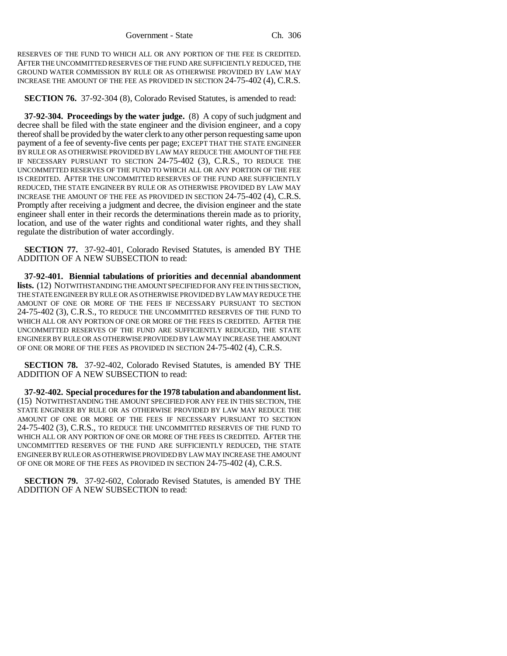RESERVES OF THE FUND TO WHICH ALL OR ANY PORTION OF THE FEE IS CREDITED. AFTER THE UNCOMMITTED RESERVES OF THE FUND ARE SUFFICIENTLY REDUCED, THE GROUND WATER COMMISSION BY RULE OR AS OTHERWISE PROVIDED BY LAW MAY INCREASE THE AMOUNT OF THE FEE AS PROVIDED IN SECTION 24-75-402 (4), C.R.S.

**SECTION 76.** 37-92-304 (8), Colorado Revised Statutes, is amended to read:

**37-92-304. Proceedings by the water judge.** (8) A copy of such judgment and decree shall be filed with the state engineer and the division engineer, and a copy thereof shall be provided by the water clerk to any other person requesting same upon payment of a fee of seventy-five cents per page; EXCEPT THAT THE STATE ENGINEER BY RULE OR AS OTHERWISE PROVIDED BY LAW MAY REDUCE THE AMOUNT OF THE FEE IF NECESSARY PURSUANT TO SECTION 24-75-402 (3), C.R.S., TO REDUCE THE UNCOMMITTED RESERVES OF THE FUND TO WHICH ALL OR ANY PORTION OF THE FEE IS CREDITED. AFTER THE UNCOMMITTED RESERVES OF THE FUND ARE SUFFICIENTLY REDUCED, THE STATE ENGINEER BY RULE OR AS OTHERWISE PROVIDED BY LAW MAY INCREASE THE AMOUNT OF THE FEE AS PROVIDED IN SECTION 24-75-402 (4), C.R.S. Promptly after receiving a judgment and decree, the division engineer and the state engineer shall enter in their records the determinations therein made as to priority, location, and use of the water rights and conditional water rights, and they shall regulate the distribution of water accordingly.

**SECTION 77.** 37-92-401, Colorado Revised Statutes, is amended BY THE ADDITION OF A NEW SUBSECTION to read:

**37-92-401. Biennial tabulations of priorities and decennial abandonment lists.** (12) NOTWITHSTANDING THE AMOUNT SPECIFIED FOR ANY FEE IN THIS SECTION, THE STATE ENGINEER BY RULE OR AS OTHERWISE PROVIDED BY LAW MAY REDUCE THE AMOUNT OF ONE OR MORE OF THE FEES IF NECESSARY PURSUANT TO SECTION 24-75-402 (3), C.R.S., TO REDUCE THE UNCOMMITTED RESERVES OF THE FUND TO WHICH ALL OR ANY PORTION OF ONE OR MORE OF THE FEES IS CREDITED. AFTER THE UNCOMMITTED RESERVES OF THE FUND ARE SUFFICIENTLY REDUCED, THE STATE ENGINEER BY RULE OR AS OTHERWISE PROVIDED BY LAW MAY INCREASE THE AMOUNT OF ONE OR MORE OF THE FEES AS PROVIDED IN SECTION 24-75-402 (4), C.R.S.

**SECTION 78.** 37-92-402, Colorado Revised Statutes, is amended BY THE ADDITION OF A NEW SUBSECTION to read:

**37-92-402. Special procedures for the 1978 tabulation and abandonment list.** (15) NOTWITHSTANDING THE AMOUNT SPECIFIED FOR ANY FEE IN THIS SECTION, THE STATE ENGINEER BY RULE OR AS OTHERWISE PROVIDED BY LAW MAY REDUCE THE AMOUNT OF ONE OR MORE OF THE FEES IF NECESSARY PURSUANT TO SECTION 24-75-402 (3), C.R.S., TO REDUCE THE UNCOMMITTED RESERVES OF THE FUND TO WHICH ALL OR ANY PORTION OF ONE OR MORE OF THE FEES IS CREDITED. AFTER THE UNCOMMITTED RESERVES OF THE FUND ARE SUFFICIENTLY REDUCED, THE STATE ENGINEER BY RULE OR AS OTHERWISE PROVIDED BY LAW MAY INCREASE THE AMOUNT OF ONE OR MORE OF THE FEES AS PROVIDED IN SECTION 24-75-402 (4), C.R.S.

**SECTION 79.** 37-92-602, Colorado Revised Statutes, is amended BY THE ADDITION OF A NEW SUBSECTION to read: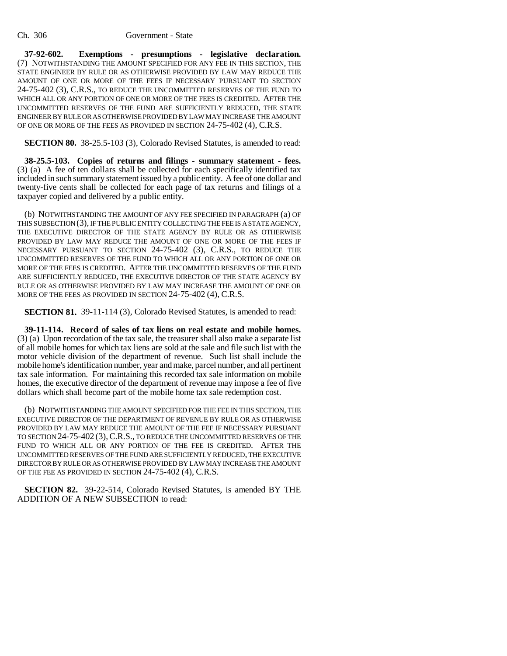**37-92-602. Exemptions - presumptions - legislative declaration.** (7) NOTWITHSTANDING THE AMOUNT SPECIFIED FOR ANY FEE IN THIS SECTION, THE STATE ENGINEER BY RULE OR AS OTHERWISE PROVIDED BY LAW MAY REDUCE THE AMOUNT OF ONE OR MORE OF THE FEES IF NECESSARY PURSUANT TO SECTION 24-75-402 (3), C.R.S., TO REDUCE THE UNCOMMITTED RESERVES OF THE FUND TO WHICH ALL OR ANY PORTION OF ONE OR MORE OF THE FEES IS CREDITED. AFTER THE UNCOMMITTED RESERVES OF THE FUND ARE SUFFICIENTLY REDUCED, THE STATE ENGINEER BY RULE OR AS OTHERWISE PROVIDED BY LAW MAY INCREASE THE AMOUNT OF ONE OR MORE OF THE FEES AS PROVIDED IN SECTION 24-75-402 (4), C.R.S.

**SECTION 80.** 38-25.5-103 (3), Colorado Revised Statutes, is amended to read:

**38-25.5-103. Copies of returns and filings - summary statement - fees.** (3) (a) A fee of ten dollars shall be collected for each specifically identified tax included in such summary statement issued by a public entity. A fee of one dollar and twenty-five cents shall be collected for each page of tax returns and filings of a taxpayer copied and delivered by a public entity.

(b) NOTWITHSTANDING THE AMOUNT OF ANY FEE SPECIFIED IN PARAGRAPH (a) OF THIS SUBSECTION (3), IF THE PUBLIC ENTITY COLLECTING THE FEE IS A STATE AGENCY, THE EXECUTIVE DIRECTOR OF THE STATE AGENCY BY RULE OR AS OTHERWISE PROVIDED BY LAW MAY REDUCE THE AMOUNT OF ONE OR MORE OF THE FEES IF NECESSARY PURSUANT TO SECTION 24-75-402 (3), C.R.S., TO REDUCE THE UNCOMMITTED RESERVES OF THE FUND TO WHICH ALL OR ANY PORTION OF ONE OR MORE OF THE FEES IS CREDITED. AFTER THE UNCOMMITTED RESERVES OF THE FUND ARE SUFFICIENTLY REDUCED, THE EXECUTIVE DIRECTOR OF THE STATE AGENCY BY RULE OR AS OTHERWISE PROVIDED BY LAW MAY INCREASE THE AMOUNT OF ONE OR MORE OF THE FEES AS PROVIDED IN SECTION 24-75-402 (4), C.R.S.

**SECTION 81.** 39-11-114 (3), Colorado Revised Statutes, is amended to read:

**39-11-114. Record of sales of tax liens on real estate and mobile homes.** (3) (a) Upon recordation of the tax sale, the treasurer shall also make a separate list of all mobile homes for which tax liens are sold at the sale and file such list with the motor vehicle division of the department of revenue. Such list shall include the mobile home's identification number, year and make, parcel number, and all pertinent tax sale information. For maintaining this recorded tax sale information on mobile homes, the executive director of the department of revenue may impose a fee of five dollars which shall become part of the mobile home tax sale redemption cost.

(b) NOTWITHSTANDING THE AMOUNT SPECIFIED FOR THE FEE IN THIS SECTION, THE EXECUTIVE DIRECTOR OF THE DEPARTMENT OF REVENUE BY RULE OR AS OTHERWISE PROVIDED BY LAW MAY REDUCE THE AMOUNT OF THE FEE IF NECESSARY PURSUANT TO SECTION 24-75-402 (3), C.R.S., TO REDUCE THE UNCOMMITTED RESERVES OF THE FUND TO WHICH ALL OR ANY PORTION OF THE FEE IS CREDITED. AFTER THE UNCOMMITTED RESERVES OF THE FUND ARE SUFFICIENTLY REDUCED, THE EXECUTIVE DIRECTOR BY RULE OR AS OTHERWISE PROVIDED BY LAW MAY INCREASE THE AMOUNT OF THE FEE AS PROVIDED IN SECTION 24-75-402 (4), C.R.S.

**SECTION 82.** 39-22-514, Colorado Revised Statutes, is amended BY THE ADDITION OF A NEW SUBSECTION to read: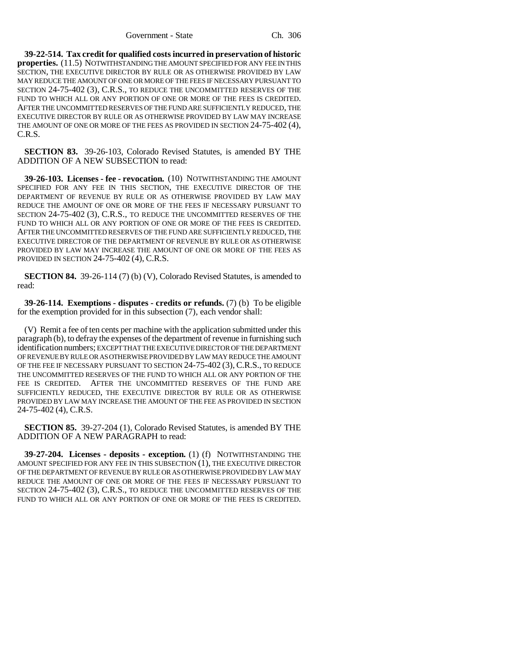**39-22-514. Tax credit for qualified costs incurred in preservation of historic properties.** (11.5) NOTWITHSTANDING THE AMOUNT SPECIFIED FOR ANY FEE IN THIS SECTION, THE EXECUTIVE DIRECTOR BY RULE OR AS OTHERWISE PROVIDED BY LAW MAY REDUCE THE AMOUNT OF ONE OR MORE OF THE FEES IF NECESSARY PURSUANT TO SECTION 24-75-402 (3), C.R.S., TO REDUCE THE UNCOMMITTED RESERVES OF THE FUND TO WHICH ALL OR ANY PORTION OF ONE OR MORE OF THE FEES IS CREDITED. AFTER THE UNCOMMITTED RESERVES OF THE FUND ARE SUFFICIENTLY REDUCED, THE EXECUTIVE DIRECTOR BY RULE OR AS OTHERWISE PROVIDED BY LAW MAY INCREASE THE AMOUNT OF ONE OR MORE OF THE FEES AS PROVIDED IN SECTION 24-75-402 (4), C.R.S.

**SECTION 83.** 39-26-103, Colorado Revised Statutes, is amended BY THE ADDITION OF A NEW SUBSECTION to read:

**39-26-103. Licenses - fee - revocation.** (10) NOTWITHSTANDING THE AMOUNT SPECIFIED FOR ANY FEE IN THIS SECTION, THE EXECUTIVE DIRECTOR OF THE DEPARTMENT OF REVENUE BY RULE OR AS OTHERWISE PROVIDED BY LAW MAY REDUCE THE AMOUNT OF ONE OR MORE OF THE FEES IF NECESSARY PURSUANT TO SECTION 24-75-402 (3), C.R.S., TO REDUCE THE UNCOMMITTED RESERVES OF THE FUND TO WHICH ALL OR ANY PORTION OF ONE OR MORE OF THE FEES IS CREDITED. AFTER THE UNCOMMITTED RESERVES OF THE FUND ARE SUFFICIENTLY REDUCED, THE EXECUTIVE DIRECTOR OF THE DEPARTMENT OF REVENUE BY RULE OR AS OTHERWISE PROVIDED BY LAW MAY INCREASE THE AMOUNT OF ONE OR MORE OF THE FEES AS PROVIDED IN SECTION 24-75-402 (4), C.R.S.

**SECTION 84.** 39-26-114 (7) (b) (V), Colorado Revised Statutes, is amended to read:

**39-26-114. Exemptions - disputes - credits or refunds.** (7) (b) To be eligible for the exemption provided for in this subsection (7), each vendor shall:

(V) Remit a fee of ten cents per machine with the application submitted under this paragraph (b), to defray the expenses of the department of revenue in furnishing such identification numbers; EXCEPT THAT THE EXECUTIVE DIRECTOR OF THE DEPARTMENT OF REVENUE BY RULE OR AS OTHERWISE PROVIDED BY LAW MAY REDUCE THE AMOUNT OF THE FEE IF NECESSARY PURSUANT TO SECTION 24-75-402 (3), C.R.S., TO REDUCE THE UNCOMMITTED RESERVES OF THE FUND TO WHICH ALL OR ANY PORTION OF THE FEE IS CREDITED. AFTER THE UNCOMMITTED RESERVES OF THE FUND ARE SUFFICIENTLY REDUCED, THE EXECUTIVE DIRECTOR BY RULE OR AS OTHERWISE PROVIDED BY LAW MAY INCREASE THE AMOUNT OF THE FEE AS PROVIDED IN SECTION 24-75-402 (4), C.R.S.

**SECTION 85.** 39-27-204 (1), Colorado Revised Statutes, is amended BY THE ADDITION OF A NEW PARAGRAPH to read:

**39-27-204. Licenses - deposits - exception.** (1) (f) NOTWITHSTANDING THE AMOUNT SPECIFIED FOR ANY FEE IN THIS SUBSECTION (1), THE EXECUTIVE DIRECTOR OF THE DEPARTMENT OF REVENUE BY RULE OR AS OTHERWISE PROVIDED BY LAW MAY REDUCE THE AMOUNT OF ONE OR MORE OF THE FEES IF NECESSARY PURSUANT TO SECTION 24-75-402 (3), C.R.S., TO REDUCE THE UNCOMMITTED RESERVES OF THE FUND TO WHICH ALL OR ANY PORTION OF ONE OR MORE OF THE FEES IS CREDITED.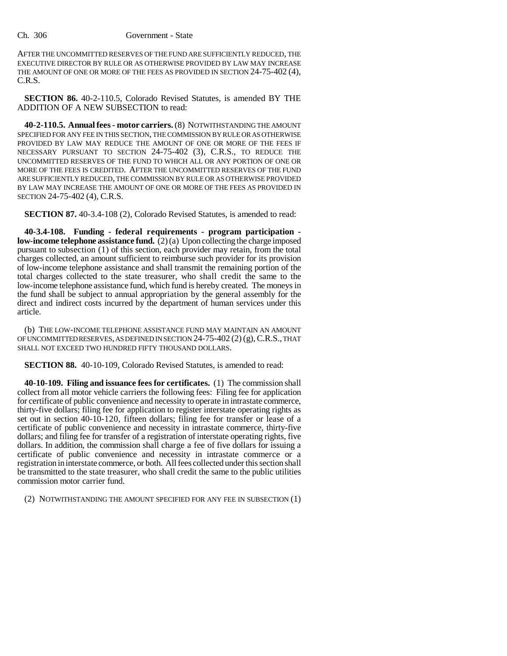AFTER THE UNCOMMITTED RESERVES OF THE FUND ARE SUFFICIENTLY REDUCED, THE EXECUTIVE DIRECTOR BY RULE OR AS OTHERWISE PROVIDED BY LAW MAY INCREASE THE AMOUNT OF ONE OR MORE OF THE FEES AS PROVIDED IN SECTION 24-75-402 (4), C.R.S.

**SECTION 86.** 40-2-110.5, Colorado Revised Statutes, is amended BY THE ADDITION OF A NEW SUBSECTION to read:

**40-2-110.5. Annual fees - motor carriers.** (8) NOTWITHSTANDING THE AMOUNT SPECIFIED FOR ANY FEE IN THIS SECTION, THE COMMISSION BY RULE OR AS OTHERWISE PROVIDED BY LAW MAY REDUCE THE AMOUNT OF ONE OR MORE OF THE FEES IF NECESSARY PURSUANT TO SECTION 24-75-402 (3), C.R.S., TO REDUCE THE UNCOMMITTED RESERVES OF THE FUND TO WHICH ALL OR ANY PORTION OF ONE OR MORE OF THE FEES IS CREDITED. AFTER THE UNCOMMITTED RESERVES OF THE FUND ARE SUFFICIENTLY REDUCED, THE COMMISSION BY RULE OR AS OTHERWISE PROVIDED BY LAW MAY INCREASE THE AMOUNT OF ONE OR MORE OF THE FEES AS PROVIDED IN SECTION 24-75-402 (4), C.R.S.

**SECTION 87.** 40-3.4-108 (2), Colorado Revised Statutes, is amended to read:

**40-3.4-108. Funding - federal requirements - program participation low-income telephone assistance fund.** (2) (a) Upon collecting the charge imposed pursuant to subsection (1) of this section, each provider may retain, from the total charges collected, an amount sufficient to reimburse such provider for its provision of low-income telephone assistance and shall transmit the remaining portion of the total charges collected to the state treasurer, who shall credit the same to the low-income telephone assistance fund, which fund is hereby created. The moneys in the fund shall be subject to annual appropriation by the general assembly for the direct and indirect costs incurred by the department of human services under this article.

(b) THE LOW-INCOME TELEPHONE ASSISTANCE FUND MAY MAINTAIN AN AMOUNT OF UNCOMMITTED RESERVES, AS DEFINED IN SECTION  $24-75-402$  (2) (g), C.R.S., THAT SHALL NOT EXCEED TWO HUNDRED FIFTY THOUSAND DOLLARS.

**SECTION 88.** 40-10-109, Colorado Revised Statutes, is amended to read:

**40-10-109. Filing and issuance fees for certificates.** (1) The commission shall collect from all motor vehicle carriers the following fees: Filing fee for application for certificate of public convenience and necessity to operate in intrastate commerce, thirty-five dollars; filing fee for application to register interstate operating rights as set out in section 40-10-120, fifteen dollars; filing fee for transfer or lease of a certificate of public convenience and necessity in intrastate commerce, thirty-five dollars; and filing fee for transfer of a registration of interstate operating rights, five dollars. In addition, the commission shall charge a fee of five dollars for issuing a certificate of public convenience and necessity in intrastate commerce or a registration in interstate commerce, or both. All fees collected under this section shall be transmitted to the state treasurer, who shall credit the same to the public utilities commission motor carrier fund.

(2) NOTWITHSTANDING THE AMOUNT SPECIFIED FOR ANY FEE IN SUBSECTION (1)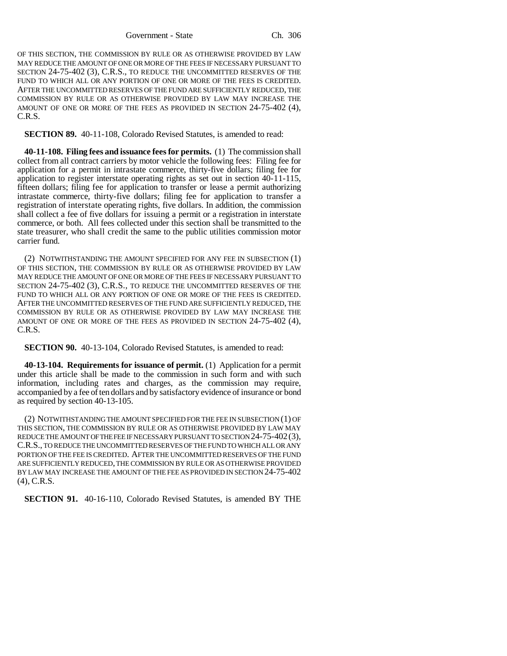OF THIS SECTION, THE COMMISSION BY RULE OR AS OTHERWISE PROVIDED BY LAW MAY REDUCE THE AMOUNT OF ONE OR MORE OF THE FEES IF NECESSARY PURSUANT TO SECTION 24-75-402 (3), C.R.S., TO REDUCE THE UNCOMMITTED RESERVES OF THE FUND TO WHICH ALL OR ANY PORTION OF ONE OR MORE OF THE FEES IS CREDITED. AFTER THE UNCOMMITTED RESERVES OF THE FUND ARE SUFFICIENTLY REDUCED, THE COMMISSION BY RULE OR AS OTHERWISE PROVIDED BY LAW MAY INCREASE THE AMOUNT OF ONE OR MORE OF THE FEES AS PROVIDED IN SECTION 24-75-402 (4), C.R.S.

**SECTION 89.** 40-11-108, Colorado Revised Statutes, is amended to read:

**40-11-108. Filing fees and issuance fees for permits.** (1) The commission shall collect from all contract carriers by motor vehicle the following fees: Filing fee for application for a permit in intrastate commerce, thirty-five dollars; filing fee for application to register interstate operating rights as set out in section 40-11-115, fifteen dollars; filing fee for application to transfer or lease a permit authorizing intrastate commerce, thirty-five dollars; filing fee for application to transfer a registration of interstate operating rights, five dollars. In addition, the commission shall collect a fee of five dollars for issuing a permit or a registration in interstate commerce, or both. All fees collected under this section shall be transmitted to the state treasurer, who shall credit the same to the public utilities commission motor carrier fund.

(2) NOTWITHSTANDING THE AMOUNT SPECIFIED FOR ANY FEE IN SUBSECTION (1) OF THIS SECTION, THE COMMISSION BY RULE OR AS OTHERWISE PROVIDED BY LAW MAY REDUCE THE AMOUNT OF ONE OR MORE OF THE FEES IF NECESSARY PURSUANT TO SECTION 24-75-402 (3), C.R.S., TO REDUCE THE UNCOMMITTED RESERVES OF THE FUND TO WHICH ALL OR ANY PORTION OF ONE OR MORE OF THE FEES IS CREDITED. AFTER THE UNCOMMITTED RESERVES OF THE FUND ARE SUFFICIENTLY REDUCED, THE COMMISSION BY RULE OR AS OTHERWISE PROVIDED BY LAW MAY INCREASE THE AMOUNT OF ONE OR MORE OF THE FEES AS PROVIDED IN SECTION 24-75-402 (4), C.R.S.

**SECTION 90.** 40-13-104, Colorado Revised Statutes, is amended to read:

**40-13-104. Requirements for issuance of permit.** (1) Application for a permit under this article shall be made to the commission in such form and with such information, including rates and charges, as the commission may require, accompanied by a fee of ten dollars and by satisfactory evidence of insurance or bond as required by section 40-13-105.

(2) NOTWITHSTANDING THE AMOUNT SPECIFIED FOR THE FEE IN SUBSECTION (1) OF THIS SECTION, THE COMMISSION BY RULE OR AS OTHERWISE PROVIDED BY LAW MAY REDUCE THE AMOUNT OF THE FEE IF NECESSARY PURSUANT TO SECTION 24-75-402(3), C.R.S., TO REDUCE THE UNCOMMITTED RESERVES OF THE FUND TO WHICH ALL OR ANY PORTION OF THE FEE IS CREDITED. AFTER THE UNCOMMITTED RESERVES OF THE FUND ARE SUFFICIENTLY REDUCED, THE COMMISSION BY RULE OR AS OTHERWISE PROVIDED BY LAW MAY INCREASE THE AMOUNT OF THE FEE AS PROVIDED IN SECTION 24-75-402 (4), C.R.S.

**SECTION 91.** 40-16-110, Colorado Revised Statutes, is amended BY THE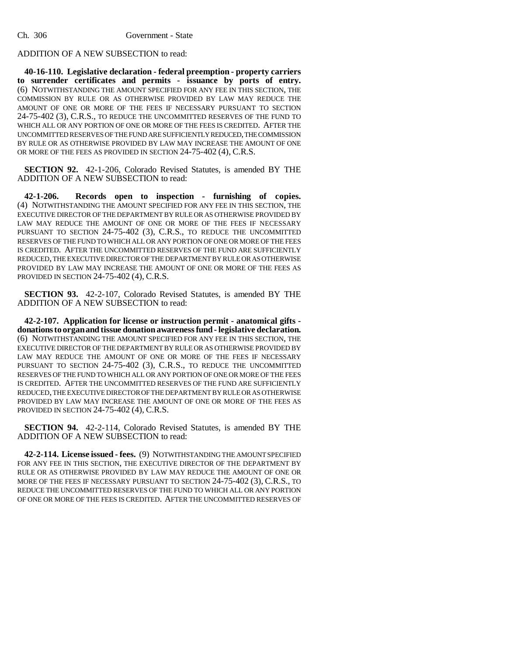## ADDITION OF A NEW SUBSECTION to read:

**40-16-110. Legislative declaration - federal preemption - property carriers to surrender certificates and permits - issuance by ports of entry.** (6) NOTWITHSTANDING THE AMOUNT SPECIFIED FOR ANY FEE IN THIS SECTION, THE COMMISSION BY RULE OR AS OTHERWISE PROVIDED BY LAW MAY REDUCE THE AMOUNT OF ONE OR MORE OF THE FEES IF NECESSARY PURSUANT TO SECTION 24-75-402 (3), C.R.S., TO REDUCE THE UNCOMMITTED RESERVES OF THE FUND TO WHICH ALL OR ANY PORTION OF ONE OR MORE OF THE FEES IS CREDITED. AFTER THE UNCOMMITTED RESERVES OF THE FUND ARE SUFFICIENTLY REDUCED, THE COMMISSION BY RULE OR AS OTHERWISE PROVIDED BY LAW MAY INCREASE THE AMOUNT OF ONE OR MORE OF THE FEES AS PROVIDED IN SECTION 24-75-402 (4), C.R.S.

**SECTION 92.** 42-1-206, Colorado Revised Statutes, is amended BY THE ADDITION OF A NEW SUBSECTION to read:

**42-1-206. Records open to inspection - furnishing of copies.** (4) NOTWITHSTANDING THE AMOUNT SPECIFIED FOR ANY FEE IN THIS SECTION, THE EXECUTIVE DIRECTOR OF THE DEPARTMENT BY RULE OR AS OTHERWISE PROVIDED BY LAW MAY REDUCE THE AMOUNT OF ONE OR MORE OF THE FEES IF NECESSARY PURSUANT TO SECTION 24-75-402 (3), C.R.S., TO REDUCE THE UNCOMMITTED RESERVES OF THE FUND TO WHICH ALL OR ANY PORTION OF ONE OR MORE OF THE FEES IS CREDITED. AFTER THE UNCOMMITTED RESERVES OF THE FUND ARE SUFFICIENTLY REDUCED, THE EXECUTIVE DIRECTOR OF THE DEPARTMENT BY RULE OR AS OTHERWISE PROVIDED BY LAW MAY INCREASE THE AMOUNT OF ONE OR MORE OF THE FEES AS PROVIDED IN SECTION 24-75-402 (4), C.R.S.

**SECTION 93.** 42-2-107, Colorado Revised Statutes, is amended BY THE ADDITION OF A NEW SUBSECTION to read:

**42-2-107. Application for license or instruction permit - anatomical gifts donations to organ and tissue donation awareness fund - legislative declaration.** (6) NOTWITHSTANDING THE AMOUNT SPECIFIED FOR ANY FEE IN THIS SECTION, THE EXECUTIVE DIRECTOR OF THE DEPARTMENT BY RULE OR AS OTHERWISE PROVIDED BY LAW MAY REDUCE THE AMOUNT OF ONE OR MORE OF THE FEES IF NECESSARY PURSUANT TO SECTION 24-75-402 (3), C.R.S., TO REDUCE THE UNCOMMITTED RESERVES OF THE FUND TO WHICH ALL OR ANY PORTION OF ONE OR MORE OF THE FEES IS CREDITED. AFTER THE UNCOMMITTED RESERVES OF THE FUND ARE SUFFICIENTLY REDUCED, THE EXECUTIVE DIRECTOR OF THE DEPARTMENT BY RULE OR AS OTHERWISE PROVIDED BY LAW MAY INCREASE THE AMOUNT OF ONE OR MORE OF THE FEES AS PROVIDED IN SECTION 24-75-402 (4), C.R.S.

**SECTION 94.** 42-2-114, Colorado Revised Statutes, is amended BY THE ADDITION OF A NEW SUBSECTION to read:

**42-2-114. License issued - fees.** (9) NOTWITHSTANDING THE AMOUNT SPECIFIED FOR ANY FEE IN THIS SECTION, THE EXECUTIVE DIRECTOR OF THE DEPARTMENT BY RULE OR AS OTHERWISE PROVIDED BY LAW MAY REDUCE THE AMOUNT OF ONE OR MORE OF THE FEES IF NECESSARY PURSUANT TO SECTION 24-75-402 (3), C.R.S., TO REDUCE THE UNCOMMITTED RESERVES OF THE FUND TO WHICH ALL OR ANY PORTION OF ONE OR MORE OF THE FEES IS CREDITED. AFTER THE UNCOMMITTED RESERVES OF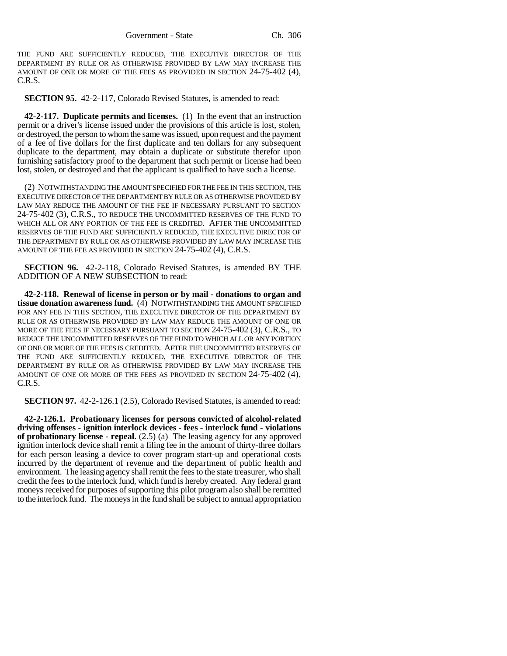THE FUND ARE SUFFICIENTLY REDUCED, THE EXECUTIVE DIRECTOR OF THE DEPARTMENT BY RULE OR AS OTHERWISE PROVIDED BY LAW MAY INCREASE THE AMOUNT OF ONE OR MORE OF THE FEES AS PROVIDED IN SECTION 24-75-402 (4), C.R.S.

**SECTION 95.** 42-2-117, Colorado Revised Statutes, is amended to read:

**42-2-117. Duplicate permits and licenses.** (1) In the event that an instruction permit or a driver's license issued under the provisions of this article is lost, stolen, or destroyed, the person to whom the same was issued, upon request and the payment of a fee of five dollars for the first duplicate and ten dollars for any subsequent duplicate to the department, may obtain a duplicate or substitute therefor upon furnishing satisfactory proof to the department that such permit or license had been lost, stolen, or destroyed and that the applicant is qualified to have such a license.

(2) NOTWITHSTANDING THE AMOUNT SPECIFIED FOR THE FEE IN THIS SECTION, THE EXECUTIVE DIRECTOR OF THE DEPARTMENT BY RULE OR AS OTHERWISE PROVIDED BY LAW MAY REDUCE THE AMOUNT OF THE FEE IF NECESSARY PURSUANT TO SECTION 24-75-402 (3), C.R.S., TO REDUCE THE UNCOMMITTED RESERVES OF THE FUND TO WHICH ALL OR ANY PORTION OF THE FEE IS CREDITED. AFTER THE UNCOMMITTED RESERVES OF THE FUND ARE SUFFICIENTLY REDUCED, THE EXECUTIVE DIRECTOR OF THE DEPARTMENT BY RULE OR AS OTHERWISE PROVIDED BY LAW MAY INCREASE THE AMOUNT OF THE FEE AS PROVIDED IN SECTION 24-75-402 (4), C.R.S.

**SECTION 96.** 42-2-118, Colorado Revised Statutes, is amended BY THE ADDITION OF A NEW SUBSECTION to read:

**42-2-118. Renewal of license in person or by mail - donations to organ and tissue donation awareness fund.** (4) NOTWITHSTANDING THE AMOUNT SPECIFIED FOR ANY FEE IN THIS SECTION, THE EXECUTIVE DIRECTOR OF THE DEPARTMENT BY RULE OR AS OTHERWISE PROVIDED BY LAW MAY REDUCE THE AMOUNT OF ONE OR MORE OF THE FEES IF NECESSARY PURSUANT TO SECTION 24-75-402 (3), C.R.S., TO REDUCE THE UNCOMMITTED RESERVES OF THE FUND TO WHICH ALL OR ANY PORTION OF ONE OR MORE OF THE FEES IS CREDITED. AFTER THE UNCOMMITTED RESERVES OF THE FUND ARE SUFFICIENTLY REDUCED, THE EXECUTIVE DIRECTOR OF THE DEPARTMENT BY RULE OR AS OTHERWISE PROVIDED BY LAW MAY INCREASE THE AMOUNT OF ONE OR MORE OF THE FEES AS PROVIDED IN SECTION 24-75-402 (4), C.R.S.

**SECTION 97.** 42-2-126.1 (2.5), Colorado Revised Statutes, is amended to read:

**42-2-126.1. Probationary licenses for persons convicted of alcohol-related driving offenses - ignition interlock devices - fees - interlock fund - violations of probationary license - repeal.** (2.5) (a) The leasing agency for any approved ignition interlock device shall remit a filing fee in the amount of thirty-three dollars for each person leasing a device to cover program start-up and operational costs incurred by the department of revenue and the department of public health and environment. The leasing agency shall remit the fees to the state treasurer, who shall credit the fees to the interlock fund, which fund is hereby created. Any federal grant moneys received for purposes of supporting this pilot program also shall be remitted to the interlock fund. The moneys in the fund shall be subject to annual appropriation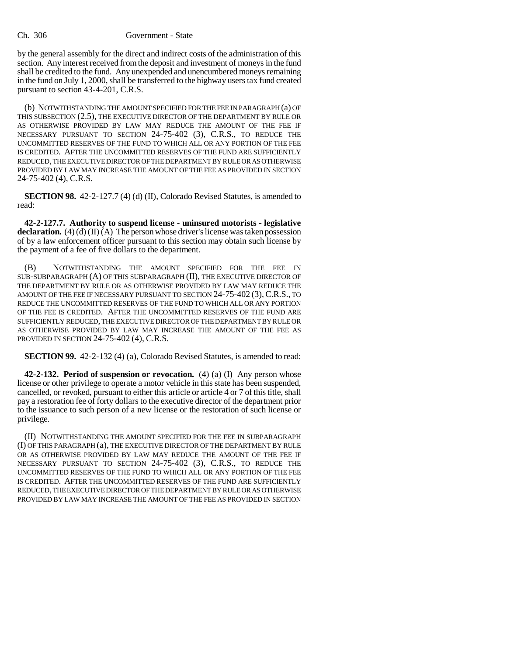by the general assembly for the direct and indirect costs of the administration of this section. Any interest received from the deposit and investment of moneys in the fund shall be credited to the fund. Any unexpended and unencumbered moneys remaining in the fund on July 1, 2000, shall be transferred to the highway users tax fund created pursuant to section 43-4-201, C.R.S.

(b) NOTWITHSTANDING THE AMOUNT SPECIFIED FOR THE FEE IN PARAGRAPH (a) OF THIS SUBSECTION (2.5), THE EXECUTIVE DIRECTOR OF THE DEPARTMENT BY RULE OR AS OTHERWISE PROVIDED BY LAW MAY REDUCE THE AMOUNT OF THE FEE IF NECESSARY PURSUANT TO SECTION 24-75-402 (3), C.R.S., TO REDUCE THE UNCOMMITTED RESERVES OF THE FUND TO WHICH ALL OR ANY PORTION OF THE FEE IS CREDITED. AFTER THE UNCOMMITTED RESERVES OF THE FUND ARE SUFFICIENTLY REDUCED, THE EXECUTIVE DIRECTOR OF THE DEPARTMENT BY RULE OR AS OTHERWISE PROVIDED BY LAW MAY INCREASE THE AMOUNT OF THE FEE AS PROVIDED IN SECTION 24-75-402 (4), C.R.S.

**SECTION 98.** 42-2-127.7 (4) (d) (II), Colorado Revised Statutes, is amended to read:

**42-2-127.7. Authority to suspend license - uninsured motorists - legislative declaration.** (4) (d) (II) (A) The person whose driver's license was taken possession of by a law enforcement officer pursuant to this section may obtain such license by the payment of a fee of five dollars to the department.

(B) NOTWITHSTANDING THE AMOUNT SPECIFIED FOR THE FEE IN SUB-SUBPARAGRAPH (A) OF THIS SUBPARAGRAPH (II), THE EXECUTIVE DIRECTOR OF THE DEPARTMENT BY RULE OR AS OTHERWISE PROVIDED BY LAW MAY REDUCE THE AMOUNT OF THE FEE IF NECESSARY PURSUANT TO SECTION 24-75-402 (3), C.R.S., TO REDUCE THE UNCOMMITTED RESERVES OF THE FUND TO WHICH ALL OR ANY PORTION OF THE FEE IS CREDITED. AFTER THE UNCOMMITTED RESERVES OF THE FUND ARE SUFFICIENTLY REDUCED, THE EXECUTIVE DIRECTOR OF THE DEPARTMENT BY RULE OR AS OTHERWISE PROVIDED BY LAW MAY INCREASE THE AMOUNT OF THE FEE AS PROVIDED IN SECTION 24-75-402 (4), C.R.S.

**SECTION 99.** 42-2-132 (4) (a), Colorado Revised Statutes, is amended to read:

**42-2-132. Period of suspension or revocation.** (4) (a) (I) Any person whose license or other privilege to operate a motor vehicle in this state has been suspended, cancelled, or revoked, pursuant to either this article or article 4 or 7 of this title, shall pay a restoration fee of forty dollars to the executive director of the department prior to the issuance to such person of a new license or the restoration of such license or privilege.

(II) NOTWITHSTANDING THE AMOUNT SPECIFIED FOR THE FEE IN SUBPARAGRAPH (I) OF THIS PARAGRAPH (a), THE EXECUTIVE DIRECTOR OF THE DEPARTMENT BY RULE OR AS OTHERWISE PROVIDED BY LAW MAY REDUCE THE AMOUNT OF THE FEE IF NECESSARY PURSUANT TO SECTION 24-75-402 (3), C.R.S., TO REDUCE THE UNCOMMITTED RESERVES OF THE FUND TO WHICH ALL OR ANY PORTION OF THE FEE IS CREDITED. AFTER THE UNCOMMITTED RESERVES OF THE FUND ARE SUFFICIENTLY REDUCED, THE EXECUTIVE DIRECTOR OF THE DEPARTMENT BY RULE OR AS OTHERWISE PROVIDED BY LAW MAY INCREASE THE AMOUNT OF THE FEE AS PROVIDED IN SECTION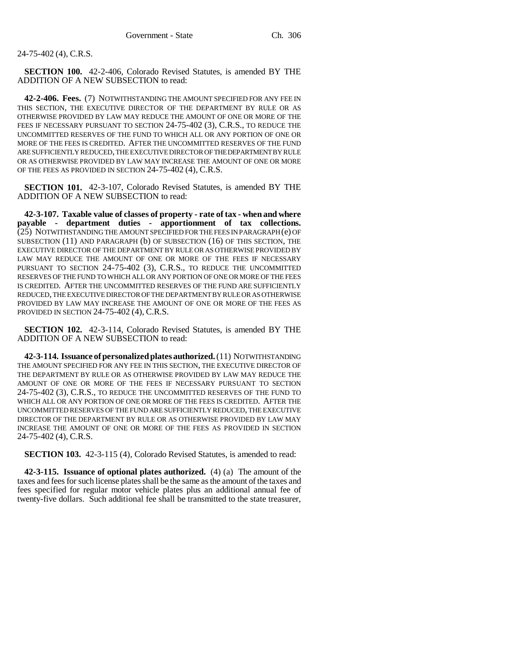24-75-402 (4), C.R.S.

**SECTION 100.** 42-2-406, Colorado Revised Statutes, is amended BY THE ADDITION OF A NEW SUBSECTION to read:

**42-2-406. Fees.** (7) NOTWITHSTANDING THE AMOUNT SPECIFIED FOR ANY FEE IN THIS SECTION, THE EXECUTIVE DIRECTOR OF THE DEPARTMENT BY RULE OR AS OTHERWISE PROVIDED BY LAW MAY REDUCE THE AMOUNT OF ONE OR MORE OF THE FEES IF NECESSARY PURSUANT TO SECTION 24-75-402 (3), C.R.S., TO REDUCE THE UNCOMMITTED RESERVES OF THE FUND TO WHICH ALL OR ANY PORTION OF ONE OR MORE OF THE FEES IS CREDITED. AFTER THE UNCOMMITTED RESERVES OF THE FUND ARE SUFFICIENTLY REDUCED, THE EXECUTIVE DIRECTOR OF THE DEPARTMENT BY RULE OR AS OTHERWISE PROVIDED BY LAW MAY INCREASE THE AMOUNT OF ONE OR MORE OF THE FEES AS PROVIDED IN SECTION 24-75-402 (4), C.R.S.

**SECTION 101.** 42-3-107, Colorado Revised Statutes, is amended BY THE ADDITION OF A NEW SUBSECTION to read:

**42-3-107. Taxable value of classes of property - rate of tax - when and where payable - department duties - apportionment of tax collections.** (25) NOTWITHSTANDING THE AMOUNT SPECIFIED FOR THE FEES IN PARAGRAPH (e) OF SUBSECTION (11) AND PARAGRAPH (b) OF SUBSECTION (16) OF THIS SECTION, THE EXECUTIVE DIRECTOR OF THE DEPARTMENT BY RULE OR AS OTHERWISE PROVIDED BY LAW MAY REDUCE THE AMOUNT OF ONE OR MORE OF THE FEES IF NECESSARY PURSUANT TO SECTION 24-75-402 (3), C.R.S., TO REDUCE THE UNCOMMITTED RESERVES OF THE FUND TO WHICH ALL OR ANY PORTION OF ONE OR MORE OF THE FEES IS CREDITED. AFTER THE UNCOMMITTED RESERVES OF THE FUND ARE SUFFICIENTLY REDUCED, THE EXECUTIVE DIRECTOR OF THE DEPARTMENT BY RULE OR AS OTHERWISE PROVIDED BY LAW MAY INCREASE THE AMOUNT OF ONE OR MORE OF THE FEES AS PROVIDED IN SECTION 24-75-402 (4), C.R.S.

**SECTION 102.** 42-3-114, Colorado Revised Statutes, is amended BY THE ADDITION OF A NEW SUBSECTION to read:

**42-3-114. Issuance of personalized plates authorized.** (11) NOTWITHSTANDING THE AMOUNT SPECIFIED FOR ANY FEE IN THIS SECTION, THE EXECUTIVE DIRECTOR OF THE DEPARTMENT BY RULE OR AS OTHERWISE PROVIDED BY LAW MAY REDUCE THE AMOUNT OF ONE OR MORE OF THE FEES IF NECESSARY PURSUANT TO SECTION 24-75-402 (3), C.R.S., TO REDUCE THE UNCOMMITTED RESERVES OF THE FUND TO WHICH ALL OR ANY PORTION OF ONE OR MORE OF THE FEES IS CREDITED. AFTER THE UNCOMMITTED RESERVES OF THE FUND ARE SUFFICIENTLY REDUCED, THE EXECUTIVE DIRECTOR OF THE DEPARTMENT BY RULE OR AS OTHERWISE PROVIDED BY LAW MAY INCREASE THE AMOUNT OF ONE OR MORE OF THE FEES AS PROVIDED IN SECTION 24-75-402 (4), C.R.S.

**SECTION 103.** 42-3-115 (4), Colorado Revised Statutes, is amended to read:

**42-3-115. Issuance of optional plates authorized.** (4) (a) The amount of the taxes and fees for such license plates shall be the same as the amount of the taxes and fees specified for regular motor vehicle plates plus an additional annual fee of twenty-five dollars. Such additional fee shall be transmitted to the state treasurer,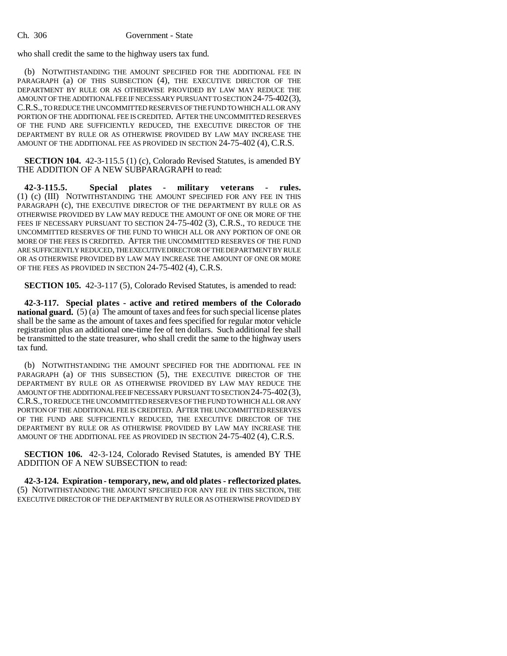who shall credit the same to the highway users tax fund.

(b) NOTWITHSTANDING THE AMOUNT SPECIFIED FOR THE ADDITIONAL FEE IN PARAGRAPH (a) OF THIS SUBSECTION (4), THE EXECUTIVE DIRECTOR OF THE DEPARTMENT BY RULE OR AS OTHERWISE PROVIDED BY LAW MAY REDUCE THE AMOUNT OF THE ADDITIONAL FEE IF NECESSARY PURSUANT TO SECTION 24-75-402(3), C.R.S., TO REDUCE THE UNCOMMITTED RESERVES OF THE FUND TO WHICH ALL OR ANY PORTION OF THE ADDITIONAL FEE IS CREDITED. AFTER THE UNCOMMITTED RESERVES OF THE FUND ARE SUFFICIENTLY REDUCED, THE EXECUTIVE DIRECTOR OF THE DEPARTMENT BY RULE OR AS OTHERWISE PROVIDED BY LAW MAY INCREASE THE AMOUNT OF THE ADDITIONAL FEE AS PROVIDED IN SECTION 24-75-402 (4), C.R.S.

**SECTION 104.** 42-3-115.5 (1) (c), Colorado Revised Statutes, is amended BY THE ADDITION OF A NEW SUBPARAGRAPH to read:

**42-3-115.5. Special plates - military veterans - rules.** (1) (c) (III) NOTWITHSTANDING THE AMOUNT SPECIFIED FOR ANY FEE IN THIS PARAGRAPH (c), THE EXECUTIVE DIRECTOR OF THE DEPARTMENT BY RULE OR AS OTHERWISE PROVIDED BY LAW MAY REDUCE THE AMOUNT OF ONE OR MORE OF THE FEES IF NECESSARY PURSUANT TO SECTION 24-75-402 (3), C.R.S., TO REDUCE THE UNCOMMITTED RESERVES OF THE FUND TO WHICH ALL OR ANY PORTION OF ONE OR MORE OF THE FEES IS CREDITED. AFTER THE UNCOMMITTED RESERVES OF THE FUND ARE SUFFICIENTLY REDUCED, THE EXECUTIVE DIRECTOR OF THE DEPARTMENT BY RULE OR AS OTHERWISE PROVIDED BY LAW MAY INCREASE THE AMOUNT OF ONE OR MORE OF THE FEES AS PROVIDED IN SECTION 24-75-402 (4), C.R.S.

**SECTION 105.** 42-3-117 (5), Colorado Revised Statutes, is amended to read:

**42-3-117. Special plates - active and retired members of the Colorado national guard.** (5) (a) The amount of taxes and fees for such special license plates shall be the same as the amount of taxes and fees specified for regular motor vehicle registration plus an additional one-time fee of ten dollars. Such additional fee shall be transmitted to the state treasurer, who shall credit the same to the highway users tax fund.

(b) NOTWITHSTANDING THE AMOUNT SPECIFIED FOR THE ADDITIONAL FEE IN PARAGRAPH (a) OF THIS SUBSECTION (5), THE EXECUTIVE DIRECTOR OF THE DEPARTMENT BY RULE OR AS OTHERWISE PROVIDED BY LAW MAY REDUCE THE AMOUNT OF THE ADDITIONAL FEE IF NECESSARY PURSUANT TO SECTION 24-75-402(3), C.R.S., TO REDUCE THE UNCOMMITTED RESERVES OF THE FUND TO WHICH ALL OR ANY PORTION OF THE ADDITIONAL FEE IS CREDITED. AFTER THE UNCOMMITTED RESERVES OF THE FUND ARE SUFFICIENTLY REDUCED, THE EXECUTIVE DIRECTOR OF THE DEPARTMENT BY RULE OR AS OTHERWISE PROVIDED BY LAW MAY INCREASE THE AMOUNT OF THE ADDITIONAL FEE AS PROVIDED IN SECTION 24-75-402 (4), C.R.S.

**SECTION 106.** 42-3-124, Colorado Revised Statutes, is amended BY THE ADDITION OF A NEW SUBSECTION to read:

**42-3-124. Expiration - temporary, new, and old plates - reflectorized plates.** (5) NOTWITHSTANDING THE AMOUNT SPECIFIED FOR ANY FEE IN THIS SECTION, THE EXECUTIVE DIRECTOR OF THE DEPARTMENT BY RULE OR AS OTHERWISE PROVIDED BY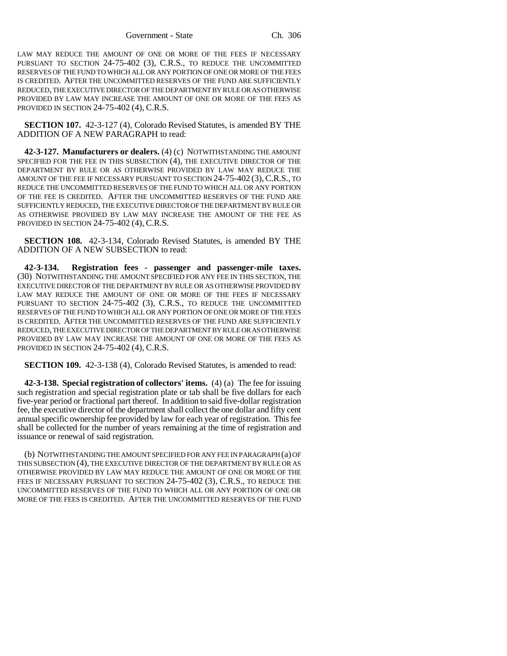LAW MAY REDUCE THE AMOUNT OF ONE OR MORE OF THE FEES IF NECESSARY PURSUANT TO SECTION 24-75-402 (3), C.R.S., TO REDUCE THE UNCOMMITTED RESERVES OF THE FUND TO WHICH ALL OR ANY PORTION OF ONE OR MORE OF THE FEES IS CREDITED. AFTER THE UNCOMMITTED RESERVES OF THE FUND ARE SUFFICIENTLY REDUCED, THE EXECUTIVE DIRECTOR OF THE DEPARTMENT BY RULE OR AS OTHERWISE PROVIDED BY LAW MAY INCREASE THE AMOUNT OF ONE OR MORE OF THE FEES AS PROVIDED IN SECTION 24-75-402 (4), C.R.S.

**SECTION 107.** 42-3-127 (4), Colorado Revised Statutes, is amended BY THE ADDITION OF A NEW PARAGRAPH to read:

**42-3-127. Manufacturers or dealers.** (4) (c) NOTWITHSTANDING THE AMOUNT SPECIFIED FOR THE FEE IN THIS SUBSECTION (4), THE EXECUTIVE DIRECTOR OF THE DEPARTMENT BY RULE OR AS OTHERWISE PROVIDED BY LAW MAY REDUCE THE AMOUNT OF THE FEE IF NECESSARY PURSUANT TO SECTION 24-75-402 (3), C.R.S., TO REDUCE THE UNCOMMITTED RESERVES OF THE FUND TO WHICH ALL OR ANY PORTION OF THE FEE IS CREDITED. AFTER THE UNCOMMITTED RESERVES OF THE FUND ARE SUFFICIENTLY REDUCED, THE EXECUTIVE DIRECTOR OF THE DEPARTMENT BY RULE OR AS OTHERWISE PROVIDED BY LAW MAY INCREASE THE AMOUNT OF THE FEE AS PROVIDED IN SECTION 24-75-402 (4), C.R.S.

**SECTION 108.** 42-3-134, Colorado Revised Statutes, is amended BY THE ADDITION OF A NEW SUBSECTION to read:

**42-3-134. Registration fees - passenger and passenger-mile taxes.** (30) NOTWITHSTANDING THE AMOUNT SPECIFIED FOR ANY FEE IN THIS SECTION, THE EXECUTIVE DIRECTOR OF THE DEPARTMENT BY RULE OR AS OTHERWISE PROVIDED BY LAW MAY REDUCE THE AMOUNT OF ONE OR MORE OF THE FEES IF NECESSARY PURSUANT TO SECTION 24-75-402 (3), C.R.S., TO REDUCE THE UNCOMMITTED RESERVES OF THE FUND TO WHICH ALL OR ANY PORTION OF ONE OR MORE OF THE FEES IS CREDITED. AFTER THE UNCOMMITTED RESERVES OF THE FUND ARE SUFFICIENTLY REDUCED, THE EXECUTIVE DIRECTOR OF THE DEPARTMENT BY RULE OR AS OTHERWISE PROVIDED BY LAW MAY INCREASE THE AMOUNT OF ONE OR MORE OF THE FEES AS PROVIDED IN SECTION 24-75-402 (4), C.R.S.

**SECTION 109.** 42-3-138 (4), Colorado Revised Statutes, is amended to read:

**42-3-138. Special registration of collectors' items.** (4) (a) The fee for issuing such registration and special registration plate or tab shall be five dollars for each five-year period or fractional part thereof. In addition to said five-dollar registration fee, the executive director of the department shall collect the one dollar and fifty cent annual specific ownership fee provided by law for each year of registration. This fee shall be collected for the number of years remaining at the time of registration and issuance or renewal of said registration.

(b) NOTWITHSTANDING THE AMOUNT SPECIFIED FOR ANY FEE IN PARAGRAPH (a) OF THIS SUBSECTION (4), THE EXECUTIVE DIRECTOR OF THE DEPARTMENT BY RULE OR AS OTHERWISE PROVIDED BY LAW MAY REDUCE THE AMOUNT OF ONE OR MORE OF THE FEES IF NECESSARY PURSUANT TO SECTION 24-75-402 (3), C.R.S., TO REDUCE THE UNCOMMITTED RESERVES OF THE FUND TO WHICH ALL OR ANY PORTION OF ONE OR MORE OF THE FEES IS CREDITED. AFTER THE UNCOMMITTED RESERVES OF THE FUND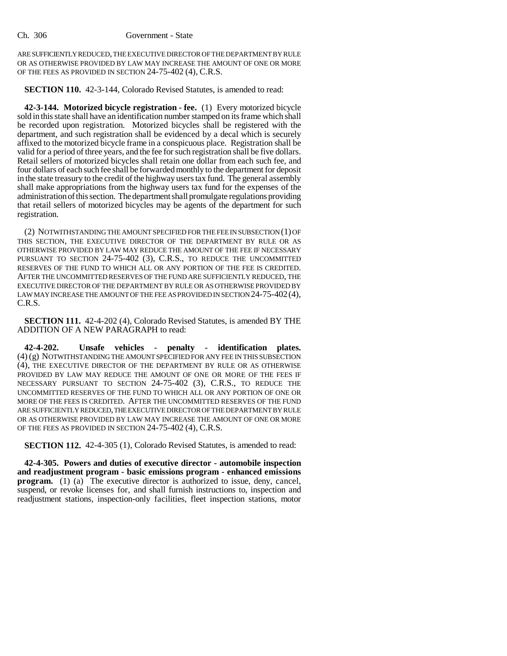ARE SUFFICIENTLY REDUCED, THE EXECUTIVE DIRECTOR OF THE DEPARTMENT BY RULE OR AS OTHERWISE PROVIDED BY LAW MAY INCREASE THE AMOUNT OF ONE OR MORE OF THE FEES AS PROVIDED IN SECTION 24-75-402 (4), C.R.S.

**SECTION 110.** 42-3-144, Colorado Revised Statutes, is amended to read:

**42-3-144. Motorized bicycle registration - fee.** (1) Every motorized bicycle sold in this state shall have an identification number stamped on its frame which shall be recorded upon registration. Motorized bicycles shall be registered with the department, and such registration shall be evidenced by a decal which is securely affixed to the motorized bicycle frame in a conspicuous place. Registration shall be valid for a period of three years, and the fee for such registration shall be five dollars. Retail sellers of motorized bicycles shall retain one dollar from each such fee, and four dollars of each such fee shall be forwarded monthly to the department for deposit in the state treasury to the credit of the highway users tax fund. The general assembly shall make appropriations from the highway users tax fund for the expenses of the administration of this section. The department shall promulgate regulations providing that retail sellers of motorized bicycles may be agents of the department for such registration.

(2) NOTWITHSTANDING THE AMOUNT SPECIFIED FOR THE FEE IN SUBSECTION (1) OF THIS SECTION, THE EXECUTIVE DIRECTOR OF THE DEPARTMENT BY RULE OR AS OTHERWISE PROVIDED BY LAW MAY REDUCE THE AMOUNT OF THE FEE IF NECESSARY PURSUANT TO SECTION 24-75-402 (3), C.R.S., TO REDUCE THE UNCOMMITTED RESERVES OF THE FUND TO WHICH ALL OR ANY PORTION OF THE FEE IS CREDITED. AFTER THE UNCOMMITTED RESERVES OF THE FUND ARE SUFFICIENTLY REDUCED, THE EXECUTIVE DIRECTOR OF THE DEPARTMENT BY RULE OR AS OTHERWISE PROVIDED BY LAW MAY INCREASE THE AMOUNT OF THE FEE AS PROVIDED IN SECTION 24-75-402 (4), C.R.S.

**SECTION 111.** 42-4-202 (4), Colorado Revised Statutes, is amended BY THE ADDITION OF A NEW PARAGRAPH to read:

**42-4-202. Unsafe vehicles - penalty - identification plates.** (4) (g) NOTWITHSTANDING THE AMOUNT SPECIFIED FOR ANY FEE IN THIS SUBSECTION (4), THE EXECUTIVE DIRECTOR OF THE DEPARTMENT BY RULE OR AS OTHERWISE PROVIDED BY LAW MAY REDUCE THE AMOUNT OF ONE OR MORE OF THE FEES IF NECESSARY PURSUANT TO SECTION 24-75-402 (3), C.R.S., TO REDUCE THE UNCOMMITTED RESERVES OF THE FUND TO WHICH ALL OR ANY PORTION OF ONE OR MORE OF THE FEES IS CREDITED. AFTER THE UNCOMMITTED RESERVES OF THE FUND ARE SUFFICIENTLY REDUCED, THE EXECUTIVE DIRECTOR OF THE DEPARTMENT BY RULE OR AS OTHERWISE PROVIDED BY LAW MAY INCREASE THE AMOUNT OF ONE OR MORE OF THE FEES AS PROVIDED IN SECTION 24-75-402 (4), C.R.S.

**SECTION 112.** 42-4-305 (1), Colorado Revised Statutes, is amended to read:

**42-4-305. Powers and duties of executive director - automobile inspection and readjustment program - basic emissions program - enhanced emissions program.** (1) (a) The executive director is authorized to issue, deny, cancel, suspend, or revoke licenses for, and shall furnish instructions to, inspection and readjustment stations, inspection-only facilities, fleet inspection stations, motor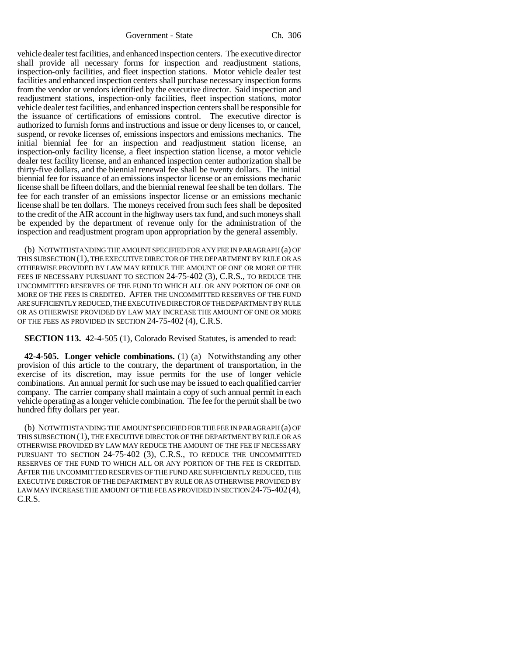vehicle dealer test facilities, and enhanced inspection centers. The executive director shall provide all necessary forms for inspection and readjustment stations, inspection-only facilities, and fleet inspection stations. Motor vehicle dealer test facilities and enhanced inspection centers shall purchase necessary inspection forms from the vendor or vendors identified by the executive director. Said inspection and readjustment stations, inspection-only facilities, fleet inspection stations, motor vehicle dealer test facilities, and enhanced inspection centers shall be responsible for the issuance of certifications of emissions control. The executive director is authorized to furnish forms and instructions and issue or deny licenses to, or cancel, suspend, or revoke licenses of, emissions inspectors and emissions mechanics. The initial biennial fee for an inspection and readjustment station license, an inspection-only facility license, a fleet inspection station license, a motor vehicle dealer test facility license, and an enhanced inspection center authorization shall be thirty-five dollars, and the biennial renewal fee shall be twenty dollars. The initial biennial fee for issuance of an emissions inspector license or an emissions mechanic license shall be fifteen dollars, and the biennial renewal fee shall be ten dollars. The fee for each transfer of an emissions inspector license or an emissions mechanic license shall be ten dollars. The moneys received from such fees shall be deposited to the credit of the AIR account in the highway users tax fund, and such moneys shall be expended by the department of revenue only for the administration of the inspection and readjustment program upon appropriation by the general assembly.

(b) NOTWITHSTANDING THE AMOUNT SPECIFIED FOR ANY FEE IN PARAGRAPH (a) OF THIS SUBSECTION (1), THE EXECUTIVE DIRECTOR OF THE DEPARTMENT BY RULE OR AS OTHERWISE PROVIDED BY LAW MAY REDUCE THE AMOUNT OF ONE OR MORE OF THE FEES IF NECESSARY PURSUANT TO SECTION 24-75-402 (3), C.R.S., TO REDUCE THE UNCOMMITTED RESERVES OF THE FUND TO WHICH ALL OR ANY PORTION OF ONE OR MORE OF THE FEES IS CREDITED. AFTER THE UNCOMMITTED RESERVES OF THE FUND ARE SUFFICIENTLY REDUCED, THE EXECUTIVE DIRECTOR OF THE DEPARTMENT BY RULE OR AS OTHERWISE PROVIDED BY LAW MAY INCREASE THE AMOUNT OF ONE OR MORE OF THE FEES AS PROVIDED IN SECTION 24-75-402 (4), C.R.S.

**SECTION 113.** 42-4-505 (1), Colorado Revised Statutes, is amended to read:

**42-4-505. Longer vehicle combinations.** (1) (a) Notwithstanding any other provision of this article to the contrary, the department of transportation, in the exercise of its discretion, may issue permits for the use of longer vehicle combinations. An annual permit for such use may be issued to each qualified carrier company. The carrier company shall maintain a copy of such annual permit in each vehicle operating as a longer vehicle combination. The fee for the permit shall be two hundred fifty dollars per year.

(b) NOTWITHSTANDING THE AMOUNT SPECIFIED FOR THE FEE IN PARAGRAPH (a) OF THIS SUBSECTION (1), THE EXECUTIVE DIRECTOR OF THE DEPARTMENT BY RULE OR AS OTHERWISE PROVIDED BY LAW MAY REDUCE THE AMOUNT OF THE FEE IF NECESSARY PURSUANT TO SECTION 24-75-402 (3), C.R.S., TO REDUCE THE UNCOMMITTED RESERVES OF THE FUND TO WHICH ALL OR ANY PORTION OF THE FEE IS CREDITED. AFTER THE UNCOMMITTED RESERVES OF THE FUND ARE SUFFICIENTLY REDUCED, THE EXECUTIVE DIRECTOR OF THE DEPARTMENT BY RULE OR AS OTHERWISE PROVIDED BY LAW MAY INCREASE THE AMOUNT OF THE FEE AS PROVIDED IN SECTION 24-75-402 (4), C.R.S.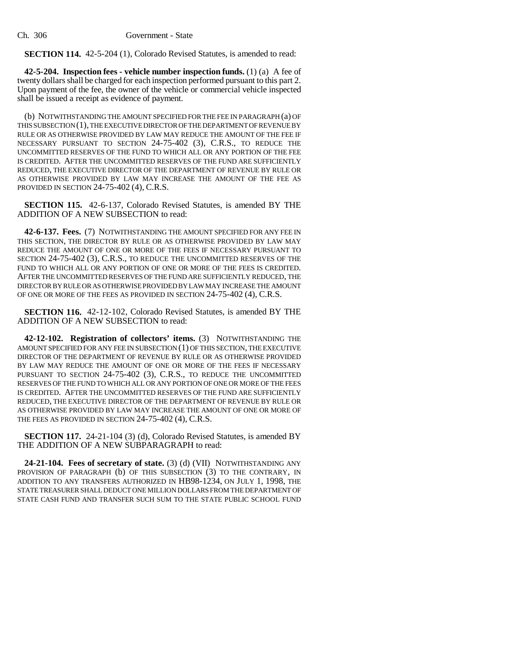#### **SECTION 114.** 42-5-204 (1), Colorado Revised Statutes, is amended to read:

**42-5-204. Inspection fees - vehicle number inspection funds.** (1) (a) A fee of twenty dollars shall be charged for each inspection performed pursuant to this part 2. Upon payment of the fee, the owner of the vehicle or commercial vehicle inspected shall be issued a receipt as evidence of payment.

(b) NOTWITHSTANDING THE AMOUNT SPECIFIED FOR THE FEE IN PARAGRAPH (a) OF THIS SUBSECTION (1), THE EXECUTIVE DIRECTOR OF THE DEPARTMENT OF REVENUE BY RULE OR AS OTHERWISE PROVIDED BY LAW MAY REDUCE THE AMOUNT OF THE FEE IF NECESSARY PURSUANT TO SECTION 24-75-402 (3), C.R.S., TO REDUCE THE UNCOMMITTED RESERVES OF THE FUND TO WHICH ALL OR ANY PORTION OF THE FEE IS CREDITED. AFTER THE UNCOMMITTED RESERVES OF THE FUND ARE SUFFICIENTLY REDUCED, THE EXECUTIVE DIRECTOR OF THE DEPARTMENT OF REVENUE BY RULE OR AS OTHERWISE PROVIDED BY LAW MAY INCREASE THE AMOUNT OF THE FEE AS PROVIDED IN SECTION 24-75-402 (4), C.R.S.

**SECTION 115.** 42-6-137, Colorado Revised Statutes, is amended BY THE ADDITION OF A NEW SUBSECTION to read:

**42-6-137. Fees.** (7) NOTWITHSTANDING THE AMOUNT SPECIFIED FOR ANY FEE IN THIS SECTION, THE DIRECTOR BY RULE OR AS OTHERWISE PROVIDED BY LAW MAY REDUCE THE AMOUNT OF ONE OR MORE OF THE FEES IF NECESSARY PURSUANT TO SECTION 24-75-402 (3), C.R.S., TO REDUCE THE UNCOMMITTED RESERVES OF THE FUND TO WHICH ALL OR ANY PORTION OF ONE OR MORE OF THE FEES IS CREDITED. AFTER THE UNCOMMITTED RESERVES OF THE FUND ARE SUFFICIENTLY REDUCED, THE DIRECTOR BY RULE OR AS OTHERWISE PROVIDED BY LAW MAY INCREASE THE AMOUNT OF ONE OR MORE OF THE FEES AS PROVIDED IN SECTION 24-75-402 (4), C.R.S.

**SECTION 116.** 42-12-102, Colorado Revised Statutes, is amended BY THE ADDITION OF A NEW SUBSECTION to read:

**42-12-102. Registration of collectors' items.** (3) NOTWITHSTANDING THE AMOUNT SPECIFIED FOR ANY FEE IN SUBSECTION (1) OF THIS SECTION, THE EXECUTIVE DIRECTOR OF THE DEPARTMENT OF REVENUE BY RULE OR AS OTHERWISE PROVIDED BY LAW MAY REDUCE THE AMOUNT OF ONE OR MORE OF THE FEES IF NECESSARY PURSUANT TO SECTION 24-75-402 (3), C.R.S., TO REDUCE THE UNCOMMITTED RESERVES OF THE FUND TO WHICH ALL OR ANY PORTION OF ONE OR MORE OF THE FEES IS CREDITED. AFTER THE UNCOMMITTED RESERVES OF THE FUND ARE SUFFICIENTLY REDUCED, THE EXECUTIVE DIRECTOR OF THE DEPARTMENT OF REVENUE BY RULE OR AS OTHERWISE PROVIDED BY LAW MAY INCREASE THE AMOUNT OF ONE OR MORE OF THE FEES AS PROVIDED IN SECTION 24-75-402 (4), C.R.S.

**SECTION 117.** 24-21-104 (3) (d), Colorado Revised Statutes, is amended BY THE ADDITION OF A NEW SUBPARAGRAPH to read:

**24-21-104. Fees of secretary of state.** (3) (d) (VII) NOTWITHSTANDING ANY PROVISION OF PARAGRAPH (b) OF THIS SUBSECTION (3) TO THE CONTRARY, IN ADDITION TO ANY TRANSFERS AUTHORIZED IN HB98-1234, ON JULY 1, 1998, THE STATE TREASURER SHALL DEDUCT ONE MILLION DOLLARS FROM THE DEPARTMENT OF STATE CASH FUND AND TRANSFER SUCH SUM TO THE STATE PUBLIC SCHOOL FUND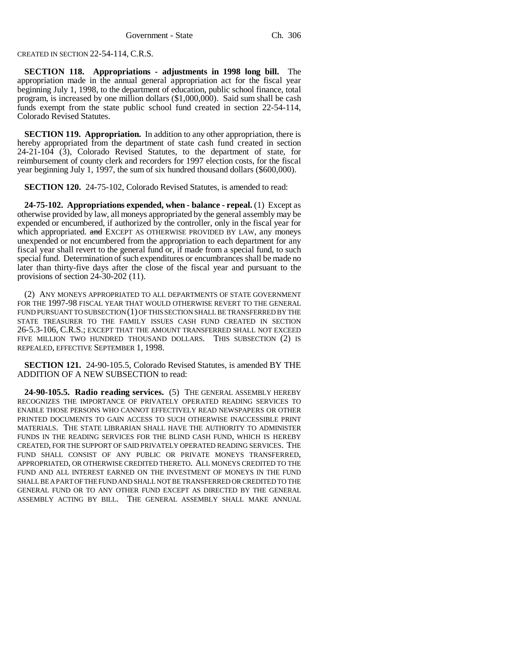## CREATED IN SECTION 22-54-114, C.R.S.

**SECTION 118. Appropriations - adjustments in 1998 long bill.** The appropriation made in the annual general appropriation act for the fiscal year beginning July 1, 1998, to the department of education, public school finance, total program, is increased by one million dollars (\$1,000,000). Said sum shall be cash funds exempt from the state public school fund created in section 22-54-114, Colorado Revised Statutes.

**SECTION 119. Appropriation.** In addition to any other appropriation, there is hereby appropriated from the department of state cash fund created in section  $24-21-104$  (3), Colorado Revised Statutes, to the department of state, for reimbursement of county clerk and recorders for 1997 election costs, for the fiscal year beginning July 1, 1997, the sum of six hundred thousand dollars (\$600,000).

**SECTION 120.** 24-75-102, Colorado Revised Statutes, is amended to read:

**24-75-102. Appropriations expended, when - balance - repeal.** (1) Except as otherwise provided by law, all moneys appropriated by the general assembly may be expended or encumbered, if authorized by the controller, only in the fiscal year for which appropriated. and EXCEPT AS OTHERWISE PROVIDED BY LAW, any moneys unexpended or not encumbered from the appropriation to each department for any fiscal year shall revert to the general fund or, if made from a special fund, to such special fund. Determination of such expenditures or encumbrances shall be made no later than thirty-five days after the close of the fiscal year and pursuant to the provisions of section 24-30-202 (11).

(2) ANY MONEYS APPROPRIATED TO ALL DEPARTMENTS OF STATE GOVERNMENT FOR THE 1997-98 FISCAL YEAR THAT WOULD OTHERWISE REVERT TO THE GENERAL FUND PURSUANT TO SUBSECTION (1) OF THIS SECTION SHALL BE TRANSFERRED BY THE STATE TREASURER TO THE FAMILY ISSUES CASH FUND CREATED IN SECTION 26-5.3-106, C.R.S.; EXCEPT THAT THE AMOUNT TRANSFERRED SHALL NOT EXCEED FIVE MILLION TWO HUNDRED THOUSAND DOLLARS. THIS SUBSECTION (2) IS REPEALED, EFFECTIVE SEPTEMBER 1, 1998.

**SECTION 121.** 24-90-105.5, Colorado Revised Statutes, is amended BY THE ADDITION OF A NEW SUBSECTION to read:

**24-90-105.5. Radio reading services.** (5) THE GENERAL ASSEMBLY HEREBY RECOGNIZES THE IMPORTANCE OF PRIVATELY OPERATED READING SERVICES TO ENABLE THOSE PERSONS WHO CANNOT EFFECTIVELY READ NEWSPAPERS OR OTHER PRINTED DOCUMENTS TO GAIN ACCESS TO SUCH OTHERWISE INACCESSIBLE PRINT MATERIALS. THE STATE LIBRARIAN SHALL HAVE THE AUTHORITY TO ADMINISTER FUNDS IN THE READING SERVICES FOR THE BLIND CASH FUND, WHICH IS HEREBY CREATED, FOR THE SUPPORT OF SAID PRIVATELY OPERATED READING SERVICES. THE FUND SHALL CONSIST OF ANY PUBLIC OR PRIVATE MONEYS TRANSFERRED, APPROPRIATED, OR OTHERWISE CREDITED THERETO. ALL MONEYS CREDITED TO THE FUND AND ALL INTEREST EARNED ON THE INVESTMENT OF MONEYS IN THE FUND SHALL BE A PART OF THE FUND AND SHALL NOT BE TRANSFERRED OR CREDITED TO THE GENERAL FUND OR TO ANY OTHER FUND EXCEPT AS DIRECTED BY THE GENERAL ASSEMBLY ACTING BY BILL. THE GENERAL ASSEMBLY SHALL MAKE ANNUAL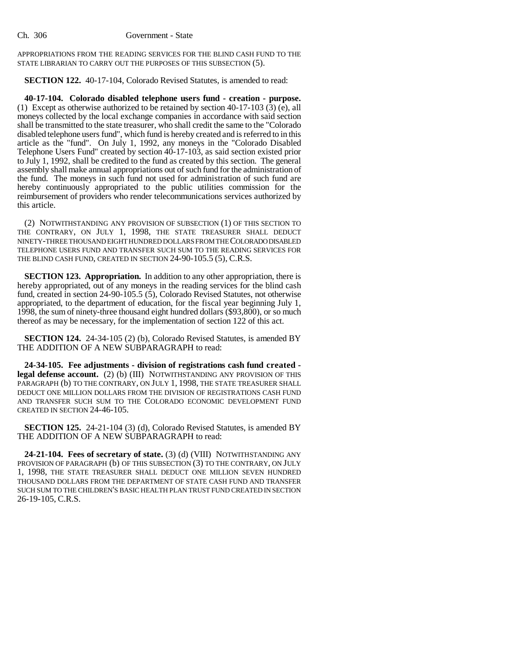APPROPRIATIONS FROM THE READING SERVICES FOR THE BLIND CASH FUND TO THE STATE LIBRARIAN TO CARRY OUT THE PURPOSES OF THIS SUBSECTION (5).

**SECTION 122.** 40-17-104, Colorado Revised Statutes, is amended to read:

**40-17-104. Colorado disabled telephone users fund - creation - purpose.** (1) Except as otherwise authorized to be retained by section 40-17-103 (3) (e), all moneys collected by the local exchange companies in accordance with said section shall be transmitted to the state treasurer, who shall credit the same to the "Colorado disabled telephone users fund", which fund is hereby created and is referred to in this article as the "fund". On July 1, 1992, any moneys in the "Colorado Disabled Telephone Users Fund" created by section 40-17-103, as said section existed prior to July 1, 1992, shall be credited to the fund as created by this section. The general assembly shall make annual appropriations out of such fund for the administration of the fund. The moneys in such fund not used for administration of such fund are hereby continuously appropriated to the public utilities commission for the reimbursement of providers who render telecommunications services authorized by this article.

(2) NOTWITHSTANDING ANY PROVISION OF SUBSECTION (1) OF THIS SECTION TO THE CONTRARY, ON JULY 1, 1998, THE STATE TREASURER SHALL DEDUCT NINETY-THREE THOUSAND EIGHT HUNDRED DOLLARS FROM THE COLORADO DISABLED TELEPHONE USERS FUND AND TRANSFER SUCH SUM TO THE READING SERVICES FOR THE BLIND CASH FUND, CREATED IN SECTION 24-90-105.5 (5), C.R.S.

**SECTION 123. Appropriation.** In addition to any other appropriation, there is hereby appropriated, out of any moneys in the reading services for the blind cash fund, created in section 24-90-105.5 (5), Colorado Revised Statutes, not otherwise appropriated, to the department of education, for the fiscal year beginning July 1, 1998, the sum of ninety-three thousand eight hundred dollars (\$93,800), or so much thereof as may be necessary, for the implementation of section 122 of this act.

**SECTION 124.** 24-34-105 (2) (b), Colorado Revised Statutes, is amended BY THE ADDITION OF A NEW SUBPARAGRAPH to read:

**24-34-105. Fee adjustments - division of registrations cash fund created legal defense account.** (2) (b) (III) NOTWITHSTANDING ANY PROVISION OF THIS PARAGRAPH (b) TO THE CONTRARY, ON JULY 1, 1998, THE STATE TREASURER SHALL DEDUCT ONE MILLION DOLLARS FROM THE DIVISION OF REGISTRATIONS CASH FUND AND TRANSFER SUCH SUM TO THE COLORADO ECONOMIC DEVELOPMENT FUND CREATED IN SECTION 24-46-105.

**SECTION 125.** 24-21-104 (3) (d), Colorado Revised Statutes, is amended BY THE ADDITION OF A NEW SUBPARAGRAPH to read:

**24-21-104. Fees of secretary of state.** (3) (d) (VIII) NOTWITHSTANDING ANY PROVISION OF PARAGRAPH (b) OF THIS SUBSECTION (3) TO THE CONTRARY, ON JULY 1, 1998, THE STATE TREASURER SHALL DEDUCT ONE MILLION SEVEN HUNDRED THOUSAND DOLLARS FROM THE DEPARTMENT OF STATE CASH FUND AND TRANSFER SUCH SUM TO THE CHILDREN'S BASIC HEALTH PLAN TRUST FUND CREATED IN SECTION 26-19-105, C.R.S.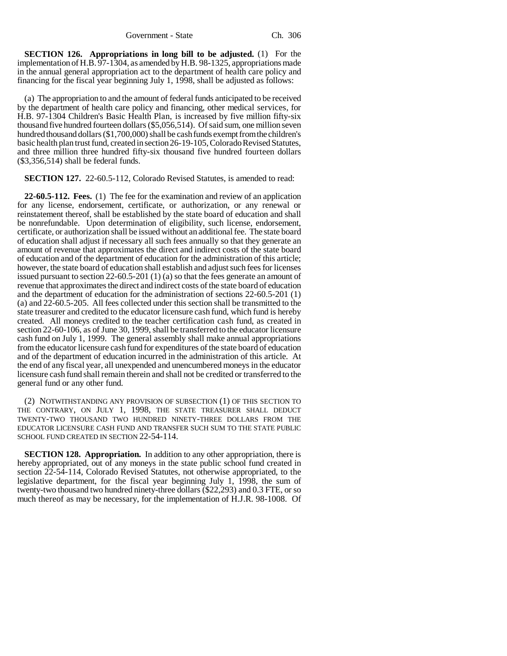**SECTION 126. Appropriations in long bill to be adjusted.** (1) For the implementation of H.B. 97-1304, as amended by H.B. 98-1325, appropriations made in the annual general appropriation act to the department of health care policy and financing for the fiscal year beginning July 1, 1998, shall be adjusted as follows:

(a) The appropriation to and the amount of federal funds anticipated to be received by the department of health care policy and financing, other medical services, for H.B. 97-1304 Children's Basic Health Plan, is increased by five million fifty-six thousand five hundred fourteen dollars (\$5,056,514). Of said sum, one million seven hundred thousand dollars (\$1,700,000) shall be cash funds exempt from the children's basic health plan trust fund, created in section 26-19-105, Colorado Revised Statutes, and three million three hundred fifty-six thousand five hundred fourteen dollars (\$3,356,514) shall be federal funds.

#### **SECTION 127.** 22-60.5-112, Colorado Revised Statutes, is amended to read:

**22-60.5-112. Fees.** (1) The fee for the examination and review of an application for any license, endorsement, certificate, or authorization, or any renewal or reinstatement thereof, shall be established by the state board of education and shall be nonrefundable. Upon determination of eligibility, such license, endorsement, certificate, or authorization shall be issued without an additional fee. The state board of education shall adjust if necessary all such fees annually so that they generate an amount of revenue that approximates the direct and indirect costs of the state board of education and of the department of education for the administration of this article; however, the state board of education shall establish and adjust such fees for licenses issued pursuant to section 22-60.5-201 (1) (a) so that the fees generate an amount of revenue that approximates the direct and indirect costs of the state board of education and the department of education for the administration of sections 22-60.5-201 (1) (a) and 22-60.5-205. All fees collected under this section shall be transmitted to the state treasurer and credited to the educator licensure cash fund, which fund is hereby created. All moneys credited to the teacher certification cash fund, as created in section 22-60-106, as of June 30, 1999, shall be transferred to the educator licensure cash fund on July 1, 1999. The general assembly shall make annual appropriations from the educator licensure cash fund for expenditures of the state board of education and of the department of education incurred in the administration of this article. At the end of any fiscal year, all unexpended and unencumbered moneys in the educator licensure cash fund shall remain therein and shall not be credited or transferred to the general fund or any other fund.

(2) NOTWITHSTANDING ANY PROVISION OF SUBSECTION (1) OF THIS SECTION TO THE CONTRARY, ON JULY 1, 1998, THE STATE TREASURER SHALL DEDUCT TWENTY-TWO THOUSAND TWO HUNDRED NINETY-THREE DOLLARS FROM THE EDUCATOR LICENSURE CASH FUND AND TRANSFER SUCH SUM TO THE STATE PUBLIC SCHOOL FUND CREATED IN SECTION 22-54-114.

**SECTION 128. Appropriation.** In addition to any other appropriation, there is hereby appropriated, out of any moneys in the state public school fund created in section 22-54-114, Colorado Revised Statutes, not otherwise appropriated, to the legislative department, for the fiscal year beginning July 1, 1998, the sum of twenty-two thousand two hundred ninety-three dollars (\$22,293) and 0.3 FTE, or so much thereof as may be necessary, for the implementation of H.J.R. 98-1008. Of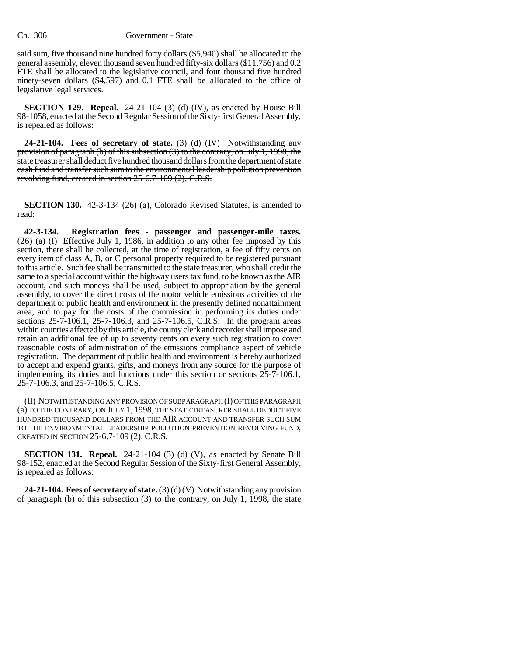said sum, five thousand nine hundred forty dollars (\$5,940) shall be allocated to the general assembly, eleven thousand seven hundred fifty-six dollars (\$11,756) and 0.2 FTE shall be allocated to the legislative council, and four thousand five hundred ninety-seven dollars (\$4,597) and 0.1 FTE shall be allocated to the office of legislative legal services.

**SECTION 129. Repeal.** 24-21-104 (3) (d) (IV), as enacted by House Bill 98-1058, enacted at the Second Regular Session of the Sixty-first General Assembly, is repealed as follows:

**24-21-104. Fees of secretary of state.** (3) (d) (IV) Notwithstanding any provision of paragraph (b) of this subsection (3) to the contrary, on July 1, 1998, the state treasurer shall deduct five hundred thousand dollars from the department of state cash fund and transfer such sum to the environmental leadership pollution prevention revolving fund, created in section 25-6.7-109 (2), C.R.S.

**SECTION 130.** 42-3-134 (26) (a), Colorado Revised Statutes, is amended to read:

**42-3-134. Registration fees - passenger and passenger-mile taxes.** (26) (a) (I) Effective July 1, 1986, in addition to any other fee imposed by this section, there shall be collected, at the time of registration, a fee of fifty cents on every item of class A, B, or C personal property required to be registered pursuant to this article. Such fee shall be transmitted to the state treasurer, who shall credit the same to a special account within the highway users tax fund, to be known as the AIR account, and such moneys shall be used, subject to appropriation by the general assembly, to cover the direct costs of the motor vehicle emissions activities of the department of public health and environment in the presently defined nonattainment area, and to pay for the costs of the commission in performing its duties under sections 25-7-106.1, 25-7-106.3, and 25-7-106.5, C.R.S. In the program areas within counties affected by this article, the county clerk and recorder shall impose and retain an additional fee of up to seventy cents on every such registration to cover reasonable costs of administration of the emissions compliance aspect of vehicle registration. The department of public health and environment is hereby authorized to accept and expend grants, gifts, and moneys from any source for the purpose of implementing its duties and functions under this section or sections 25-7-106.1, 25-7-106.3, and 25-7-106.5, C.R.S.

(II) NOTWITHSTANDING ANY PROVISION OF SUBPARAGRAPH (I) OF THIS PARAGRAPH (a) TO THE CONTRARY, ON JULY 1, 1998, THE STATE TREASURER SHALL DEDUCT FIVE HUNDRED THOUSAND DOLLARS FROM THE AIR ACCOUNT AND TRANSFER SUCH SUM TO THE ENVIRONMENTAL LEADERSHIP POLLUTION PREVENTION REVOLVING FUND, CREATED IN SECTION 25-6.7-109 (2), C.R.S.

**SECTION 131. Repeal.** 24-21-104 (3) (d) (V), as enacted by Senate Bill 98-152, enacted at the Second Regular Session of the Sixty-first General Assembly, is repealed as follows:

**24-21-104. Fees of secretary of state.** (3) (d) (V) Notwithstanding any provision of paragraph (b) of this subsection (3) to the contrary, on July 1, 1998, the state